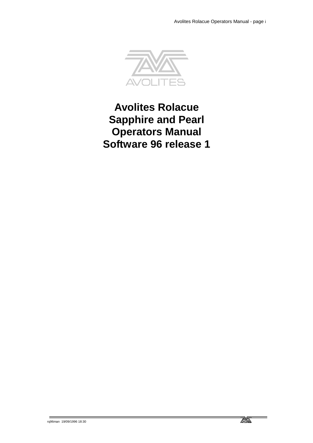

**Avolites Rolacue Sapphire and Pearl Operators Manual Software 96 release 1**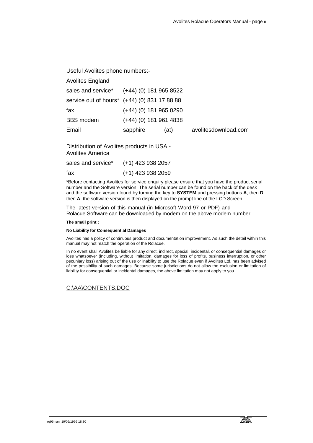Useful Avolites phone numbers:-

| <b>Avolites England</b>                      |                          |      |     |
|----------------------------------------------|--------------------------|------|-----|
| sales and service* (+44) (0) 181 965 8522    |                          |      |     |
| service out of hours* (+44) (0) 831 17 88 88 |                          |      |     |
| fax                                          | $(+44)$ (0) 181 965 0290 |      |     |
| <b>BBS</b> modem                             | $(+44)$ (0) 181 961 4838 |      |     |
| Email                                        | sapphire                 | (at) | avo |

Email sapphire (at) avolitesdownload.com

Distribution of Avolites products in USA:- Avolites America

| sales and service* | (+1) 423 938 2057   |
|--------------------|---------------------|
| fax                | $(+1)$ 423 938 2059 |

\*Before contacting Avolites for service enquiry please ensure that you have the product serial number and the Software version. The serial number can be found on the back of the desk and the software version found by turning the key to **SYSTEM** and pressing buttons **A**, then **D** then **A**. the software version is then displayed on the prompt line of the LCD Screen.

The latest version of this manual (in Microsoft Word 97 or PDF) and Rolacue Software can be downloaded by modem on the above modem number.

#### **The small print :**

#### **No Liability for Consequential Damages**

Avolites has a policy of continuous product and documentation improvement. As such the detail within this manual may not match the operation of the Rolacue.

In no event shall Avolites be liable for any direct, indirect, special, incidental, or consequential damages or loss whatsoever (including, without limitation, damages for loss of profits, business interruption, or other pecuniary loss) arising out of the use or inability to use the Rolacue even if Avolites Ltd. has been advised of the possibility of such damages. Because some jurisdictions do not allow the exclusion or limitation of liability for consequential or incidental damages, the above limitation may not apply to you.

# C:\AA\CONTENTS.DOC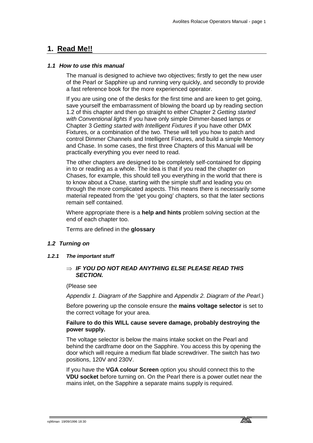# **1. Read Me!!**

# *1.1 How to use this manual*

The manual is designed to achieve two objectives; firstly to get the new user of the Pearl or Sapphire up and running very quickly, and secondly to provide a fast reference book for the more experienced operator.

If you are using one of the desks for the first time and are keen to get going, save yourself the embarrassment of blowing the board up by reading section 1.2 of this chapter and then go straight to either Chapter 2 *Getting started with Conventional lights* if you have only simple Dimmer-based lamps or Chapter 3 *Getting started with Intelligent Fixtures* if you have other DMX Fixtures, or a combination of the two. These will tell you how to patch and control Dimmer Channels and Intelligent Fixtures, and build a simple Memory and Chase. In some cases, the first three Chapters of this Manual will be practically everything you ever need to read.

The other chapters are designed to be completely self-contained for dipping in to or reading as a whole. The idea is that if you read the chapter on Chases, for example, this should tell you everything in the world that there is to know about a Chase, starting with the simple stuff and leading you on through the more complicated aspects. This means there is necessarily some material repeated from the 'get you going' chapters, so that the later sections remain self contained.

Where appropriate there is a **help and hints** problem solving section at the end of each chapter too.

Terms are defined in the **glossary**

# *1.2 Turning on*

*1.2.1 The important stuff* 

# ⇒ *IF YOU DO NOT READ ANYTHING ELSE PLEASE READ THIS SECTION.*

#### (Please see

*Appendix 1. Diagram of the* Sapphire and *Appendix 2. Diagram of the Pearl*.)

Before powering up the console ensure the **mains voltage selector** is set to the correct voltage for your area.

# **Failure to do this WILL cause severe damage, probably destroying the power supply.**

The voltage selector is below the mains intake socket on the Pearl and behind the cardframe door on the Sapphire. You access this by opening the door which will require a medium flat blade screwdriver. The switch has two positions, 120V and 230V.

If you have the **VGA colour Screen** option you should connect this to the **VDU socket** before turning on. On the Pearl there is a power outlet near the mains inlet, on the Sapphire a separate mains supply is required.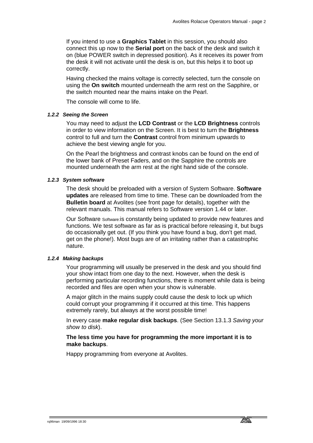If you intend to use a **Graphics Tablet** in this session, you should also connect this up now to the **Serial port** on the back of the desk and switch it on (blue POWER switch in depressed position). As it receives its power from the desk it will not activate until the desk is on, but this helps it to boot up correctly.

Having checked the mains voltage is correctly selected, turn the console on using the **On switch** mounted underneath the arm rest on the Sapphire, or the switch mounted near the mains intake on the Pearl.

The console will come to life.

# *1.2.2 Seeing the Screen*

You may need to adjust the **LCD Contrast** or the **LCD Brightness** controls in order to view information on the Screen. It is best to turn the **Brightness** control to full and turn the **Contrast** control from minimum upwards to achieve the best viewing angle for you.

On the Pearl the brightness and contrast knobs can be found on the end of the lower bank of Preset Faders, and on the Sapphire the controls are mounted underneath the arm rest at the right hand side of the console.

# *1.2.3 System software*

The desk should be preloaded with a version of System Software. **Software updates** are released from time to time. These can be downloaded from the **Bulletin board** at Avolites (see front page for details), together with the relevant manuals. This manual refers to Software version 1.44 or later.

Our Software Software:is constantly being updated to provide new features and functions. We test software as far as is practical before releasing it, but bugs do occasionally get out. (If you think you have found a bug, don't get mad, get on the phone!). Most bugs are of an irritating rather than a catastrophic nature.

# *1.2.4 Making backups*

Your programming will usually be preserved in the desk and you should find your show intact from one day to the next. However, when the desk is performing particular recording functions, there is moment while data is being recorded and files are open when your show is vulnerable.

A major glitch in the mains supply could cause the desk to lock up which could corrupt your programming if it occurred at this time. This happens extremely rarely, but always at the worst possible time!

In every case **make regular disk backups**. (See Section 13.1.3 *Saving your show to disk*).

# **The less time you have for programming the more important it is to make backups**.

Happy programming from everyone at Avolites.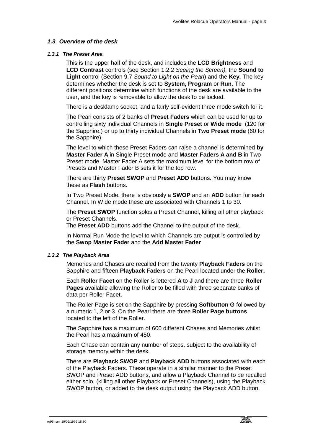# *1.3 Overview of the desk*

# *1.3.1 The Preset Area*

This is the upper half of the desk, and includes the **LCD Brightness** and **LCD Contrast** controls (see Section 1.2.2 *Seeing the Screen),* the **Sound to Light** control (Section 9.7 *Sound to Light on the Pearl*) and the **Key.** The key determines whether the desk is set to **System, Program** or **Run**. The different positions determine which functions of the desk are available to the user, and the key is removable to allow the desk to be locked.

There is a desklamp socket, and a fairly self-evident three mode switch for it.

The Pearl consists of 2 banks of **Preset Faders** which can be used for up to controlling sixty individual Channels in **Single Preset** or **Wide mode** (120 for the Sapphire,) or up to thirty individual Channels in **Two Preset mode** (60 for the Sapphire).

The level to which these Preset Faders can raise a channel is determined **by Master Fader A** in Single Preset mode and **Master Faders A and B** in Two Preset mode. Master Fader A sets the maximum level for the bottom row of Presets and Master Fader B sets it for the top row.

There are thirty **Preset SWOP** and **Preset ADD** buttons. You may know these as **Flash** buttons.

In Two Preset Mode, there is obviously a **SWOP** and an **ADD** button for each Channel. In Wide mode these are associated with Channels 1 to 30.

The **Preset SWOP** function solos a Preset Channel, killing all other playback or Preset Channels.

The **Preset ADD** buttons add the Channel to the output of the desk.

In Normal Run Mode the level to which Channels are output is controlled by the **Swop Master Fader** and the **Add Master Fader**

# *1.3.2 The Playback Area*

Memories and Chases are recalled from the twenty **Playback Faders** on the Sapphire and fifteen **Playback Faders** on the Pearl located under the **Roller.**

Each **Roller Facet** on the Roller is lettered **A** to **J** and there are three **Roller Pages** available allowing the Roller to be filled with three separate banks of data per Roller Facet.

The Roller Page is set on the Sapphire by pressing **Softbutton G** followed by a numeric 1, 2 or 3. On the Pearl there are three **Roller Page buttons** located to the left of the Roller.

The Sapphire has a maximum of 600 different Chases and Memories whilst the Pearl has a maximum of 450.

Each Chase can contain any number of steps, subject to the availability of storage memory within the desk.

There are **Playback SWOP** and **Playback ADD** buttons associated with each of the Playback Faders. These operate in a similar manner to the Preset SWOP and Preset ADD buttons, and allow a Playback Channel to be recalled either solo, (killing all other Playback or Preset Channels), using the Playback SWOP button, or added to the desk output using the Playback ADD button.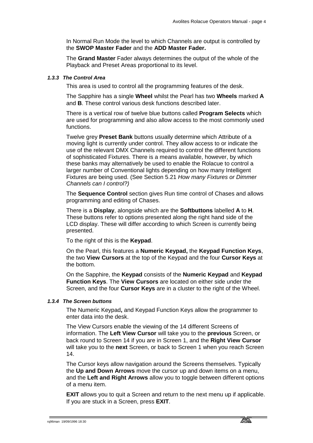In Normal Run Mode the level to which Channels are output is controlled by the **SWOP Master Fader** and the **ADD Master Fader.** 

The **Grand Master** Fader always determines the output of the whole of the Playback and Preset Areas proportional to its level.

# *1.3.3 The Control Area*

This area is used to control all the programming features of the desk.

The Sapphire has a single **Wheel** whilst the Pearl has two **Wheels** marked **A** and **B**. These control various desk functions described later.

There is a vertical row of twelve blue buttons called **Program Selects** which are used for programming and also allow access to the most commonly used functions.

Twelve grey **Preset Bank** buttons usually determine which Attribute of a moving light is currently under control. They allow access to or indicate the use of the relevant DMX Channels required to control the different functions of sophisticated Fixtures. There is a means available, however, by which these banks may alternatively be used to enable the Rolacue to control a larger number of Conventional lights depending on how many Intelligent Fixtures are being used. (See Section 5.21 *How many Fixtures or Dimmer Channels can I control?)*

The **Sequence Control** section gives Run time control of Chases and allows programming and editing of Chases.

There is a **Display**, alongside which are the **Softbuttons** labelled **A** to **H**. These buttons refer to options presented along the right hand side of the LCD display. These will differ according to which Screen is currently being presented.

To the right of this is the **Keypad**.

On the Pearl, this features a **Numeric Keypad,** the **Keypad Function Keys**, the two **View Cursors** at the top of the Keypad and the four **Cursor Keys** at the bottom.

On the Sapphire, the **Keypad** consists of the **Numeric Keypad** and **Keypad Function Keys**. The **View Cursors** are located on either side under the Screen, and the four **Cursor Keys** are in a cluster to the right of the Wheel.

# *1.3.4 The Screen buttons*

The Numeric Keypad**,** and Keypad Function Keys allow the programmer to enter data into the desk.

The View Cursors enable the viewing of the 14 different Screens of information. The **Left View Cursor** will take you to the **previous** Screen, or back round to Screen 14 if you are in Screen 1, and the **Right View Cursor**  will take you to the **next** Screen, or back to Screen 1 when you reach Screen 14.

The Cursor keys allow navigation around the Screens themselves. Typically the **Up and Down Arrows** move the cursor up and down items on a menu, and the **Left and Right Arrows** allow you to toggle between different options of a menu item.

**EXIT** allows you to quit a Screen and return to the next menu up if applicable. If you are stuck in a Screen, press **EXIT**.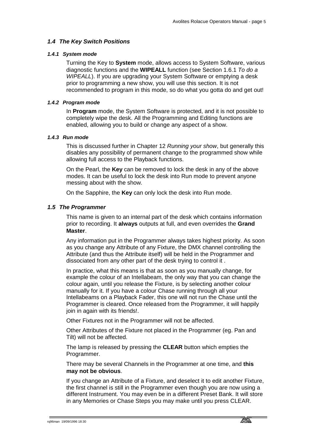# *1.4 The Key Switch Positions*

# *1.4.1 System mode*

Turning the Key to **System** mode, allows access to System Software, various diagnostic functions and the **WIPEALL** function (see Section 1.6.1 *To do a WIPEALL*). If you are upgrading your System Software or emptying a desk prior to programming a new show, you will use this section. It is not recommended to program in this mode, so do what you gotta do and get out!

# *1.4.2 Program mode*

In **Program** mode, the System Software is protected, and it is not possible to completely wipe the desk. All the Programming and Editing functions are enabled, allowing you to build or change any aspect of a show.

# *1.4.3 Run mode*

This is discussed further in Chapter 12 *Running your show*, but generally this disables any possibility of permanent change to the programmed show while allowing full access to the Playback functions.

On the Pearl, the **Key** can be removed to lock the desk in any of the above modes. It can be useful to lock the desk into Run mode to prevent anyone messing about with the show.

On the Sapphire, the **Key** can only lock the desk into Run mode.

# *1.5 The Programmer*

This name is given to an internal part of the desk which contains information prior to recording. It **always** outputs at full, and even overrides the **Grand Master**.

Any information put in the Programmer always takes highest priority. As soon as you change any Attribute of any Fixture, the DMX channel controlling the Attribute (and thus the Attribute itself) will be held in the Programmer and dissociated from any other part of the desk trying to control it .

In practice, what this means is that as soon as you manually change, for example the colour of an Intellabeam, the only way that you can change the colour again, until you release the Fixture, is by selecting another colour manually for it. If you have a colour Chase running through all your Intellabeams on a Playback Fader, this one will not run the Chase until the Programmer is cleared. Once released from the Programmer, it will happily join in again with its friends!.

Other Fixtures not in the Programmer will not be affected.

Other Attributes of the Fixture not placed in the Programmer (eg. Pan and Tilt) will not be affected.

The lamp is released by pressing the **CLEAR** button which empties the Programmer.

There may be several Channels in the Programmer at one time, and **this may not be obvious**.

If you change an Attribute of a Fixture, and deselect it to edit another Fixture, the first channel is still in the Programmer even though you are now using a different Instrument. You may even be in a different Preset Bank. It will store in any Memories or Chase Steps you may make until you press CLEAR.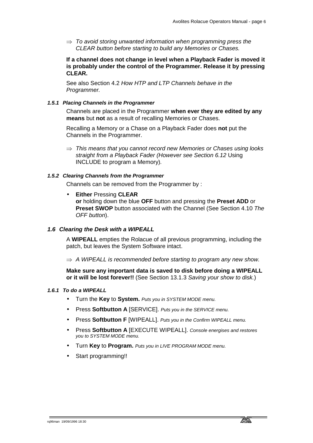⇒ *To avoid storing unwanted information when programming press the CLEAR button before starting to build any Memories or Chases.* 

**If a channel does not change in level when a Playback Fader is moved it is probably under the control of the Programmer. Release it by pressing CLEAR.** 

See also Section 4.2 *How HTP and LTP Channels behave in the Programmer.*

# *1.5.1 Placing Channels in the Programmer*

Channels are placed in the Programmer **when ever they are edited by any means** but **not** as a result of recalling Memories or Chases.

Recalling a Memory or a Chase on a Playback Fader does **not** put the Channels in the Programmer.

⇒ *This means that you cannot record new Memories or Chases using looks straight from a Playback Fader (However see Section 6.12* Using INCLUDE to program a Memory)*.* 

# *1.5.2 Clearing Channels from the Programmer*

Channels can be removed from the Programmer by :

• **Either** Pressing **CLEAR**

**or** holding down the blue **OFF** button and pressing the **Preset ADD** or **Preset SWOP** button associated with the Channel (See Section 4.10 *The OFF button*).

# *1.6 Clearing the Desk with a WIPEALL*

A **WIPEALL** empties the Rolacue of all previous programming, including the patch, but leaves the System Software intact.

⇒ *A WIPEALL is recommended before starting to program any new show.* 

**Make sure any important data is saved to disk before doing a WIPEALL or it will be lost forever!!** (See Section 13.1.3 *Saving your show to disk.*)

# *1.6.1 To do a WIPEALL*

- Turn the **Key** to **System.** *Puts you in SYSTEM MODE menu.*
- Press **Softbutton A** [SERVICE]. *Puts you in the SERVICE menu.*
- Press **Softbutton F** [WIPEALL]. *Puts you in the Confirm WIPEALL menu.*
- Press **Softbutton A** [EXECUTE WIPEALL]. *Console energises and restores you to SYSTEM MODE menu.*
- Turn **Key** to **Program.** *Puts you in LIVE PROGRAM MODE menu.*
- Start programming!!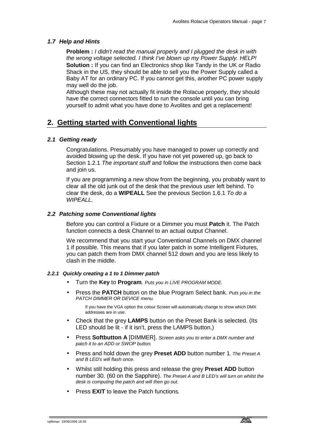# *1.7 Help and Hints*

**Problem :** *I didn't read the manual properly and I plugged the desk in with the wrong voltage selected. I think I've blown up my Power Supply. HELP!*  **Solution :** If you can find an Electronics shop like Tandy in the UK or Radio Shack in the US, they should be able to sell you the Power Supply called a Baby AT for an ordinary PC. If you cannot get this, another PC power supply may well do the job.

Although these may not actually fit inside the Rolacue properly, they should have the correct connectors fitted to run the console until you can bring yourself to admit what you have done to Avolites and get a replacement!

# **2. Getting started with Conventional lights**

# *2.1 Getting ready*

Congratulations. Presumably you have managed to power up correctly and avoided blowing up the desk. If you have not yet powered up, go back to Section 1.2.1 *The important stuff* and follow the instructions then come back and join us.

If you are programming a new show from the beginning, you probably want to clear all the old junk out of the desk that the previous user left behind. To clear the desk, do a **WIPEALL** See the previous Section 1.6.1 *To do a WIPEALL.*

# *2.2 Patching some Conventional lights*

Before you can control a Fixture or a Dimmer you must **Patch** it. The Patch function connects a desk Channel to an actual output Channel.

We recommend that you start your Conventional Channels on DMX channel 1 if possible. This means that if you later patch in some Intelligent Fixtures, you can patch them from DMX channel 512 down and you are less likely to clash in the middle.

# *2.2.1 Quickly creating a 1 to 1 Dimmer patch*

- Turn the **Key** to **Program***. Puts you in LIVE PROGRAM MODE.*
- Press the **PATCH** button on the blue Program Select bank. *Puts you in the PATCH DIMMER OR DEVICE menu.*

If you have the VGA option the colour Screen will automatically change to show which DMX addresses are in use.

- Check that the grey **LAMPS** button on the Preset Bank is selected. (Its LED should be lit - if it isn't, press the LAMPS button.)
- Press **Softbutton A** [DIMMER]. *Screen asks you to enter a DMX number and patch it to an ADD or SWOP button.*
- Press and hold down the grey **Preset ADD** button number 1*. The Preset A and B LED's will flash once.*
- Whilst still holding this press and release the grey **Preset ADD** button number 30. (60 on the Sapphire). *The Preset A and B LED's will turn on whilst the desk is computing the patch and will then go out.*
- Press **EXIT** to leave the Patch functions.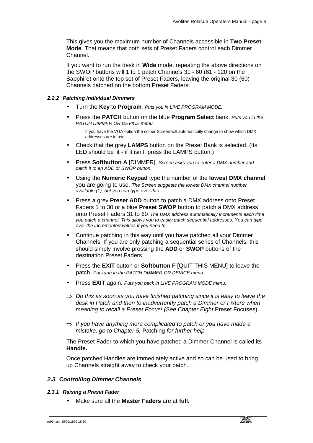This gives you the maximum number of Channels accessible in **Two Preset Mode**. That means that both sets of Preset Faders control each Dimmer Channel.

If you want to run the desk in **Wide** mode, repeating the above directions on the SWOP buttons will 1 to 1 patch Channels 31 - 60 (61 - 120 on the Sapphire) onto the top set of Preset Faders, leaving the original 30 (60) Channels patched on the bottom Preset Faders.

#### *2.2.2 Patching individual Dimmers*

- Turn the **Key** to **Program***. Puts you in LIVE PROGRAM MODE.*
- Press the **PATCH** button on the blue **Program Select** bank. *Puts you in the PATCH DIMMER OR DEVICE menu.*

If you have the VGA option the colour Screen will automatically change to show which DMX addresses are in use.

- Check that the grey **LAMPS** button on the Preset Bank is selected. (Its LED should be lit - if it isn't, press the LAMPS button.)
- Press **Softbutton A** [DIMMER]. *Screen asks you to enter a DMX number and patch it to an ADD or SWOP button.*
- Using the **Numeric Keypad** type the number of the **lowest DMX channel** you are going to use. *The Screen suggests the lowest DMX channel number available (1), but you can type over this.*
- Press a grey **Preset ADD** button to patch a DMX address onto Preset Faders 1 to 30 or a blue **Preset SWOP** button to patch a DMX address onto Preset Faders 31 to 60*. The DMX address automatically increments each time you patch a channel. This allows you to easily patch sequential addresses. You can type over the incremented values if you need to.*
- Continue patching in this way until you have patched all your Dimmer Channels. If you are only patching a sequential series of Channels, this should simply involve pressing the **ADD** or **SWOP** buttons of the destination Preset Faders.
- Press the **EXIT** button or **Softbutton F** [QUIT THIS MENU] to leave the patch. *Puts you in the PATCH DIMMER OR DEVICE menu.*
- Press **EXIT** again. *Puts you back in LIVE PROGRAM MODE menu.*
- ⇒ *Do this as soon as you have finished patching since it is easy to leave the desk in Patch and then to inadvertently patch a Dimmer or Fixture when meaning to recall a Preset Focus! (See Chapter Eight* Preset Focuses).
- ⇒ *If you have anything more complicated to patch or you have made a mistake, go to Chapter 5,* Patching *for further help.*

The Preset Fader to which you have patched a Dimmer Channel is called its **Handle.**

Once patched Handles are immediately active and so can be used to bring up Channels straight away to check your patch.

# *2.3 Controlling Dimmer Channels*

#### *2.3.1 Raising a Preset Fader*

• Make sure all the **Master Faders** are at **full.**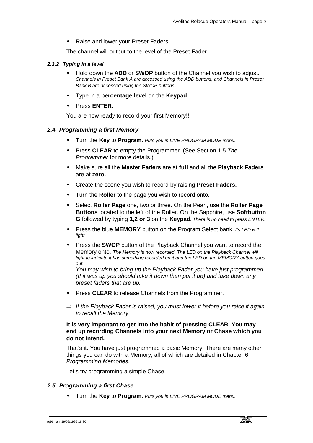• Raise and lower your Preset Faders.

The channel will output to the level of the Preset Fader.

#### *2.3.2 Typing in a level*

- Hold down the **ADD** or **SWOP** button of the Channel you wish to adjust. *Channels in Preset Bank A are accessed using the ADD buttons, and Channels in Preset Bank B are accessed using the SWOP buttons*.
- Type in a **percentage level** on the **Keypad.**
- Press **ENTER.**

You are now ready to record your first Memory!!

# *2.4 Programming a first Memory*

- Turn the **Key** to **Program.** *Puts you in LIVE PROGRAM MODE menu.*
- Press **CLEAR** to empty the Programmer. (See Section 1.5 *The Programmer* for more details.)
- Make sure all the **Master Faders** are at **full** and all the **Playback Faders** are at **zero.**
- Create the scene you wish to record by raising **Preset Faders.**
- Turn the **Roller** to the page you wish to record onto.
- Select **Roller Page** one, two or three. On the Pearl, use the **Roller Page Buttons** located to the left of the Roller. On the Sapphire, use **Softbutton G** followed by typing **1,2 or 3** on the **Keypad***. There is no need to press ENTER.*
- Press the blue **MEMORY** button on the Program Select bank. *Its LED will light.*
- Press the **SWOP** button of the Playback Channel you want to record the Memory onto. *The Memory is now recorded. The LED on the Playback Channel will light to indicate it has something recorded on it and the LED on the MEMORY button goes out.*

*You may wish to bring up the Playback Fader you have just programmed (If it was up you should take it down then put it up) and take down any preset faders that are up.*

- Press **CLEAR** to release Channels from the Programmer.
- ⇒ *If the Playback Fader is raised, you must lower it before you raise it again to recall the Memory.*

# **It is very important to get into the habit of pressing CLEAR. You may end up recording Channels into your next Memory or Chase which you do not intend.**

That's it. You have just programmed a basic Memory. There are many other things you can do with a Memory, all of which are detailed in Chapter 6 *Programming Memories.* 

Let's try programming a simple Chase.

# *2.5 Programming a first Chase*

• Turn the **Key** to **Program.** *Puts you in LIVE PROGRAM MODE menu.*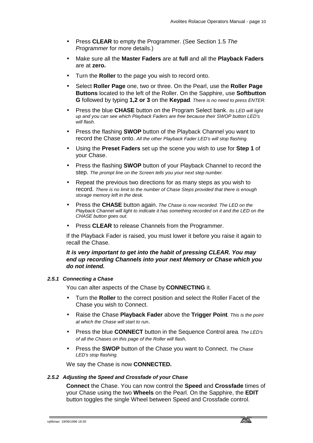- Press **CLEAR** to empty the Programmer. (See Section 1.5 *The Programmer* for more details.)
- Make sure all the **Master Faders** are at **full** and all the **Playback Faders** are at **zero.**
- Turn the **Roller** to the page you wish to record onto.
- Select **Roller Page** one, two or three. On the Pearl, use the **Roller Page Buttons** located to the left of the Roller. On the Sapphire, use **Softbutton G** followed by typing **1,2 or 3** on the **Keypad***. There is no need to press ENTER.*
- Press the blue **CHASE** button on the Program Select bank. *Its LED will light up and you can see which Playback Faders are free because their SWOP button LED's will flash.*
- Press the flashing **SWOP** button of the Playback Channel you want to record the Chase onto. *All the other Playback Fader LED's will stop flashing.*
- Using the **Preset Faders** set up the scene you wish to use for **Step 1** of your Chase.
- Press the flashing **SWOP** button of your Playback Channel to record the step. *The prompt line on the Screen tells you your next step number.*
- Repeat the previous two directions for as many steps as you wish to record. *There is no limit to the number of Chase Steps provided that there is enough storage memory left in the desk.*
- Press the **CHASE** button again. *The Chase is now recorded. The LED on the*  Playback Channel will light to indicate it has something recorded on it and the LED on the *CHASE button goes out.*
- Press **CLEAR** to release Channels from the Programmer.

If the Playback Fader is raised, you must lower it before you raise it again to recall the Chase.

# *It is very important to get into the habit of pressing CLEAR. You may end up recording Channels into your next Memory or Chase which you do not intend.*

#### *2.5.1 Connecting a Chase*

You can alter aspects of the Chase by **CONNECTING** it.

- Turn the **Roller** to the correct position and select the Roller Facet of the Chase you wish to Connect.
- Raise the Chase **Playback Fader** above the **Trigger Point***. This is the point at which the Chase will start to run*.
- Press the blue **CONNECT** button in the Sequence Control area*. The LED's of all the Chases on this page of the Roller will flash.*
- Press the **SWOP** button of the Chase you want to Connect. *The Chase LED's stop flashing.*

We say the Chase is now **CONNECTED.**

# *2.5.2 Adjusting the Speed and Crossfade of your Chase*

**Connect** the Chase. You can now control the **Speed** and **Crossfade** times of your Chase using the two **Wheels** on the Pearl. On the Sapphire, the **EDIT** button toggles the single Wheel between Speed and Crossfade control.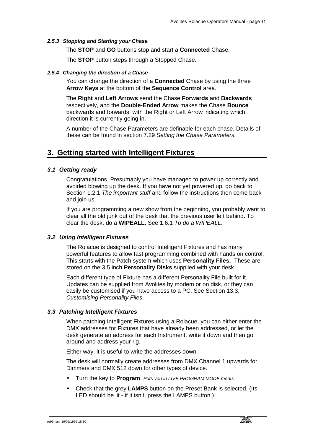# *2.5.3 Stopping and Starting your Chase*

The **STOP** and **GO** buttons stop and start a **Connected** Chase.

The **STOP** button steps through a Stopped Chase.

# *2.5.4 Changing the direction of a Chase*

You can change the direction of a **Connected** Chase by using the three **Arrow Keys** at the bottom of the **Sequence Control** area.

The **Right** and **Left Arrows** send the Chase **Forwards** and **Backwards**  respectively, and the **Double-Ended Arrow** makes the Chase **Bounce**  backwards and forwards, with the Right or Left Arrow indicating which direction it is currently going in.

A number of the Chase Parameters are definable for each chase. Details of these can be found in section 7.29 *Setting the Chase Parameters.*

# **3. Getting started with Intelligent Fixtures**

# *3.1 Getting ready*

Congratulations. Presumably you have managed to power up correctly and avoided blowing up the desk. If you have not yet powered up, go back to Section 1.2.1 *The important stuff* and follow the instructions then come back and join us.

If you are programming a new show from the beginning, you probably want to clear all the old junk out of the desk that the previous user left behind. To clear the desk, do a **WIPEALL.** See 1.6.1 *To do a WIPEALL*.

# *3.2 Using Intelligent Fixtures*

The Rolacue is designed to control Intelligent Fixtures and has many powerful features to allow fast programming combined with hands on control. This starts with the Patch system which uses **Personality Files.** These are stored on the 3.5 inch **Personality Disks** supplied with your desk.

Each different type of Fixture has a different Personality File built for it. Updates can be supplied from Avolites by modem or on disk, or they can easily be customised if you have access to a PC. See Section 13.3, *Customising Personality Files*.

# *3.3 Patching Intelligent Fixtures*

When patching Intelligent Fixtures using a Rolacue, you can either enter the DMX addresses for Fixtures that have already been addressed, or let the desk generate an address for each Instrument, write it down and then go around and address your rig.

Either way, it is useful to write the addresses down.

The desk will normally create addresses from DMX Channel 1 upwards for Dimmers and DMX 512 down for other types of device.

- Turn the key to **Program**. *Puts you in LIVE PROGRAM MODE menu.*
- Check that the grey **LAMPS** button on the Preset Bank is selected. (Its LED should be lit - if it isn't, press the LAMPS button.)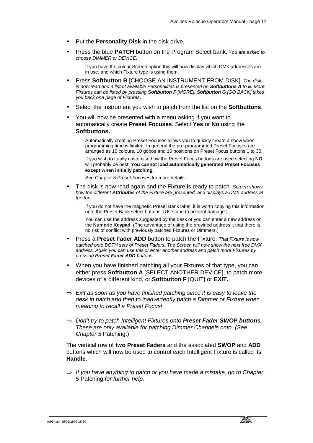- Put the **Personality Disk** in the disk drive.
- Press the blue **PATCH** button on the Program Select bank**.** *You are asked to choose DIMMER or DEVICE.*

If you have the colour Screen option this will now display which DMX addresses are in use, and which Fixture type is using them.

- Press **Softbutton B** [CHOOSE AN INSTRUMENT FROM DISK]*. The disk is now read and a list of available Personalities is presented on Softbuttons A to E. More Fixtures can be listed by pressing Softbutton F [MORE]. Softbutton G [GO BACK] takes you back one page of Fixtures*.
- Select the Instrument you wish to patch from the list on the **Softbuttons**.
- You will now be presented with a menu asking if you want to automatically create **Preset Focuses**. Select **Yes** or **No** using the **Softbuttons.**

Automatically creating Preset Focuses allows you to quickly create a show when programming time is limited. In general the pre-programmed Preset Focuses are arranged as 10 colours, 10 gobos and 10 positions on Preset Focus buttons 1 to 30.

If you wish to totally customise how the Preset Focus buttons are used selecting **NO** will probably be best. **You cannot load automatically generated Preset Focuses except when initially patching**.

See Chapter 8 *Preset Focuses* for more details.

• The disk is now read again and the Fixture is ready to patch. *Screen shows how the different Attributes of the Fixture are presented, and displays a DMX address at the top.*

If you do not have the magnetic Preset Bank label, it is worth copying this information onto the Preset Bank select buttons. (Use tape to prevent damage.)

You can use the address suggested by the desk or you can enter a new address on the **Numeric Keypad**. (The advantage of using the provided address it that there is no risk of conflict with previously patched Fixtures or Dimmers.)

- Press a **Preset Fader ADD** button to patch the Fixture. *That Fixture is now patched onto BOTH sets of Preset Faders. The Screen will now show the next free DMX address. Again you can use this or enter another address and patch more Fixtures by pressing Preset Fader ADD buttons.*
- When you have finished patching all your Fixtures of that type, you can either press **Softbutton A** [SELECT ANOTHER DEVICE], to patch more devices of a different kind, or **Softbutton F** [QUIT] or **EXIT.**
- ⇒ *Exit as soon as you have finished patching since it is easy to leave the desk in patch and then to inadvertently patch a Dimmer or Fixture when meaning to recall a Preset Focus!*
- ⇒ *Don't try to patch Intelligent Fixtures onto Preset Fader SWOP buttons. These are only available for patching Dimmer Channels onto. (See Chapter 5* Patching.)

The vertical row of **two Preset Faders** and the associated **SWOP** and **ADD**  buttons which will now be used to control each Intelligent Fixture is called its **Handle.**

⇒ *If you have anything to patch or you have made a mistake, go to Chapter 5* Patching *for further help.*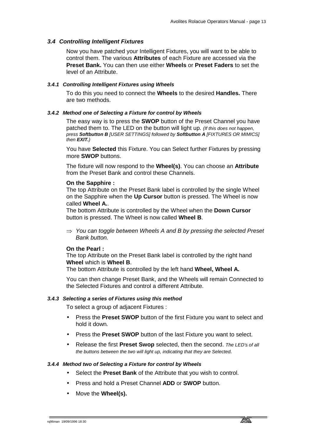# *3.4 Controlling Intelligent Fixtures*

Now you have patched your Intelligent Fixtures, you will want to be able to control them. The various **Attributes** of each Fixture are accessed via the **Preset Bank.** You can then use either **Wheels** or **Preset Faders** to set the level of an Attribute.

# *3.4.1 Controlling Intelligent Fixtures using Wheels*

To do this you need to connect the **Wheels** to the desired **Handles.** There are two methods.

# *3.4.2 Method one of Selecting a Fixture for control by Wheels*

The easy way is to press the **SWOP** button of the Preset Channel you have patched them to. The LED on the button will light up. *(If this does not happen, press Softbutton B [USER SETTINGS] followed by Softbutton A [FIXTURES OR MIMICS] then EXIT.)* 

You have **Selected** this Fixture. You can Select further Fixtures by pressing more **SWOP** buttons.

The fixture will now respond to the **Wheel(s)**. You can choose an **Attribute**  from the Preset Bank and control these Channels.

# **On the Sapphire :**

The top Attribute on the Preset Bank label is controlled by the single Wheel on the Sapphire when the **Up Cursor** button is pressed. The Wheel is now called **Wheel A.**.

The bottom Attribute is controlled by the Wheel when the **Down Cursor** button is pressed. The Wheel is now called **Wheel B**.

⇒ *You can toggle between Wheels A and B by pressing the selected Preset Bank button.* 

# **On the Pearl :**

The top Attribute on the Preset Bank label is controlled by the right hand **Wheel** which is **Wheel B**.

The bottom Attribute is controlled by the left hand **Wheel, Wheel A.**

You can then change Preset Bank, and the Wheels will remain Connected to the Selected Fixtures and control a different Attribute.

# *3.4.3 Selecting a series of Fixtures using this method*

To select a group of adjacent Fixtures :

- Press the **Preset SWOP** button of the first Fixture you want to select and hold it down*.*
- Press the **Preset SWOP** button of the last Fixture you want to select.
- Release the first **Preset Swop** selected, then the second. *The LED's of all the buttons between the two will light up, indicating that they are Selected.*

#### *3.4.4 Method two of Selecting a Fixture for control by Wheels*

- Select the **Preset Bank** of the Attribute that you wish to control.
- Press and hold a Preset Channel **ADD** or **SWOP** button.
- Move the **Wheel(s).**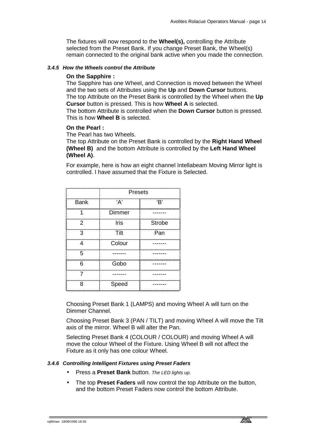The fixtures will now respond to the **Wheel(s),** controlling the Attribute selected from the Preset Bank. If you change Preset Bank, the Wheel(s) remain connected to the original bank active when you made the connection.

# *3.4.5 How the Wheels control the Attribute*

# **On the Sapphire :**

The Sapphire has one Wheel, and Connection is moved between the Wheel and the two sets of Attributes using the **Up** and **Down Cursor** buttons.

The top Attribute on the Preset Bank is controlled by the Wheel when the **Up Cursor** button is pressed. This is how **Wheel A** is selected.

The bottom Attribute is controlled when the **Down Cursor** button is pressed. This is how **Wheel B** is selected.

# **On the Pearl :**

The Pearl has two Wheels.

The top Attribute on the Preset Bank is controlled by the **Right Hand Wheel (Wheel B)** and the bottom Attribute is controlled by the **Left Hand Wheel (Wheel A)**.

For example, here is how an eight channel Intellabeam Moving Mirror light is controlled. I have assumed that the Fixture is Selected.

|             | <b>Presets</b> |               |  |
|-------------|----------------|---------------|--|
| <b>Bank</b> | 'В'<br>'А'     |               |  |
|             | Dimmer         |               |  |
| 2           | <b>Iris</b>    | <b>Strobe</b> |  |
| З           | Tilt           | Pan           |  |
| Δ           | Colour         |               |  |
| 5           |                |               |  |
| 6           | Gobo           |               |  |
|             |                |               |  |
| я           | Speed          |               |  |

Choosing Preset Bank 1 (LAMPS) and moving Wheel A will turn on the Dimmer Channel.

Choosing Preset Bank 3 (PAN / TILT) and moving Wheel A will move the Tilt axis of the mirror. Wheel B will alter the Pan.

Selecting Preset Bank 4 (COLOUR / COLOUR) and moving Wheel A will move the colour Wheel of the Fixture. Using Wheel B will not affect the Fixture as it only has one colour Wheel.

# *3.4.6 Controlling Intelligent Fixtures using Preset Faders*

- Press a **Preset Bank** button. *The LED lights up.*
- The top **Preset Faders** will now control the top Attribute on the button, and the bottom Preset Faders now control the bottom Attribute.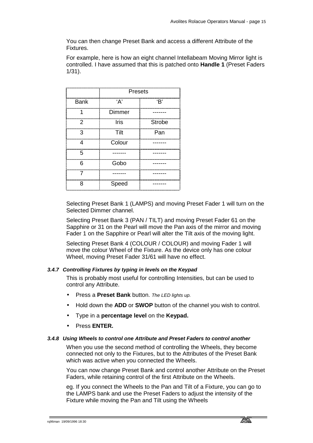You can then change Preset Bank and access a different Attribute of the Fixtures.

For example, here is how an eight channel Intellabeam Moving Mirror light is controlled. I have assumed that this is patched onto **Handle 1** (Preset Faders 1/31).

|             | <b>Presets</b>              |               |  |
|-------------|-----------------------------|---------------|--|
| <b>Bank</b> | A                           | 'В'           |  |
|             | Dimmer                      |               |  |
| 2           | Iris                        | <b>Strobe</b> |  |
| З           | Tilt                        | Pan           |  |
| Λ           | -----------------<br>Colour |               |  |
| 5           |                             |               |  |
| 6           | Gobo                        |               |  |
| 7           |                             |               |  |
| ႙           | Speed                       |               |  |

Selecting Preset Bank 1 (LAMPS) and moving Preset Fader 1 will turn on the Selected Dimmer channel.

Selecting Preset Bank 3 (PAN / TILT) and moving Preset Fader 61 on the Sapphire or 31 on the Pearl will move the Pan axis of the mirror and moving Fader 1 on the Sapphire or Pearl will alter the Tilt axis of the moving light.

Selecting Preset Bank 4 (COLOUR / COLOUR) and moving Fader 1 will move the colour Wheel of the Fixture. As the device only has one colour Wheel, moving Preset Fader 31/61 will have no effect.

# *3.4.7 Controlling Fixtures by typing in levels on the Keypad*

This is probably most useful for controlling Intensities, but can be used to control any Attribute.

- Press a **Preset Bank** button. *The LED lights up.*
- Hold down the **ADD** or **SWOP** button of the channel you wish to control.
- Type in a **percentage level** on the **Keypad.**
- Press **ENTER.**

# *3.4.8 Using Wheels to control one Attribute and Preset Faders to control another*

When you use the second method of controlling the Wheels, they become connected not only to the Fixtures, but to the Attributes of the Preset Bank which was active when you connected the Wheels.

You can now change Preset Bank and control another Attribute on the Preset Faders, while retaining control of the first Attribute on the Wheels.

eg. If you connect the Wheels to the Pan and Tilt of a Fixture, you can go to the LAMPS bank and use the Preset Faders to adjust the intensity of the Fixture while moving the Pan and Tilt using the Wheels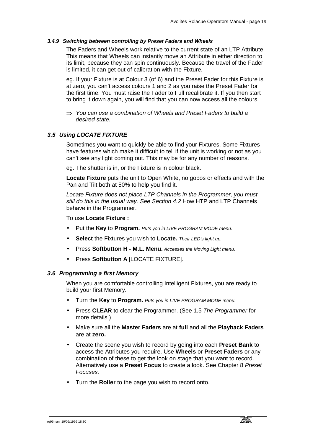#### *3.4.9 Switching between controlling by Preset Faders and Wheels*

The Faders and Wheels work relative to the current state of an LTP Attribute. This means that Wheels can instantly move an Attribute in either direction to its limit, because they can spin continuously. Because the travel of the Fader is limited, it can get out of calibration with the Fixture.

eg. If your Fixture is at Colour 3 (of 6) and the Preset Fader for this Fixture is at zero, you can't access colours 1 and 2 as you raise the Preset Fader for the first time. You must raise the Fader to Full recalibrate it. If you then start to bring it down again, you will find that you can now access all the colours.

⇒ *You can use a combination of Wheels and Preset Faders to build a desired state.* 

# *3.5 Using LOCATE FIXTURE*

Sometimes you want to quickly be able to find your Fixtures. Some Fixtures have features which make it difficult to tell if the unit is working or not as you can't see any light coming out. This may be for any number of reasons.

eg. The shutter is in, or the Fixture is in colour black.

**Locate Fixture** puts the unit to Open White, no gobos or effects and with the Pan and Tilt both at 50% to help you find it.

*Locate Fixture does not place LTP Channels in the Programmer, you must still do this in the usual way. See Section 4.2* How HTP and LTP Channels behave in the Programmer.

To use **Locate Fixture :**

- Put the **Key** to **Program.** *Puts you in LIVE PROGRAM MODE menu.*
- **Select** the Fixtures you wish to **Locate.** *Their LED's light up.*
- Press **Softbutton H M.L. Menu.** *Accesses the Moving Light menu.*
- Press **Softbutton A** [LOCATE FIXTURE].

#### *3.6 Programming a first Memory*

When you are comfortable controlling Intelligent Fixtures, you are ready to build your first Memory.

- Turn the **Key** to **Program.** *Puts you in LIVE PROGRAM MODE menu.*
- Press **CLEAR** to clear the Programmer. (See 1.5 *The Programmer* for more details.)
- Make sure all the **Master Faders** are at **full** and all the **Playback Faders** are at **zero.**
- Create the scene you wish to record by going into each **Preset Bank** to access the Attributes you require. Use **Wheels** or **Preset Faders** or any combination of these to get the look on stage that you want to record. Alternatively use a **Preset Focus** to create a look. See Chapter 8 *Preset Focuses.*
- Turn the **Roller** to the page you wish to record onto.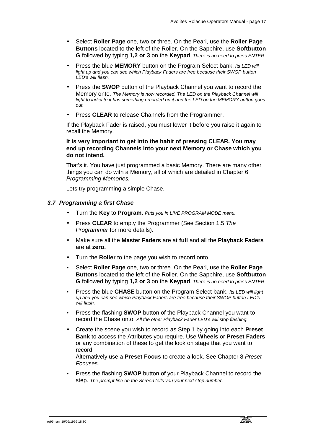- Select **Roller Page** one, two or three. On the Pearl, use the **Roller Page Buttons** located to the left of the Roller. On the Sapphire, use **Softbutton G** followed by typing **1,2 or 3** on the **Keypad***. There is no need to press ENTER.*
- Press the blue **MEMORY** button on the Program Select bank. *Its LED will*  light up and you can see which Playback Faders are free because their SWOP button *LED's will flash.*
- Press the **SWOP** button of the Playback Channel you want to record the Memory onto. *The Memory is now recorded. The LED on the Playback Channel will light to indicate it has something recorded on it and the LED on the MEMORY button goes out.*
- Press CLEAR to release Channels from the Programmer.

If the Playback Fader is raised, you must lower it before you raise it again to recall the Memory.

# **It is very important to get into the habit of pressing CLEAR. You may end up recording Channels into your next Memory or Chase which you do not intend.**

That's it. You have just programmed a basic Memory. There are many other things you can do with a Memory, all of which are detailed in Chapter 6 *Programming Memories.* 

Lets try programming a simple Chase.

# *3.7 Programming a first Chase*

- Turn the **Key** to **Program.** *Puts you in LIVE PROGRAM MODE menu.*
- Press **CLEAR** to empty the Programmer (See Section 1.5 *The Programmer* for more details).
- Make sure all the **Master Faders** are at **full** and all the **Playback Faders** are at **zero.**
- Turn the **Roller** to the page you wish to record onto.
- Select **Roller Page** one, two or three. On the Pearl, use the **Roller Page Buttons** located to the left of the Roller. On the Sapphire, use **Softbutton G** followed by typing **1,2 or 3** on the **Keypad***. There is no need to press ENTER.*
- Press the blue **CHASE** button on the Program Select bank. *Its LED will light up and you can see which Playback Faders are free because their SWOP button LED's will flash.*
- Press the flashing **SWOP** button of the Playback Channel you want to record the Chase onto. *All the other Playback Fader LED's will stop flashing.*
- Create the scene you wish to record as Step 1 by going into each **Preset Bank** to access the Attributes you require. Use **Wheels** or **Preset Faders**  or any combination of these to get the look on stage that you want to record.

Alternatively use a **Preset Focus** to create a look. See Chapter 8 *Preset Focuses.*

• Press the flashing **SWOP** button of your Playback Channel to record the step. *The prompt line on the Screen tells you your next step number.*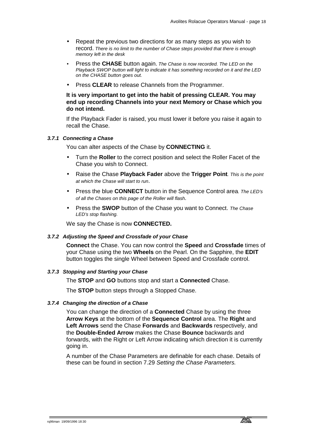- Repeat the previous two directions for as many steps as you wish to record. *There is no limit to the number of Chase steps provided that there is enough memory left in the desk*
- Press the **CHASE** button again. *The Chase is now recorded. The LED on the Playback SWOP button will light to indicate it has something recorded on it and the LED on the CHASE button goes out.*
- Press **CLEAR** to release Channels from the Programmer.

# **It is very important to get into the habit of pressing CLEAR. You may end up recording Channels into your next Memory or Chase which you do not intend.**

If the Playback Fader is raised, you must lower it before you raise it again to recall the Chase.

# *3.7.1 Connecting a Chase*

You can alter aspects of the Chase by **CONNECTING** it.

- Turn the **Roller** to the correct position and select the Roller Facet of the Chase you wish to Connect.
- Raise the Chase **Playback Fader** above the **Trigger Point***. This is the point at which the Chase will start to run*.
- Press the blue **CONNECT** button in the Sequence Control area*. The LED's of all the Chases on this page of the Roller will flash.*
- Press the **SWOP** button of the Chase you want to Connect. *The Chase LED's stop flashing.*

We say the Chase is now **CONNECTED.**

# *3.7.2 Adjusting the Speed and Crossfade of your Chase*

**Connect** the Chase. You can now control the **Speed** and **Crossfade** times of your Chase using the two **Wheels** on the Pearl. On the Sapphire, the **EDIT** button toggles the single Wheel between Speed and Crossfade control.

# *3.7.3 Stopping and Starting your Chase*

The **STOP** and **GO** buttons stop and start a **Connected** Chase.

The **STOP** button steps through a Stopped Chase.

# *3.7.4 Changing the direction of a Chase*

You can change the direction of a **Connected** Chase by using the three **Arrow Keys** at the bottom of the **Sequence Control** area. The **Right** and **Left Arrows** send the Chase **Forwards** and **Backwards** respectively, and the **Double-Ended Arrow** makes the Chase **Bounce** backwards and forwards, with the Right or Left Arrow indicating which direction it is currently going in.

A number of the Chase Parameters are definable for each chase. Details of these can be found in section 7.29 *Setting the Chase Parameters.*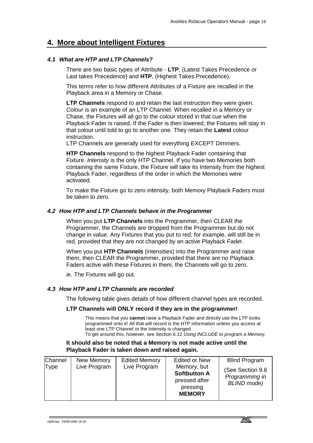# **4. More about Intelligent Fixtures**

# *4.1 What are HTP and LTP Channels?*

There are two basic types of Attribute - **LTP**, (Latest Takes Precedence or Last takes Precedence) and **HTP**, (Highest Takes Precedence).

This terms refer to how different Attributes of a Fixture are recalled in the Playback area in a Memory or Chase.

**LTP Channels** respond to and retain the last instruction they were given. *Colour* is an example of an LTP Channel. When recalled in a Memory or Chase, the Fixtures will all go to the colour stored in that cue when the Playback Fader is raised. If the Fader is then lowered, the Fixtures will stay in that colour until told to go to another one. They retain the **Latest** colour instruction.

LTP Channels are generally used for everything EXCEPT Dimmers.

**HTP Channels** respond to the highest Playback Fader containing that Fixture. *Intensity* is the only HTP Channel. If you have two Memories both containing the same Fixture, the Fixture will take its Intensity from the highest Playback Fader, regardless of the order in which the Memories were activated.

To make the Fixture go to zero intensity, both Memory Playback Faders must be taken to zero.

# *4.2 How HTP and LTP Channels behave in the Programmer*

When you put **LTP Channels** into the Programmer, then CLEAR the Programmer, the Channels are dropped from the Programmer but do not change in value. Any Fixtures that you put to red, for example, will still be in red, provided that they are not changed by an active Playback Fader.

When you put **HTP Channels** (intensities) into the Programmer and raise them, then CLEAR the Programmer, provided that there are no Playback Faders active with these Fixtures in them, the Channels will go to zero.

ie. The Fixtures will go out.

# *4.3 How HTP and LTP Channels are recorded*

The following table gives details of how different channel types are recorded.

# **LTP Channels will ONLY record if they are in the programmer!**

This means that you **cannot** raise a Playback Fader and directly use the LTP looks programmed onto it! All that will record is the HTP information unless you access at least one LTP Channel or the Intensity is changed.

To get around this, however, see Section 6.12 *Using INCLUDE to program a Memory.*

# **It should also be noted that a Memory is not made active until the Playback Fader is taken down and raised again.**

| Channel | New Memory   | <b>Edited Memory</b> | <b>Edited or New</b>                                                             | <b>Blind Program</b>                                      |
|---------|--------------|----------------------|----------------------------------------------------------------------------------|-----------------------------------------------------------|
| Type    | Live Program | Live Program         | Memory, but<br><b>Softbutton A</b><br>pressed after<br>pressing<br><b>MEMORY</b> | (See Section 9.6)<br>Programming in<br><b>BLIND</b> mode) |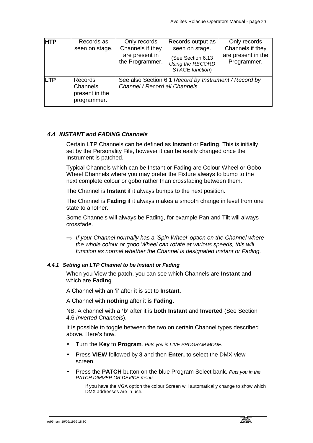| <b>HTP</b> | Records as<br>seen on stage.                         | Only records<br>Channels if they<br>are present in<br>the Programmer. | Records output as<br>seen on stage.<br>(See Section 6.13<br>Using the RECORD<br>STAGE function) | Only records<br>Channels if they<br>are present in the<br>Programmer. |
|------------|------------------------------------------------------|-----------------------------------------------------------------------|-------------------------------------------------------------------------------------------------|-----------------------------------------------------------------------|
| <b>LTP</b> | Records<br>Channels<br>present in the<br>programmer. | Channel / Record all Channels.                                        | See also Section 6.1 Record by Instrument / Record by                                           |                                                                       |

# *4.4 INSTANT and FADING Channels*

Certain LTP Channels can be defined as **Instant** or **Fading**. This is initially set by the Personality File, however it can be easily changed once the Instrument is patched.

Typical Channels which can be Instant or Fading are Colour Wheel or Gobo Wheel Channels where you may prefer the Fixture always to bump to the next complete colour or gobo rather than crossfading between them.

The Channel is **Instant** if it always bumps to the next position.

The Channel is **Fading** if it always makes a smooth change in level from one state to another.

Some Channels will always be Fading, for example Pan and Tilt will always crossfade.

⇒ *If your Channel normally has a 'Spin Wheel' option on the Channel where the whole colour or gobo Wheel can rotate at various speeds, this will function as normal whether the Channel is designated Instant or Fading.* 

# *4.4.1 Setting an LTP Channel to be Instant or Fading*

When you View the patch, you can see which Channels are **Instant** and which are **Fading**.

A Channel with an '**i**' after it is set to **Instant.**

A Channel with **nothing** after it is **Fading.**

NB. A channel with a **'b'** after it is **both Instant** and **Inverted** (See Section 4.6 *Inverted Channels*).

It is possible to toggle between the two on certain Channel types described above. Here's how.

- Turn the **Key** to **Program***. Puts you in LIVE PROGRAM MODE.*
- Press **VIEW** followed by **3** and then **Enter,** to select the DMX view screen.
- Press the **PATCH** button on the blue Program Select bank. *Puts you in the PATCH DIMMER OR DEVICE menu.*

If you have the VGA option the colour Screen will automatically change to show which DMX addresses are in use.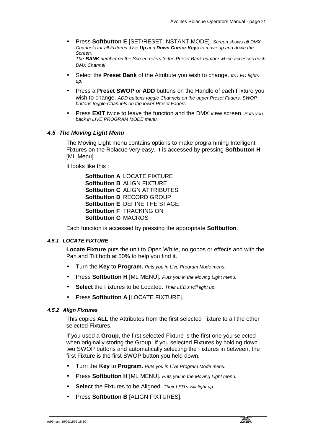- Press **Softbutton E** [SET/RESET INSTANT MODE]. *Screen shows all DMX Channels for all Fixtures. Use Up and Down Cursor Keys to move up and down the Screen. The BANK number on the Screen refers to the Preset Bank number which accesses each DMX Channel*.
- Select the **Preset Bank** of the Attribute you wish to change. *Its LED lights up.*
- Press a **Preset SWOP** or **ADD** buttons on the Handle of each Fixture you wish to change. *ADD buttons toggle Channels on the upper Preset Faders, SWOP buttons toggle Channels on the lower Preset Faders.*
- Press **EXIT** twice to leave the function and the DMX view screen. *Puts you back in LIVE PROGRAM MODE menu.*

#### *4.5 The Moving Light Menu*

The Moving Light menu contains options to make programming Intelligent Fixtures on the Rolacue very easy. It is accessed by pressing **Softbutton H**  [ML Menu].

It looks like this :

**Softbutton A** LOCATE FIXTURE **Softbutton B** ALIGN FIXTURE **Softbutton C** ALIGN ATTRIBUTES **Softbutton D** RECORD GROUP **Softbutton E** DEFINE THE STAGE **Softbutton F** TRACKING ON **Softbutton G** MACROS

Each function is accessed by pressing the appropriate **Softbutton**.

#### *4.5.1 LOCATE FIXTURE*

**Locate Fixture** puts the unit to Open White, no gobos or effects and with the Pan and Tilt both at 50% to help you find it.

- Turn the **Key** to **Program.** *Puts you in Live Program Mode menu.*
- Press **Softbutton H** [ML MENU]. *Puts you in the Moving Light menu.*
- **Select** the Fixtures to be Located. *Their LED's will light up.*
- Press **Softbutton A** [LOCATE FIXTURE].

#### *4.5.2 Align Fixtures*

This copies **ALL** the Attributes from the first selected Fixture to all the other selected Fixtures.

If you used a **Group**, the first selected Fixture is the first one you selected when originally storing the Group. If you selected Fixtures by holding down two SWOP buttons and automatically selecting the Fixtures in between, the first Fixture is the first SWOP button you held down.

- Turn the **Key** to **Program.** *Puts you in Live Program Mode menu.*
- Press **Softbutton H** [ML MENU]. *Puts you in the Moving Light menu.*
- **Select** the Fixtures to be Aligned. *Their LED's will light up.*
- Press **Softbutton B** [ALIGN FIXTURES].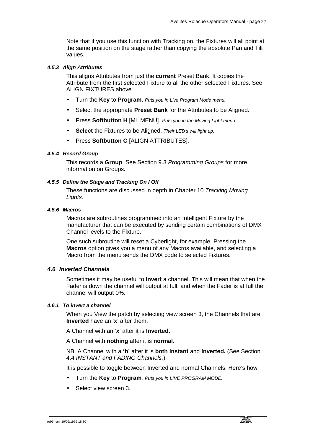Note that if you use this function with Tracking on, the Fixtures will all point at the same position on the stage rather than copying the absolute Pan and Tilt values.

# *4.5.3 Align Attributes*

This aligns Attributes from just the **current** Preset Bank. It copies the Attribute from the first selected Fixture to all the other selected Fixtures. See ALIGN FIXTURES above.

- Turn the **Key** to **Program.** *Puts you in Live Program Mode menu.*
- Select the appropriate **Preset Bank** for the Attributes to be Aligned.
- Press **Softbutton H** [ML MENU]. *Puts you in the Moving Light menu.*
- **Select** the Fixtures to be Aligned. *Their LED's will light up.*
- Press **Softbutton C** [ALIGN ATTRIBUTES].

#### *4.5.4 Record Group*

This records a **Group**. See Section 9.3 *Programming Groups* for more information on Groups.

# *4.5.5 Define the Stage and Tracking On / Off*

These functions are discussed in depth in Chapter 10 *Tracking Moving Lights.* 

#### *4.5.6 Macros*

Macros are subroutines programmed into an Intelligent Fixture by the manufacturer that can be executed by sending certain combinations of DMX Channel levels to the Fixture.

One such subroutine will reset a Cyberlight, for example. Pressing the **Macros** option gives you a menu of any Macros available, and selecting a Macro from the menu sends the DMX code to selected Fixtures.

# *4.6 Inverted Channels*

Sometimes it may be useful to **Invert** a channel. This will mean that when the Fader is down the channel will output at full, and when the Fader is at full the channel will output 0%.

#### *4.6.1 To invert a channel*

When you View the patch by selecting view screen 3, the Channels that are **Inverted** have an '**x**' after them.

A Channel with an '**x**' after it is **Inverted.**

A Channel with **nothing** after it is **normal.**

NB. A Channel with a **'b'** after it is **both Instant** and **Inverted.** (See Section 4.4 *INSTANT and FADING Channels.*)

It is possible to toggle between Inverted and normal Channels. Here's how.

- Turn the **Key** to **Program***. Puts you in LIVE PROGRAM MODE.*
- Select view screen 3.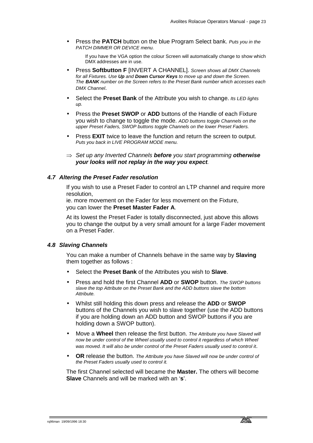• Press the **PATCH** button on the blue Program Select bank. *Puts you in the PATCH DIMMER OR DEVICE menu.*

If you have the VGA option the colour Screen will automatically change to show which DMX addresses are in use.

- Press **Softbutton F** [INVERT A CHANNEL]. *Screen shows all DMX Channels for all Fixtures. Use Up and Down Cursor Keys to move up and down the Screen. The BANK number on the Screen refers to the Preset Bank number which accesses each DMX Channel*.
- Select the **Preset Bank** of the Attribute you wish to change. *Its LED lights up.*
- Press the **Preset SWOP** or **ADD** buttons of the Handle of each Fixture you wish to change to toggle the mode. *ADD buttons toggle Channels on the upper Preset Faders, SWOP buttons toggle Channels on the lower Preset Faders.*
- Press **EXIT** twice to leave the function and return the screen to output. *Puts you back in LIVE PROGRAM MODE menu.*
- ⇒ *Set up any Inverted Channels before you start programming otherwise your looks will not replay in the way you expect.*

# *4.7 Altering the Preset Fader resolution*

If you wish to use a Preset Fader to control an LTP channel and require more resolution,

ie. more movement on the Fader for less movement on the Fixture, you can lower the **Preset Master Fader A**.

At its lowest the Preset Fader is totally disconnected, just above this allows you to change the output by a very small amount for a large Fader movement on a Preset Fader.

# *4.8 Slaving Channels*

You can make a number of Channels behave in the same way by **Slaving** them together as follows :

- Select the **Preset Bank** of the Attributes you wish to **Slave**.
- Press and hold the first Channel **ADD** or **SWOP** button. *The SWOP buttons slave the top Attribute on the Preset Bank and the ADD buttons slave the bottom Attribute.*
- Whilst still holding this down press and release the **ADD** or **SWOP** buttons of the Channels you wish to slave together (use the ADD buttons if you are holding down an ADD button and SWOP buttons if you are holding down a SWOP button).
- Move a **Wheel** then release the first button. *The Attribute you have Slaved will now be under control of the Wheel usually used to control it regardless of which Wheel was moved. It will also be under control of the Preset Faders usually used to control it*.
- **OR** release the button. *The Attribute you have Slaved will now be under control of the Preset Faders usually used to control it.*

The first Channel selected will became the **Master.** The others will become **Slave** Channels and will be marked with an '**s**'.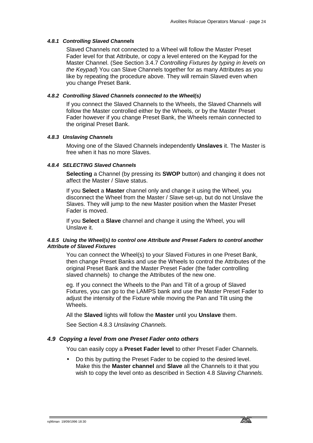# *4.8.1 Controlling Slaved Channels*

Slaved Channels not connected to a Wheel will follow the Master Preset Fader level for that Attribute, or copy a level entered on the Keypad for the Master Channel. (See Section 3.4.7 *Controlling Fixtures by typing in levels on the Keypad*) You can Slave Channels together for as many Attributes as you like by repeating the procedure above. They will remain Slaved even when you change Preset Bank.

# *4.8.2 Controlling Slaved Channels connected to the Wheel(s)*

If you connect the Slaved Channels to the Wheels, the Slaved Channels will follow the Master controlled either by the Wheels, or by the Master Preset Fader however if you change Preset Bank, the Wheels remain connected to the original Preset Bank.

#### *4.8.3 Unslaving Channels*

Moving one of the Slaved Channels independently **Unslaves** it. The Master is free when it has no more Slaves.

# *4.8.4 SELECTING Slaved Channels*

**Selecting** a Channel (by pressing its **SWOP** button) and changing it does not affect the Master / Slave status.

If you **Select** a **Master** channel only and change it using the Wheel, you disconnect the Wheel from the Master / Slave set-up, but do not Unslave the Slaves. They will jump to the new Master position when the Master Preset Fader is moved.

If you **Select** a **Slave** channel and change it using the Wheel, you will Unslave it.

#### *4.8.5 Using the Wheel(s) to control one Attribute and Preset Faders to control another Attribute of Slaved Fixtures*

You can connect the Wheel(s) to your Slaved Fixtures in one Preset Bank, then change Preset Banks and use the Wheels to control the Attributes of the original Preset Bank and the Master Preset Fader (the fader controlling slaved channels) to change the Attributes of the new one.

eg. If you connect the Wheels to the Pan and Tilt of a group of Slaved Fixtures, you can go to the LAMPS bank and use the Master Preset Fader to adjust the intensity of the Fixture while moving the Pan and Tilt using the Wheels.

All the **Slaved** lights will follow the **Master** until you **Unslave** them.

See Section 4.8.3 *Unslaving Channels.*

# *4.9 Copying a level from one Preset Fader onto others*

You can easily copy a **Preset Fader level** to other Preset Fader Channels.

• Do this by putting the Preset Fader to be copied to the desired level. Make this the **Master channel** and **Slave** all the Channels to it that you wish to copy the level onto as described in Section 4.8 *Slaving Channels.*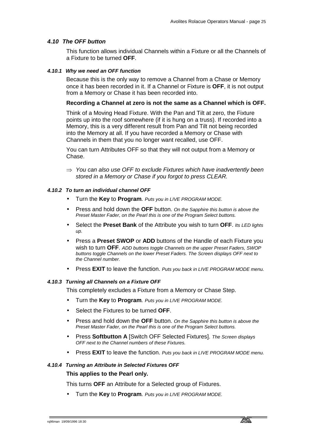# *4.10 The OFF button*

This function allows individual Channels within a Fixture or all the Channels of a Fixture to be turned **OFF**.

#### *4.10.1 Why we need an OFF function*

Because this is the only way to remove a Channel from a Chase or Memory once it has been recorded in it. If a Channel or Fixture is **OFF**, it is not output from a Memory or Chase it has been recorded into.

# **Recording a Channel at zero is not the same as a Channel which is OFF.**

Think of a Moving Head Fixture. With the Pan and Tilt at zero, the Fixture points up into the roof somewhere (if it is hung on a truss). If recorded into a Memory, this is a very different result from Pan and Tilt not being recorded into the Memory at all. If you have recorded a Memory or Chase with Channels in them that you no longer want recalled, use OFF.

You can turn Attributes OFF so that they will not output from a Memory or Chase.

⇒ *You can also use OFF to exclude Fixtures which have inadvertently been stored in a Memory or Chase if you forgot to press CLEAR.* 

#### *4.10.2 To turn an individual channel OFF*

- Turn the **Key** to **Program***. Puts you in LIVE PROGRAM MODE.*
- Press and hold down the **OFF** button. *On the Sapphire this button is above the Preset Master Fader, on the Pearl this is one of the Program Select buttons.*
- Select the **Preset Bank** of the Attribute you wish to turn **OFF**. *Its LED lights up.*
- Press a **Preset SWOP** or **ADD** buttons of the Handle of each Fixture you wish to turn **OFF**. *ADD buttons toggle Channels on the upper Preset Faders, SWOP buttons toggle Channels on the lower Preset Faders. The Screen displays OFF next to the Channel number.*
- Press **EXIT** to leave the function. *Puts you back in LIVE PROGRAM MODE menu.*

#### *4.10.3 Turning all Channels on a Fixture OFF*

This completely excludes a Fixture from a Memory or Chase Step.

- Turn the **Key** to **Program***. Puts you in LIVE PROGRAM MODE.*
- Select the Fixtures to be turned **OFF**.
- Press and hold down the **OFF** button. *On the Sapphire this button is above the Preset Master Fader, on the Pearl this is one of the Program Select buttons.*
- Press **Softbutton A** [Switch OFF Selected Fixtures]. *The Screen displays OFF next to the Channel numbers of these Fixtures.*
- Press **EXIT** to leave the function. *Puts you back in LIVE PROGRAM MODE menu.*

#### *4.10.4 Turning an Attribute in Selected Fixtures OFF*

# **This applies to the Pearl only.**

This turns **OFF** an Attribute for a Selected group of Fixtures.

• Turn the **Key** to **Program***. Puts you in LIVE PROGRAM MODE.*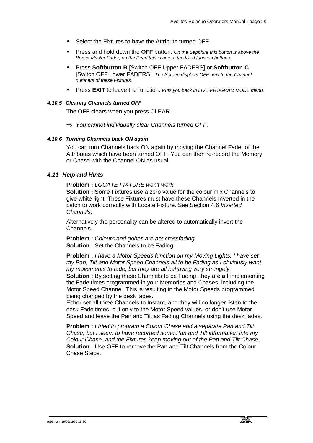- Select the Fixtures to have the Attribute turned OFF.
- Press and hold down the **OFF** button. *On the Sapphire this button is above the Preset Master Fader, on the Pearl this is one of the fixed function buttons*
- Press **Softbutton B** [Switch OFF Upper FADERS] or **Softbutton C**  [Switch OFF Lower FADERS]. *The Screen displays OFF next to the Channel numbers of these Fixtures.*
- Press **EXIT** to leave the function. *Puts you back in LIVE PROGRAM MODE menu.*

#### *4.10.5 Clearing Channels turned OFF*

The **OFF** clears when you press CLEAR**.** 

⇒ *You cannot individually clear Channels turned OFF.* 

#### *4.10.6 Turning Channels back ON again*

You can turn Channels back ON again by moving the Channel Fader of the Attributes which have been turned OFF. You can then re-record the Memory or Chase with the Channel ON as usual.

# *4.11 Help and Hints*

**Problem :** *LOCATE FIXTURE won't work.*

**Solution :** Some Fixtures use a zero value for the colour mix Channels to give white light. These Fixtures must have these Channels Inverted in the patch to work correctly with Locate Fixture. See Section 4.6 *Inverted Channels.*

Alternatively the personality can be altered to automatically invert the Channels.

**Problem :** *Colours and gobos are not crossfading.* **Solution :** Set the Channels to be Fading.

**Problem :** *I have a Motor Speeds function on my Moving Lights. I have set my Pan, Tilt and Motor Speed Channels all to be Fading as I obviously want my movements to fade, but they are all behaving very strangely.* 

**Solution :** By setting these Channels to be Fading, they are **all** implementing the Fade times programmed in your Memories and Chases, including the Motor Speed Channel. This is resulting in the Motor Speeds programmed being changed by the desk fades.

Either set all three Channels to Instant, and they will no longer listen to the desk Fade times, but only to the Motor Speed values, or don't use Motor Speed and leave the Pan and Tilt as Fading Channels using the desk fades.

**Problem :** *I tried to program a Colour Chase and a separate Pan and Tilt Chase, but I seem to have recorded some Pan and Tilt information into my Colour Chase, and the Fixtures keep moving out of the Pan and Tilt Chase.* **Solution : Use OFF to remove the Pan and Tilt Channels from the Colour** Chase Steps.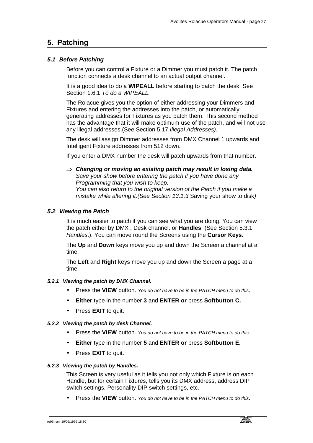# **5. Patching**

# *5.1 Before Patching*

Before you can control a Fixture or a Dimmer you must patch it. The patch function connects a desk channel to an actual output channel.

It is a good idea to do a **WIPEALL** before starting to patch the desk. See Section 1.6.1 *To do a WIPEALL.* 

The Rolacue gives you the option of either addressing your Dimmers and Fixtures and entering the addresses into the patch, or automatically generating addresses for Fixtures as you patch them. This second method has the advantage that it will make optimum use of the patch, and will not use any illegal addresses.(See Section 5.17 *Illegal Addresses).*

The desk will assign Dimmer addresses from DMX Channel 1 upwards and Intelligent Fixture addresses from 512 down.

If you enter a DMX number the desk will patch upwards from that number.

⇒ *Changing or moving an existing patch may result in losing data. Save your show before entering the patch if you have done any Programming that you wish to keep. You can also return to the original version of the Patch if you make a* 

*mistake while altering it.(See Section 13.1.3* Saving your show to disk*)* 

# *5.2 Viewing the Patch*

It is much easier to patch if you can see what you are doing. You can view the patch either by DMX , Desk channel. or **Handles** (See Section 5.3.1 *Handles*.). You can move round the Screens using the **Cursor Keys.** 

The **Up** and **Down** keys move you up and down the Screen a channel at a time.

The **Left** and **Right** keys move you up and down the Screen a page at a time.

# *5.2.1 Viewing the patch by DMX Channel.*

- Press the **VIEW** button. *You do not have to be in the PATCH menu to do this*.
- **Either** type in the number **3** and **ENTER or** press **Softbutton C.**
- Press **EXIT** to quit.

# *5.2.2 Viewing the patch by desk Channel.*

- Press the **VIEW** button. *You do not have to be in the PATCH menu to do this*.
- **Either** type in the number **5** and **ENTER or** press **Softbutton E.**
- Press **EXIT** to quit.

# *5.2.3 Viewing the patch by Handles.*

This Screen is very useful as it tells you not only which Fixture is on each Handle, but for certain Fixtures, tells you its DMX address, address DIP switch settings, Personality DIP switch settings, etc.

• Press the **VIEW** button. *You do not have to be in the PATCH menu to do this*.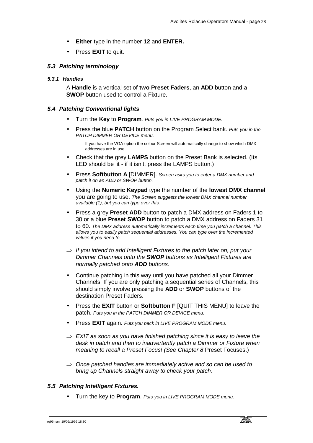- **Either** type in the number **12** and **ENTER.**
- Press **EXIT** to quit.

# *5.3 Patching terminology*

#### *5.3.1 Handles*

A **Handle** is a vertical set of **two Preset Faders**, an **ADD** button and a **SWOP** button used to control a Fixture.

# *5.4 Patching Conventional lights*

- Turn the **Key** to **Program***. Puts you in LIVE PROGRAM MODE.*
- Press the blue **PATCH** button on the Program Select bank. *Puts you in the PATCH DIMMER OR DEVICE menu.*

If you have the VGA option the colour Screen will automatically change to show which DMX addresses are in use.

- Check that the grey **LAMPS** button on the Preset Bank is selected. (Its LED should be lit - if it isn't, press the LAMPS button.)
- Press **Softbutton A** [DIMMER]. *Screen asks you to enter a DMX number and patch it on an ADD or SWOP button.*
- Using the **Numeric Keypad** type the number of the **lowest DMX channel** you are going to use. *The Screen suggests the lowest DMX channel number available (1), but you can type over this.*
- Press a grey **Preset ADD** button to patch a DMX address on Faders 1 to 30 or a blue **Preset SWOP** button to patch a DMX address on Faders 31 to 60. *The DMX address automatically increments each time you patch a channel. This allows you to easily patch sequential addresses. You can type over the incremented values if you need to.*
- ⇒ *If you intend to add Intelligent Fixtures to the patch later on, put your Dimmer Channels onto the SWOP buttons as Intelligent Fixtures are normally patched onto ADD buttons.*
- Continue patching in this way until you have patched all your Dimmer Channels. If you are only patching a sequential series of Channels, this should simply involve pressing the **ADD** or **SWOP** buttons of the destination Preset Faders.
- Press the **EXIT** button or **Softbutton F** [QUIT THIS MENU] to leave the patch. *Puts you in the PATCH DIMMER OR DEVICE menu.*
- Press **EXIT** again. *Puts you back in LIVE PROGRAM MODE menu.*
- ⇒ *EXIT as soon as you have finished patching since it is easy to leave the desk in patch and then to inadvertently patch a Dimmer or Fixture when meaning to recall a Preset Focus! (See Chapter 8* Preset Focuses.)
- ⇒ *Once patched handles are immediately active and so can be used to bring up Channels straight away to check your patch.*

# *5.5 Patching Intelligent Fixtures.*

• Turn the key to **Program**. *Puts you in LIVE PROGRAM MODE menu.*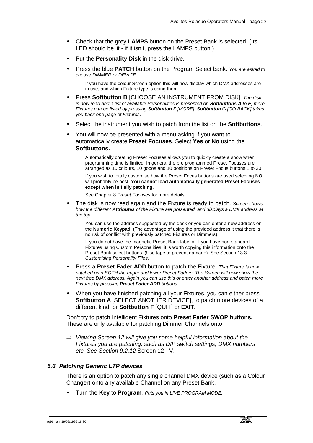- Check that the grey **LAMPS** button on the Preset Bank is selected. (Its LED should be lit - if it isn't, press the LAMPS button.)
- Put the **Personality Disk** in the disk drive.
- Press the blue **PATCH** button on the Program Select bank. *You are asked to choose DIMMER or DEVICE.*

If you have the colour Screen option this will now display which DMX addresses are in use, and which Fixture type is using them.

- Press **Softbutton B** [CHOOSE AN INSTRUMENT FROM DISK]*. The disk is now read and a list of available Personalities is presented on Softbuttons A to E, more Fixtures can be listed by pressing Softbutton F [MORE]. Softbutton G [GO BACK] takes you back one page of Fixtures*.
- Select the instrument you wish to patch from the list on the **Softbuttons**.
- You will now be presented with a menu asking if you want to automatically create **Preset Focuses**. Select **Yes** or **No** using the **Softbuttons.**

Automatically creating Preset Focuses allows you to quickly create a show when programming time is limited. In general the pre programmed Preset Focuses are arranged as 10 colours, 10 gobos and 10 positions on Preset Focus buttons 1 to 30.

If you wish to totally customise how the Preset Focus buttons are used selecting **NO** will probably be best. **You cannot load automatically generated Preset Focuses except when initially patching**.

See Chapter 8 *Preset Focuses* for more details.

• The disk is now read again and the Fixture is ready to patch. *Screen shows how the different Attributes of the Fixture are presented, and displays a DMX address at the top*.

You can use the address suggested by the desk or you can enter a new address on the **Numeric Keypad**. (The advantage of using the provided address it that there is no risk of conflict with previously patched Fixtures or Dimmers).

If you do not have the magnetic Preset Bank label or if you have non-standard Fixtures using Custom Personalities, it is worth copying this information onto the Preset Bank select buttons. (Use tape to prevent damage). See Section 13.3 *Customising Personality Files.*

- Press a **Preset Fader ADD** button to patch the Fixture. *That Fixture is now patched onto BOTH the upper and lower Preset Faders. The Screen will now show the next free DMX address. Again you can use this or enter another address and patch more Fixtures by pressing Preset Fader ADD buttons.*
- When you have finished patching all your Fixtures, you can either press **Softbutton A** [SELECT ANOTHER DEVICE], to patch more devices of a different kind, or **Softbutton F** [QUIT] or **EXIT.**

Don't try to patch Intelligent Fixtures onto **Preset Fader SWOP buttons.** These are only available for patching Dimmer Channels onto.

⇒ *Viewing Screen 12 will give you some helpful information about the Fixtures you are patching, such as DIP switch settings, DMX numbers etc. See Section 9.2.12* Screen 12 - V.

# *5.6 Patching Generic LTP devices*

There is an option to patch any single channel DMX device (such as a Colour Changer) onto any available Channel on any Preset Bank.

• Turn the **Key** to **Program***. Puts you in LIVE PROGRAM MODE.*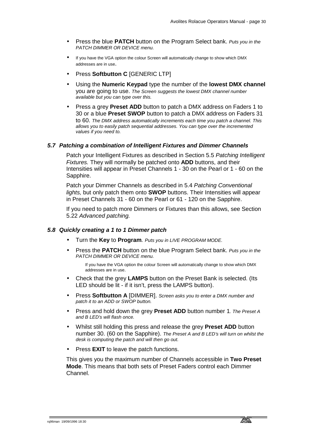- Press the blue **PATCH** button on the Program Select bank. *Puts you in the PATCH DIMMER OR DEVICE menu.*
- If you have the VGA option the colour Screen will automatically change to show which DMX addresses are in use.
- Press **Softbutton C** [GENERIC LTP]
- Using the **Numeric Keypad** type the number of the **lowest DMX channel** you are going to use. *The Screen suggests the lowest DMX channel number available but you can type over this.*
- Press a grey **Preset ADD** button to patch a DMX address on Faders 1 to 30 or a blue **Preset SWOP** button to patch a DMX address on Faders 31 to 60. *The DMX address automatically increments each time you patch a channel. This allows you to easily patch sequential addresses. You can type over the incremented values if you need to.*

# *5.7 Patching a combination of Intelligent Fixtures and Dimmer Channels*

Patch your Intelligent Fixtures as described in Section 5.5 *Patching Intelligent Fixtures.* They will normally be patched onto **ADD** buttons, and their Intensities will appear in Preset Channels 1 - 30 on the Pearl or 1 - 60 on the Sapphire.

Patch your Dimmer Channels as described in 5.4 *Patching Conventional lights,* but only patch them onto **SWOP** buttons. Their Intensities will appear in Preset Channels 31 - 60 on the Pearl or 61 - 120 on the Sapphire.

If you need to patch more Dimmers or Fixtures than this allows, see Section 5.22 *Advanced patching.*

# *5.8 Quickly creating a 1 to 1 Dimmer patch*

- Turn the **Key** to **Program***. Puts you in LIVE PROGRAM MODE.*
- Press the **PATCH** button on the blue Program Select bank. *Puts you in the PATCH DIMMER OR DEVICE menu.*

If you have the VGA option the colour Screen will automatically change to show which DMX addresses are in use.

- Check that the grey **LAMPS** button on the Preset Bank is selected. (Its LED should be lit - if it isn't, press the LAMPS button).
- Press **Softbutton A** [DIMMER]. *Screen asks you to enter a DMX number and patch it to an ADD or SWOP button.*
- Press and hold down the grey **Preset ADD** button number 1*. The Preset A and B LED's will flash once.*
- Whilst still holding this press and release the grey **Preset ADD** button number 30. (60 on the Sapphire). *The Preset A and B LED's will turn on whilst the desk is computing the patch and will then go out.*
- Press **EXIT** to leave the patch functions.

This gives you the maximum number of Channels accessible in **Two Preset Mode**. This means that both sets of Preset Faders control each Dimmer Channel.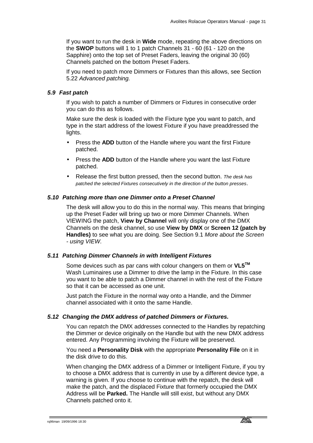If you want to run the desk in **Wide** mode, repeating the above directions on the **SWOP** buttons will 1 to 1 patch Channels 31 - 60 (61 - 120 on the Sapphire) onto the top set of Preset Faders, leaving the original 30 (60) Channels patched on the bottom Preset Faders.

If you need to patch more Dimmers or Fixtures than this allows, see Section 5.22 *Advanced patching.*

# *5.9 Fast patch*

If you wish to patch a number of Dimmers or Fixtures in consecutive order you can do this as follows.

Make sure the desk is loaded with the Fixture type you want to patch, and type in the start address of the lowest Fixture if you have preaddressed the lights.

- Press the **ADD** button of the Handle where you want the first Fixture patched.
- Press the **ADD** button of the Handle where you want the last Fixture patched.
- Release the first button pressed, then the second button. *The desk has patched the selected Fixtures consecutively in the direction of the button presses*.

# *5.10 Patching more than one Dimmer onto a Preset Channel*

The desk will allow you to do this in the normal way. This means that bringing up the Preset Fader will bring up two or more Dimmer Channels. When VIEWING the patch, **View by Channel** will only display one of the DMX Channels on the desk channel, so use **View by DMX** or **Screen 12 (patch by Handles)** to see what you are doing. See Section 9.1 *More about the Screen - using VIEW.*

# *5.11 Patching Dimmer Channels in with Intelligent Fixtures*

Some devices such as par cans with colour changers on them or **VL5TM**  Wash Luminaires use a Dimmer to drive the lamp in the Fixture. In this case you want to be able to patch a Dimmer channel in with the rest of the Fixture so that it can be accessed as one unit.

Just patch the Fixture in the normal way onto a Handle, and the Dimmer channel associated with it onto the same Handle.

# *5.12 Changing the DMX address of patched Dimmers or Fixtures.*

You can repatch the DMX addresses connected to the Handles by repatching the Dimmer or device originally on the Handle but with the new DMX address entered. Any Programming involving the Fixture will be preserved.

# You need a **Personality Disk** with the appropriate **Personality File** on it in the disk drive to do this.

When changing the DMX address of a Dimmer or Intelligent Fixture, if you try to choose a DMX address that is currently in use by a different device type, a warning is given. If you choose to continue with the repatch, the desk will make the patch, and the displaced Fixture that formerly occupied the DMX Address will be **Parked.** The Handle will still exist, but without any DMX Channels patched onto it.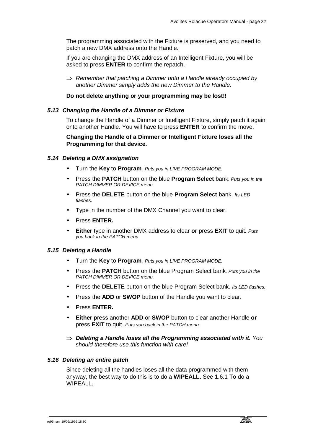The programming associated with the Fixture is preserved, and you need to patch a new DMX address onto the Handle.

If you are changing the DMX address of an Intelligent Fixture, you will be asked to press **ENTER** to confirm the repatch.

⇒ *Remember that patching a Dimmer onto a Handle already occupied by another Dimmer simply adds the new Dimmer to the Handle.* 

# **Do not delete anything or your programming may be lost!!**

#### *5.13 Changing the Handle of a Dimmer or Fixture*

To change the Handle of a Dimmer or Intelligent Fixture, simply patch it again onto another Handle. You will have to press **ENTER** to confirm the move.

# **Changing the Handle of a Dimmer or Intelligent Fixture loses all the Programming for that device.**

#### *5.14 Deleting a DMX assignation*

- Turn the **Key** to **Program***. Puts you in LIVE PROGRAM MODE.*
- Press the **PATCH** button on the blue **Program Select** bank*. Puts you in the PATCH DIMMER OR DEVICE menu.*
- Press the **DELETE** button on the blue **Program Select** bank. *Its LED flashes.*
- Type in the number of the DMX Channel you want to clear.
- Press **ENTER.**
- **Either** type in another DMX address to clear **or** press **EXIT** to quit**.** *Puts you back in the PATCH menu.*

#### *5.15 Deleting a Handle*

- Turn the **Key** to **Program***. Puts you in LIVE PROGRAM MODE.*
- Press the **PATCH** button on the blue Program Select bank*. Puts you in the PATCH DIMMER OR DEVICE menu.*
- Press the **DELETE** button on the blue Program Select bank. *Its LED flashes.*
- Press the **ADD** or **SWOP** button of the Handle you want to clear.
- Press **ENTER.**
- **Either** press another **ADD** or **SWOP** button to clear another Handle **or**  press **EXIT** to quit. *Puts you back in the PATCH menu.*
- ⇒ *Deleting a Handle loses all the Programming associated with it. You should therefore use this function with care!*

#### *5.16 Deleting an entire patch*

Since deleting all the handles loses all the data programmed with them anyway, the best way to do this is to do a **WIPEALL.** See 1.6.1 To do a WIPEALL.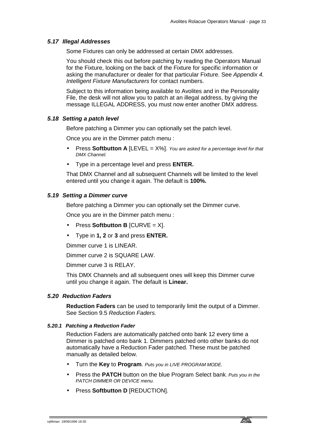# *5.17 Illegal Addresses*

Some Fixtures can only be addressed at certain DMX addresses.

You should check this out before patching by reading the Operators Manual for the Fixture, looking on the back of the Fixture for specific information or asking the manufacturer or dealer for that particular Fixture. See *Appendix 4. Intelligent Fixture Manufacturers* for contact numbers.

Subject to this information being available to Avolites and in the Personality File, the desk will not allow you to patch at an illegal address, by giving the message ILLEGAL ADDRESS, you must now enter another DMX address.

# *5.18 Setting a patch level*

Before patching a Dimmer you can optionally set the patch level.

Once you are in the Dimmer patch menu :

- Press **Softbutton A** [LEVEL = X%]. *You are asked for a percentage level for that DMX Channel.*
- Type in a percentage level and press **ENTER.**

That DMX Channel and all subsequent Channels will be limited to the level entered until you change it again. The default is **100%.**

# *5.19 Setting a Dimmer curve*

Before patching a Dimmer you can optionally set the Dimmer curve.

Once you are in the Dimmer patch menu :

- Press **Softbutton B** [CURVE = X].
- Type in **1, 2** or **3** and press **ENTER.**

Dimmer curve 1 is LINEAR.

Dimmer curve 2 is SQUARE LAW.

Dimmer curve 3 is RELAY.

This DMX Channels and all subsequent ones will keep this Dimmer curve until you change it again. The default is **Linear.**

# *5.20 Reduction Faders*

**Reduction Faders** can be used to temporarily limit the output of a Dimmer. See Section 9.5 *Reduction Faders.*

# *5.20.1 Patching a Reduction Fader*

Reduction Faders are automatically patched onto bank 12 every time a Dimmer is patched onto bank 1. Dimmers patched onto other banks do not automatically have a Reduction Fader patched. These must be patched manually as detailed below.

- Turn the **Key** to **Program***. Puts you in LIVE PROGRAM MODE.*
- Press the **PATCH** button on the blue Program Select bank*. Puts you in the PATCH DIMMER OR DEVICE menu.*
- Press **Softbutton D** [REDUCTION].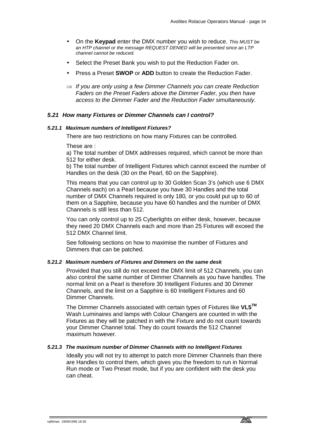- On the **Keypad** enter the DMX number you wish to reduce. *This MUST be an HTP channel or the message REQUEST DENIED will be presented since an LTP channel cannot be reduced.*
- Select the Preset Bank you wish to put the Reduction Fader on.
- Press a Preset **SWOP** or **ADD** button to create the Reduction Fader.
- ⇒ *If you are only using a few Dimmer Channels you can create Reduction Faders on the Preset Faders above the Dimmer Fader, you then have access to the Dimmer Fader and the Reduction Fader simultaneously.*

# *5.21 How many Fixtures or Dimmer Channels can I control?*

#### *5.21.1 Maximum numbers of Intelligent Fixtures?*

There are two restrictions on how many Fixtures can be controlled.

These are :

a) The total number of DMX addresses required, which cannot be more than 512 for either desk.

b) The total number of Intelligent Fixtures which cannot exceed the number of Handles on the desk (30 on the Pearl, 60 on the Sapphire).

This means that you can control up to 30 Golden Scan 3's (which use 6 DMX Channels each) on a Pearl because you have 30 Handles and the total number of DMX Channels required is only 180*,* or you could put up to 60 of them on a Sapphire, because you have 60 handles and the number of DMX Channels is still less than 512.

You can only control up to 25 Cyberlights on either desk, however, because they need 20 DMX Channels each and more than 25 Fixtures will exceed the 512 DMX Channel limit.

See following sections on how to maximise the number of Fixtures and Dimmers that can be patched.

# *5.21.2 Maximum numbers of Fixtures and Dimmers on the same desk*

Provided that you still do not exceed the DMX limit of 512 Channels, you can *also* control the same number of Dimmer Channels as you have handles. The normal limit on a Pearl is therefore 30 Intelligent Fixtures and 30 Dimmer Channels, and the limit on a Sapphire is 60 Intelligent Fixtures and 60 Dimmer Channels.

The Dimmer Channels associated with certain types of Fixtures like **VL5TM** Wash Luminaires and lamps with Colour Changers are counted in with the Fixtures as they will be patched in with the Fixture and do not count towards your Dimmer Channel total. They do count towards the 512 Channel maximum however.

# *5.21.3 The maximum number of Dimmer Channels with no Intelligent Fixtures*

Ideally you will not try to attempt to patch more Dimmer Channels than there are Handles to control them, which gives you the freedom to run in Normal Run mode or Two Preset mode, but if you are confident with the desk you can cheat.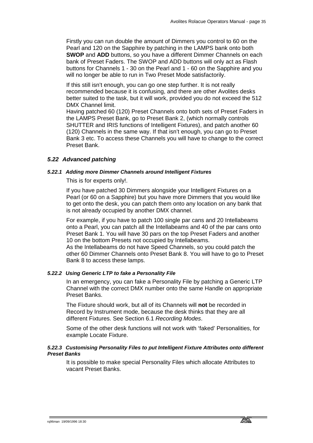Firstly you can run double the amount of Dimmers you control to 60 on the Pearl and 120 on the Sapphire by patching in the LAMPS bank onto both **SWOP** and **ADD** buttons, so you have a different Dimmer Channels on each bank of Preset Faders. The SWOP and ADD buttons will only act as Flash buttons for Channels 1 - 30 on the Pearl and 1 - 60 on the Sapphire and you will no longer be able to run in Two Preset Mode satisfactorily.

If this still isn't enough, you can go one step further. It is not really recommended because it is confusing, and there are other Avolites desks better suited to the task, but it will work, provided you do not exceed the 512 DMX Channel limit.

Having patched 60 (120) Preset Channels onto both sets of Preset Faders in the LAMPS Preset Bank, go to Preset Bank 2, (which normally controls SHUTTER and IRIS functions of Intelligent Fixtures), and patch another 60 (120) Channels in the same way. If that isn't enough, you can go to Preset Bank 3 etc. To access these Channels you will have to change to the correct Preset Bank.

### *5.22 Advanced patching*

#### *5.22.1 Adding more Dimmer Channels around Intelligent Fixtures*

This is for experts only!.

If you have patched 30 Dimmers alongside your Intelligent Fixtures on a Pearl (or 60 on a Sapphire) but you have more Dimmers that you would like to get onto the desk, you can patch them onto any location on any bank that is not already occupied by another DMX channel.

For example, if you have to patch 100 single par cans and 20 Intellabeams onto a Pearl, you can patch all the Intellabeams and 40 of the par cans onto Preset Bank 1. You will have 30 pars on the top Preset Faders and another 10 on the bottom Presets not occupied by Intellabeams.

As the Intellabeams do not have Speed Channels, so you could patch the other 60 Dimmer Channels onto Preset Bank 8. You will have to go to Preset Bank 8 to access these lamps.

### *5.22.2 Using Generic LTP to fake a Personality File*

In an emergency, you can fake a Personality File by patching a Generic LTP Channel with the correct DMX number onto the same Handle on appropriate Preset Banks.

The Fixture should work, but all of its Channels will **not** be recorded in Record by Instrument mode, because the desk thinks that they are all different Fixtures. See Section 6.1 *Recording Modes*.

Some of the other desk functions will not work with 'faked' Personalities, for example Locate Fixture.

### *5.22.3 Customising Personality Files to put Intelligent Fixture Attributes onto different Preset Banks*

It is possible to make special Personality Files which allocate Attributes to vacant Preset Banks.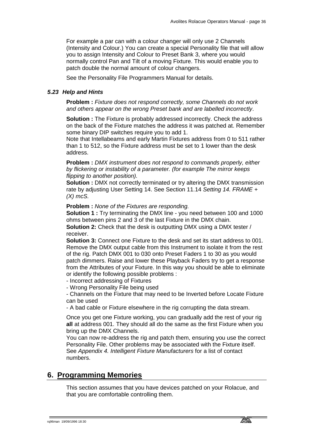For example a par can with a colour changer will only use 2 Channels (Intensity and Colour.) You can create a special Personality file that will allow you to assign Intensity and Colour to Preset Bank 3, where you would normally control Pan and Tilt of a moving Fixture. This would enable you to patch double the normal amount of colour changers.

See the Personality File Programmers Manual for details.

# *5.23 Help and Hints*

**Problem :** *Fixture does not respond correctly, some Channels do not work and others appear on the wrong Preset bank and are labelled incorrectly*.

**Solution :** The Fixture is probably addressed incorrectly. Check the address on the back of the Fixture matches the address it was patched at. Remember some binary DIP switches require you to add 1.

Note that Intellabeams and early Martin Fixtures address from 0 to 511 rather than 1 to 512, so the Fixture address must be set to 1 lower than the desk address.

**Problem :** *DMX instrument does not respond to commands properly, either by flickering or instability of a parameter. (for example The mirror keeps flipping to another position).*

**Solution :** DMX not correctly terminated or try altering the DMX transmission rate by adjusting User Setting 14. See Section 11.14 *Setting 14. FRAME + (X) mcS.* 

**Problem :** *None of the Fixtures are responding.*

**Solution 1 :** Try terminating the DMX line - you need between 100 and 1000 ohms between pins 2 and 3 of the last Fixture in the DMX chain. **Solution 2:** Check that the desk is outputting DMX using a DMX tester / receiver.

**Solution 3:** Connect one Fixture to the desk and set its start address to 001. Remove the DMX output cable from this Instrument to isolate it from the rest of the rig. Patch DMX 001 to 030 onto Preset Faders 1 to 30 as you would patch dimmers. Raise and lower these Playback Faders try to get a response from the Attributes of your Fixture. In this way you should be able to eliminate or identify the following possible problems :

- Incorrect addressing of Fixtures

- Wrong Personality File being used

- Channels on the Fixture that may need to be Inverted before Locate Fixture can be used

- A bad cable or Fixture elsewhere in the rig corrupting the data stream.

Once you get one Fixture working, you can gradually add the rest of your rig **all** at address 001. They should all do the same as the first Fixture when you bring up the DMX Channels.

You can now re-address the rig and patch them, ensuring you use the correct Personality File. Other problems may be associated with the Fixture itself. See *Appendix 4. Intelligent Fixture Manufacturers* for a list of contact numbers.

# **6. Programming Memories**

This section assumes that you have devices patched on your Rolacue, and that you are comfortable controlling them.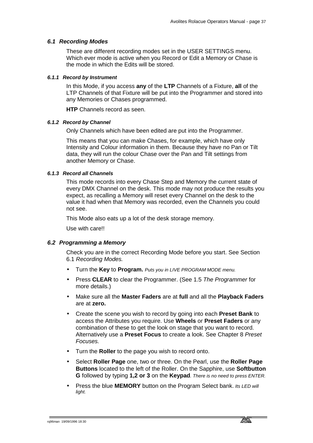# *6.1 Recording Modes*

These are different recording modes set in the USER SETTINGS menu. Which ever mode is active when you Record or Edit a Memory or Chase is the mode in which the Edits will be stored.

## *6.1.1 Record by Instrument*

In this Mode, if you access **any** of the **LTP** Channels of a Fixture, **all** of the LTP Channels of that Fixture will be put into the Programmer and stored into any Memories or Chases programmed.

**HTP** Channels record as seen.

## *6.1.2 Record by Channel*

Only Channels which have been edited are put into the Programmer.

This means that you can make Chases, for example, which have only Intensity and Colour information in them. Because they have no Pan or Tilt data, they will run the colour Chase over the Pan and Tilt settings from another Memory or Chase.

# *6.1.3 Record all Channels*

This mode records into every Chase Step and Memory the current state of every DMX Channel on the desk. This mode may not produce the results you expect, as recalling a Memory will reset every Channel on the desk to the value it had when that Memory was recorded, even the Channels you could not see.

This Mode also eats up a lot of the desk storage memory.

Use with care!!

### *6.2 Programming a Memory*

Check you are in the correct Recording Mode before you start. See Section 6.1 *Recording Modes.*

- Turn the **Key** to **Program.** *Puts you in LIVE PROGRAM MODE menu.*
- Press **CLEAR** to clear the Programmer. (See 1.5 *The Programmer* for more details.)
- Make sure all the **Master Faders** are at **full** and all the **Playback Faders** are at **zero.**
- Create the scene you wish to record by going into each **Preset Bank** to access the Attributes you require. Use **Wheels** or **Preset Faders** or any combination of these to get the look on stage that you want to record. Alternatively use a **Preset Focus** to create a look. See Chapter 8 *Preset Focuses.*
- Turn the **Roller** to the page you wish to record onto.
- Select **Roller Page** one, two or three. On the Pearl, use the **Roller Page Buttons** located to the left of the Roller. On the Sapphire, use **Softbutton G** followed by typing **1,2 or 3** on the **Keypad***. There is no need to press ENTER.*
- Press the blue **MEMORY** button on the Program Select bank. *Its LED will light.*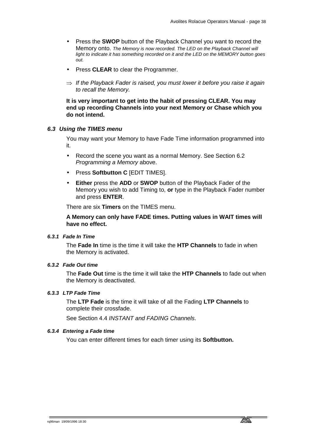- Press the **SWOP** button of the Playback Channel you want to record the Memory onto. *The Memory is now recorded. The LED on the Playback Channel will light to indicate it has something recorded on it and the LED on the MEMORY button goes out.*
- Press **CLEAR** to clear the Programmer.
- ⇒ *If the Playback Fader is raised, you must lower it before you raise it again to recall the Memory.*

**It is very important to get into the habit of pressing CLEAR. You may end up recording Channels into your next Memory or Chase which you do not intend.**

### *6.3 Using the TIMES menu*

You may want your Memory to have Fade Time information programmed into it.

- Record the scene you want as a normal Memory. See Section 6.2 *Programming a Memory* above.
- Press **Softbutton C** [EDIT TIMES].
- **Either** press the **ADD** or **SWOP** button of the Playback Fader of the Memory you wish to add Timing to, **or** type in the Playback Fader number and press **ENTER**.

There are six **Timers** on the TIMES menu.

**A Memory can only have FADE times. Putting values in WAIT times will have no effect.** 

# *6.3.1 Fade In Time*

The **Fade In** time is the time it will take the **HTP Channels** to fade in when the Memory is activated.

# *6.3.2 Fade Out time*

The **Fade Out** time is the time it will take the **HTP Channels** to fade out when the Memory is deactivated.

# *6.3.3 LTP Fade Time*

The **LTP Fade** is the time it will take of all the Fading **LTP Channels** to complete their crossfade.

See Section 4.4 *INSTANT and FADING Channels*.

# *6.3.4 Entering a Fade time*

You can enter different times for each timer using its **Softbutton.**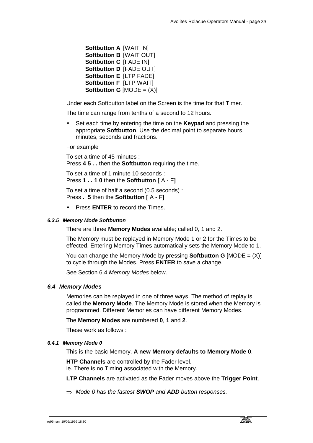**Softbutton A** [WAIT IN] **Softbutton B** [WAIT OUT] **Softbutton C** [FADE IN] **Softbutton D** [FADE OUT] **Softbutton E** [LTP FADE] **Softbutton F** [LTP WAIT] **Softbutton G**  $[MODE = (X)]$ 

Under each Softbutton label on the Screen is the time for that Timer.

The time can range from tenths of a second to 12 hours.

• Set each time by entering the time on the **Keypad** and pressing the appropriate **Softbutton**. Use the decimal point to separate hours, minutes, seconds and fractions.

For example

To set a time of 45 minutes : Press **4 5 . .** then the **Softbutton** requiring the time.

To set a time of 1 minute 10 seconds : Press **1 . . 1 0** then the **Softbutton [** A - F**]**

To set a time of half a second (0.5 seconds) : Press **. 5** then the **Softbutton [** A - F**]**

• Press **ENTER** to record the Times.

# *6.3.5 Memory Mode Softbutton*

There are three **Memory Modes** available; called 0, 1 and 2.

The Memory must be replayed in Memory Mode 1 or 2 for the Times to be effected. Entering Memory Times automatically sets the Memory Mode to 1.

You can change the Memory Mode by pressing **Softbutton G** [MODE = (X)] to cycle through the Modes. Press **ENTER** to save a change.

See Section 6.4 *Memory Modes* below.

### *6.4 Memory Modes*

Memories can be replayed in one of three ways. The method of replay is called the **Memory Mode**. The Memory Mode is stored when the Memory is programmed. Different Memories can have different Memory Modes.

The **Memory Modes** are numbered **0**, **1** and **2**.

These work as follows :

# *6.4.1 Memory Mode 0*

This is the basic Memory. **A new Memory defaults to Memory Mode 0**.

**HTP Channels** are controlled by the Fader level. ie. There is no Timing associated with the Memory.

**LTP Channels** are activated as the Fader moves above the **Trigger Point**.

⇒ *Mode 0 has the fastest SWOP and ADD button responses.*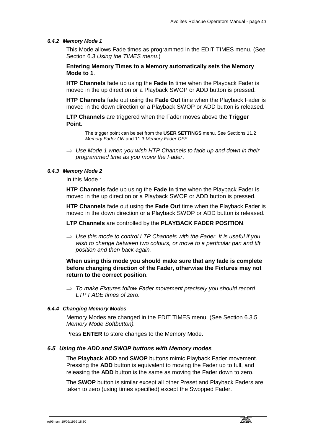#### *6.4.2 Memory Mode 1*

This Mode allows Fade times as programmed in the EDIT TIMES menu. (See Section 6.3 *Using the TIMES menu*.)

**Entering Memory Times to a Memory automatically sets the Memory Mode to 1**.

**HTP Channels** fade up using the **Fade In** time when the Playback Fader is moved in the up direction or a Playback SWOP or ADD button is pressed.

**HTP Channels** fade out using the **Fade Out** time when the Playback Fader is moved in the down direction or a Playback SWOP or ADD button is released.

**LTP Channels** are triggered when the Fader moves above the **Trigger Point**.

> The trigger point can be set from the **USER SETTINGS** menu. See Sections 11.2 *Memory Fader ON* and 11.3 *Memory Fader OFF*.

⇒ *Use Mode 1 when you wish HTP Channels to fade up and down in their programmed time as you move the Fader*.

## *6.4.3 Memory Mode 2*

In this Mode :

**HTP Channels** fade up using the **Fade In** time when the Playback Fader is moved in the up direction or a Playback SWOP or ADD button is pressed.

**HTP Channels** fade out using the **Fade Out** time when the Playback Fader is moved in the down direction or a Playback SWOP or ADD button is released.

**LTP Channels** are controlled by the **PLAYBACK FADER POSITION**.

⇒ *Use this mode to control LTP Channels with the Fader. It is useful if you wish to change between two colours, or move to a particular pan and tilt position and then back again.* 

# **When using this mode you should make sure that any fade is complete before changing direction of the Fader, otherwise the Fixtures may not return to the correct position**.

⇒ *To make Fixtures follow Fader movement precisely you should record LTP FADE times of zero.* 

# *6.4.4 Changing Memory Modes*

Memory Modes are changed in the EDIT TIMES menu. (See Section 6.3.5 *Memory Mode Softbutton).*

Press **ENTER** to store changes to the Memory Mode.

#### *6.5 Using the ADD and SWOP buttons with Memory modes*

The **Playback ADD** and **SWOP** buttons mimic Playback Fader movement. Pressing the **ADD** button is equivalent to moving the Fader up to full, and releasing the **ADD** button is the same as moving the Fader down to zero.

The **SWOP** button is similar except all other Preset and Playback Faders are taken to zero (using times specified) except the Swopped Fader.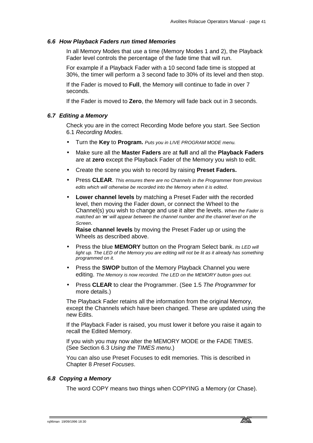#### *6.6 How Playback Faders run timed Memories*

In all Memory Modes that use a time (Memory Modes 1 and 2), the Playback Fader level controls the percentage of the fade time that will run.

For example if a Playback Fader with a 10 second fade time is stopped at 30%, the timer will perform a 3 second fade to 30% of its level and then stop.

If the Fader is moved to **Full**, the Memory will continue to fade in over 7 seconds.

If the Fader is moved to **Zero**, the Memory will fade back out in 3 seconds.

## *6.7 Editing a Memory*

Check you are in the correct Recording Mode before you start. See Section 6.1 *Recording Modes.* 

- Turn the **Key** to **Program.** *Puts you in LIVE PROGRAM MODE menu.*
- Make sure all the **Master Faders** are at **full** and all the **Playback Faders** are at **zero** except the Playback Fader of the Memory you wish to edit.
- Create the scene you wish to record by raising **Preset Faders.**
- Press **CLEAR**. *This ensures there are no Channels in the Programmer from previous edits which will otherwise be recorded into the Memory when it is edited*.
- **Lower channel levels** by matching a Preset Fader with the recorded level, then moving the Fader down, or connect the Wheel to the Channel(s) you wish to change and use it alter the levels. *When the Fader is matched an 'm' will appear between the channel number and the channel level on the Screen*.

**Raise channel levels** by moving the Preset Fader up or using the Wheels as described above.

- Press the blue **MEMORY** button on the Program Select bank. *Its LED will*  light up. The LED of the Memory you are editing will not be lit as it already has something *programmed on it.*
- Press the **SWOP** button of the Memory Playback Channel you were editing. *The Memory is now recorded. The LED on the MEMORY button goes out.*
- Press **CLEAR** to clear the Programmer. (See 1.5 *The Programmer* for more details.)

The Playback Fader retains all the information from the original Memory, except the Channels which have been changed. These are updated using the new Edits.

If the Playback Fader is raised, you must lower it before you raise it again to recall the Edited Memory.

If you wish you may now alter the MEMORY MODE or the FADE TIMES. (See Section 6.3 *Using the TIMES menu*.)

You can also use Preset Focuses to edit memories. This is described in Chapter 8 *Preset Focuses*.

# *6.8 Copying a Memory*

The word COPY means two things when COPYING a Memory (or Chase).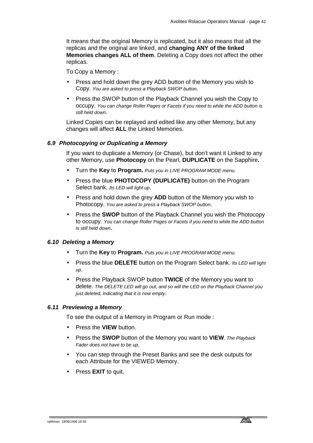It means that the original Memory is replicated, but it also means that all the replicas and the original are linked, and **changing ANY of the linked Memories changes ALL of them**. Deleting a Copy does not affect the other replicas.

To Copy a Memory :

- Press and hold down the grey ADD button of the Memory you wish to Copy. *You are asked to press a Playback SWOP button*.
- Press the SWOP button of the Playback Channel you wish the Copy to occupy. *You can change Roller Pages or Facets if you need to while the ADD button is still held down*.

Linked Copies can be replayed and edited like any other Memory, but any changes will affect **ALL** the Linked Memories.

# *6.9 Photocopying or Duplicating a Memory*

If you want to duplicate a Memory (or Chase), but don't want it Linked to any other Memory, use **Photocopy** on the Pearl, **DUPLICATE** on the Sapphire**.** 

- Turn the **Key** to **Program.** *Puts you in LIVE PROGRAM MODE menu.*
- Press the blue **PHOTOCOPY (DUPLICATE)** button on the Program Select bank. *Its LED will light up*.
- Press and hold down the grey **ADD** button of the Memory you wish to Photocopy. *You are asked to press a Playback SWOP button*.
- Press the **SWOP** button of the Playback Channel you wish the Photocopy to occupy*. You can change Roller Pages or Facets if you need to while the ADD button is still held down*.

# *6.10 Deleting a Memory*

- Turn the **Key** to **Program.** *Puts you in LIVE PROGRAM MODE menu.*
- Press the blue **DELETE** button on the Program Select bank. *Its LED will light up*.
- Press the Playback SWOP button **TWICE** of the Memory you want to delete. *The DELETE LED will go out, and so will the LED on the Playback Channel you just deleted, indicating that it is now empty*.

### *6.11 Previewing a Memory*

To see the output of a Memory in Program or Run mode :

- Press the **VIEW** button.
- Press the **SWOP** button of the Memory you want to **VIEW***. The Playback Fader does not have to be up*.
- You can step through the Preset Banks and see the desk outputs for each Attribute for the VIEWED Memory.
- Press **EXIT** to quit.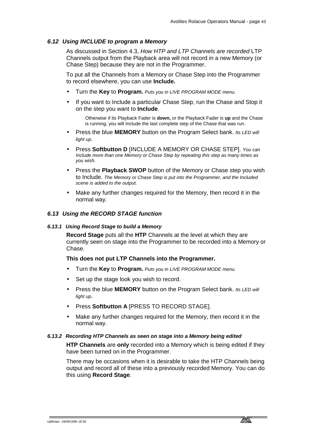# *6.12 Using INCLUDE to program a Memory*

As discussed in Section 4.3, *How HTP and LTP Channels are recorded* LTP Channels output from the Playback area will not record in a new Memory (or Chase Step) because they are not in the Programmer.

To put all the Channels from a Memory or Chase Step into the Programmer to record elsewhere, you can use **Include.** 

- Turn the **Key** to **Program.** *Puts you in LIVE PROGRAM MODE menu.*
- If you want to Include a particular Chase Step, run the Chase and Stop it on the step you want to **Include**.

Otherwise if its Playback Fader is **down,** or the Playback Fader is **up** and the Chase is running, you will Include the last complete step of the Chase that was run.

- Press the blue **MEMORY** button on the Program Select bank. *Its LED will light up*.
- Press **Softbutton D** [INCLUDE A MEMORY OR CHASE STEP]. *You can Include more than one Memory or Chase Step by repeating this step as many times as you wish.*
- Press the **Playback SWOP** button of the Memory or Chase step you wish to Include. *The Memory or Chase Step is put into the Programmer, and the Included scene is added to the output.*
- Make any further changes required for the Memory, then record it in the normal way.

# *6.13 Using the RECORD STAGE function*

### *6.13.1 Using Record Stage to build a Memory*

**Record Stage** puts all the **HTP** Channels at the level at which they are currently seen on stage into the Programmer to be recorded into a Memory or Chase.

### **This does not put LTP Channels into the Programmer.**

- Turn the **Key** to **Program.** *Puts you in LIVE PROGRAM MODE menu.*
- Set up the stage look you wish to record.
- Press the blue **MEMORY** button on the Program Select bank. *Its LED will light up*.
- Press **Softbutton A** [PRESS TO RECORD STAGE].
- Make any further changes required for the Memory, then record it in the normal way.

### *6.13.2 Recording HTP Channels as seen on stage into a Memory being edited*

**HTP Channels** are **only** recorded into a Memory which is being edited if they have been turned on in the Programmer.

There may be occasions when it is desirable to take the HTP Channels being output and record all of these into a previously recorded Memory. You can do this using **Record Stage**.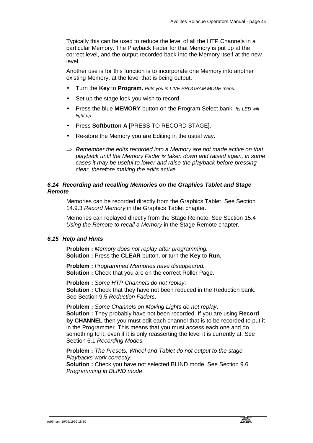Typically this can be used to reduce the level of all the HTP Channels in a particular Memory. The Playback Fader for that Memory is put up at the correct level, and the output recorded back into the Memory itself at the new level.

Another use is for this function is to incorporate one Memory into another existing Memory, at the level that is being output.

- Turn the **Key** to **Program.** *Puts you in LIVE PROGRAM MODE menu.*
- Set up the stage look you wish to record.
- Press the blue **MEMORY** button on the Program Select bank. *Its LED will light up*.
- Press **Softbutton A** [PRESS TO RECORD STAGE].
- Re-store the Memory you are Editing in the usual way.
- ⇒ *Remember the edits recorded into a Memory are not made active on that playback until the Memory Fader is taken down and raised again, in some cases it may be useful to lower and raise the playback before pressing clear, therefore making the edits active.*

# *6.14 Recording and recalling Memories on the Graphics Tablet and Stage Remote*

Memories can be recorded directly from the Graphics Tablet. See Section 14.9.3 *Record Memory* in the Graphics Tablet chapter*.* 

Memories can replayed directly from the Stage Remote. See Section 15.4 *Using the Remote to recall a Memory* in the Stage Remote chapter.

## *6.15 Help and Hints*

**Problem :** *Memory does not replay after programming.* **Solution :** Press the **CLEAR** button, or turn the **Key** to **Run.** 

**Problem :** *Programmed Memories have disappeared.* **Solution :** Check that you are on the correct Roller Page.

**Problem :** *Some HTP Channels do not replay*. **Solution :** Check that they have not been reduced in the Reduction bank. See Section 9.5 *Reduction Faders*.

**Problem :** *Some Channels on Moving Lights do not replay*. **Solution :** They probably have not been recorded. If you are using **Record by CHANNEL** then you must edit each channel that is to be recorded to put it in the Programmer. This means that you must access each one and do something to it, even if it is only reasserting the level it is currently at. See Section 6.1 *Recording Modes.*

**Problem :** *The Presets, Wheel and Tablet do not output to the stage. Playbacks work correctly.*

**Solution :** Check you have not selected BLIND mode. See Section 9.6 *Programming in BLIND mode*.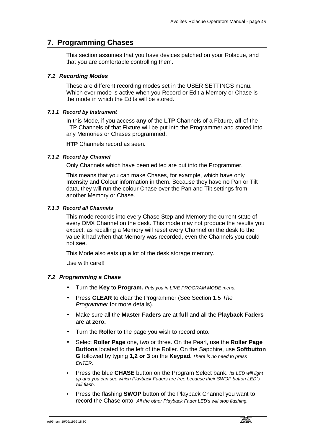# **7. Programming Chases**

This section assumes that you have devices patched on your Rolacue, and that you are comfortable controlling them.

# *7.1 Recording Modes*

These are different recording modes set in the USER SETTINGS menu. Which ever mode is active when you Record or Edit a Memory or Chase is the mode in which the Edits will be stored.

## *7.1.1 Record by Instrument*

In this Mode, if you access **any** of the **LTP** Channels of a Fixture, **all** of the LTP Channels of that Fixture will be put into the Programmer and stored into any Memories or Chases programmed.

**HTP** Channels record as seen.

### *7.1.2 Record by Channel*

Only Channels which have been edited are put into the Programmer.

This means that you can make Chases, for example, which have only Intensity and Colour information in them. Because they have no Pan or Tilt data, they will run the colour Chase over the Pan and Tilt settings from another Memory or Chase.

#### *7.1.3 Record all Channels*

This mode records into every Chase Step and Memory the current state of every DMX Channel on the desk. This mode may not produce the results you expect, as recalling a Memory will reset every Channel on the desk to the value it had when that Memory was recorded, even the Channels you could not see.

This Mode also eats up a lot of the desk storage memory.

Use with care!!

### *7.2 Programming a Chase*

- Turn the **Key** to **Program.** *Puts you in LIVE PROGRAM MODE menu.*
- Press **CLEAR** to clear the Programmer (See Section 1.5 *The Programmer* for more details).
- Make sure all the **Master Faders** are at **full** and all the **Playback Faders** are at **zero.**
- Turn the **Roller** to the page you wish to record onto.
- Select **Roller Page** one, two or three. On the Pearl, use the **Roller Page Buttons** located to the left of the Roller. On the Sapphire, use **Softbutton G** followed by typing **1,2 or 3** on the **Keypad***. There is no need to press ENTER.*
- Press the blue **CHASE** button on the Program Select bank. *Its LED will light up and you can see which Playback Faders are free because their SWOP button LED's will flash.*
- Press the flashing **SWOP** button of the Playback Channel you want to record the Chase onto. *All the other Playback Fader LED's will stop flashing.*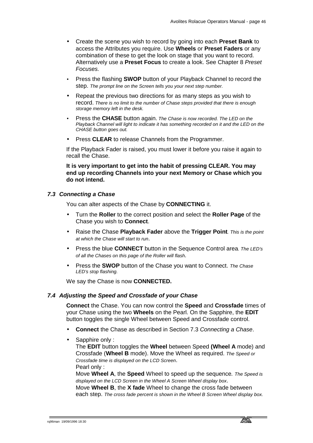- Create the scene you wish to record by going into each **Preset Bank** to access the Attributes you require. Use **Wheels** or **Preset Faders** or any combination of these to get the look on stage that you want to record. Alternatively use a **Preset Focus** to create a look. See Chapter 8 *Preset Focuses.*
- Press the flashing **SWOP** button of your Playback Channel to record the step. *The prompt line on the Screen tells you your next step number.*
- Repeat the previous two directions for as many steps as you wish to record. *There is no limit to the number of Chase steps provided that there is enough storage memory left in the desk.*
- Press the **CHASE** button again. *The Chase is now recorded. The LED on the*  Playback Channel will light to indicate it has something recorded on it and the LED on the *CHASE button goes out.*
- Press **CLEAR** to release Channels from the Programmer.

If the Playback Fader is raised, you must lower it before you raise it again to recall the Chase.

**It is very important to get into the habit of pressing CLEAR. You may end up recording Channels into your next Memory or Chase which you do not intend.**

### *7.3 Connecting a Chase*

You can alter aspects of the Chase by **CONNECTING** it.

- Turn the **Roller** to the correct position and select the **Roller Page** of the Chase you wish to **Connect**.
- Raise the Chase **Playback Fader** above the **Trigger Point***. This is the point at which the Chase will start to run*.
- Press the blue **CONNECT** button in the Sequence Control area*. The LED's of all the Chases on this page of the Roller will flash.*
- Press the **SWOP** button of the Chase you want to Connect. *The Chase LED's stop flashing.*

We say the Chase is now **CONNECTED.**

### *7.4 Adjusting the Speed and Crossfade of your Chase*

**Connect** the Chase. You can now control the **Speed** and **Crossfade** times of your Chase using the two **Wheels** on the Pearl. On the Sapphire, the **EDIT** button toggles the single Wheel between Speed and Crossfade control.

- **Connect** the Chase as described in Section 7.3 *Connecting a Chase*.
- Sapphire only: The **EDIT** button toggles the **Wheel** between Speed **(Wheel A** mode) and Crossfade (**Wheel B** mode). Move the Wheel as required. *The Speed or Crossfade time is displayed on the LCD Screen*. Pearl only :

Move **Wheel A**, the **Speed** Wheel to speed up the sequence*. The Speed is displayed on the LCD Screen in the Wheel A Screen Wheel display box*. Move **Wheel B**, the **X fade** Wheel to change the cross fade between each step. *The cross fade percent is shown in the Wheel B Screen Wheel display box.*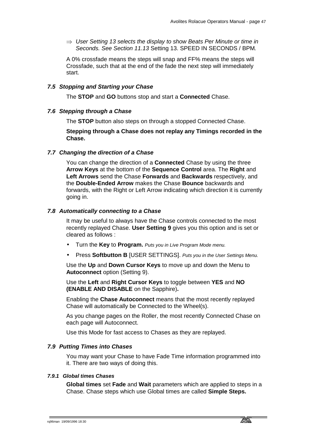⇒ *User Setting 13 selects the display to show Beats Per Minute or time in Seconds. See Section 11.13* Setting 13. SPEED IN SECONDS / BPM*.* 

A 0% crossfade means the steps will snap and FF% means the steps will Crossfade, such that at the end of the fade the next step will immediately start.

# *7.5 Stopping and Starting your Chase*

The **STOP** and **GO** buttons stop and start a **Connected** Chase.

# *7.6 Stepping through a Chase*

The **STOP** button also steps on through a stopped Connected Chase.

**Stepping through a Chase does not replay any Timings recorded in the Chase.**

# *7.7 Changing the direction of a Chase*

You can change the direction of a **Connected** Chase by using the three **Arrow Keys** at the bottom of the **Sequence Control** area. The **Right** and **Left Arrows** send the Chase **Forwards** and **Backwards** respectively, and the **Double-Ended Arrow** makes the Chase **Bounce** backwards and forwards, with the Right or Left Arrow indicating which direction it is currently going in.

# *7.8 Automatically connecting to a Chase*

It may be useful to always have the Chase controls connected to the most recently replayed Chase. **User Setting 9** gives you this option and is set or cleared as follows :

- Turn the **Key** to **Program.** *Puts you in Live Program Mode menu.*
- Press **Softbutton B** [USER SETTINGS]. *Puts you in the User Settings Menu.*

Use the **Up** and **Down Cursor Keys** to move up and down the Menu to **Autoconnect** option (Setting 9).

Use the **Left** and **Right Cursor Keys** to toggle between **YES** and **NO (ENABLE AND DISABLE** on the Sapphire)**.**

Enabling the **Chase Autoconnect** means that the most recently replayed Chase will automatically be Connected to the Wheel(s).

As you change pages on the Roller, the most recently Connected Chase on each page will Autoconnect.

Use this Mode for fast access to Chases as they are replayed.

# *7.9 Putting Times into Chases*

You may want your Chase to have Fade Time information programmed into it. There are two ways of doing this.

### *7.9.1 Global times Chases*

**Global times** set **Fade** and **Wait** parameters which are applied to steps in a Chase. Chase steps which use Global times are called **Simple Steps.**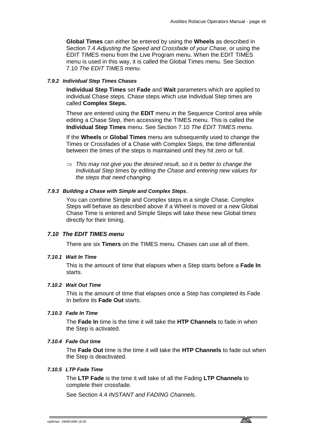**Global Times** can either be entered by using the **Wheels** as described in Section 7.4 *Adjusting the Speed and Crossfade of your Chase*, or using the EDIT TIMES menu from the Live Program menu. When the EDIT TIMES menu is used in this way, it is called the Global Times menu. See Section 7.10 *The EDIT TIMES menu*.

# *7.9.2 Individual Step Times Chases*

**Individual Step Times** set **Fade** and **Wait** parameters which are applied to individual Chase steps. Chase steps which use Individual Step times are called **Complex Steps.** 

These are entered using the **EDIT** menu in the Sequence Control area while editing a Chase Step, then accessing the TIMES menu. This is called the **Individual Step Times** menu. See Section 7.10 *The EDIT TIMES menu.*

If the **Wheels** or **Global Times** menu are subsequently used to change the Times or Crossfades of a Chase with Complex Steps, the time differential between the times of the steps is maintained until they hit zero or full.

⇒ *This may not give you the desired result, so it is better to change the Individual Step times by editing the Chase and entering new values for the steps that need changing.* 

# *7.9.3 Building a Chase with Simple and Complex Steps..*

You can combine Simple and Complex steps in a single Chase. Complex Steps will behave as described above if a Wheel is moved or a new Global Chase Time is entered and Simple Steps will take these new Global times directly for their timing.

# *7.10 The EDIT TIMES menu*

There are six **Timers** on the TIMES menu. Chases can use all of them.

## *7.10.1 Wait In Time*

This is the amount of time that elapses when a Step starts before a **Fade In** starts.

### *7.10.2 Wait Out Time*

This is the amount of time that elapses once a Step has completed its Fade In before its **Fade Out** starts.

# *7.10.3 Fade In Time*

The **Fade In** time is the time it will take the **HTP Channels** to fade in when the Step is activated.

### *7.10.4 Fade Out time*

The **Fade Out** time is the time it will take the **HTP Channels** to fade out when the Step is deactivated.

# *7.10.5 LTP Fade Time*

The **LTP Fade** is the time it will take of all the Fading **LTP Channels** to complete their crossfade.

See Section 4.4 *INSTANT and FADING Channels.*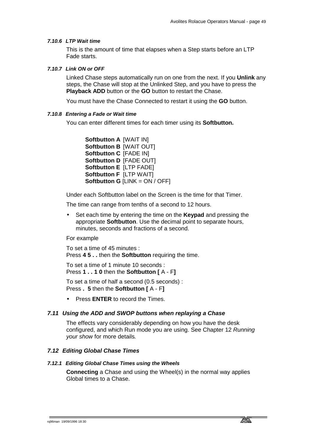#### *7.10.6 LTP Wait time*

This is the amount of time that elapses when a Step starts before an LTP Fade starts.

#### *7.10.7 Link ON or OFF*

Linked Chase steps automatically run on one from the next. If you **Unlink** any steps, the Chase will stop at the Unlinked Step, and you have to press the **Playback ADD** button or the **GO** button to restart the Chase.

You must have the Chase Connected to restart it using the **GO** button.

# *7.10.8 Entering a Fade or Wait time*

You can enter different times for each timer using its **Softbutton.**

**Softbutton A** [WAIT IN] **Softbutton B** [WAIT OUT] **Softbutton C** [FADE IN] **Softbutton D** [FADE OUT] **Softbutton E** [LTP FADE] **Softbutton F** [LTP WAIT] **Softbutton G** [LINK = ON / OFF]

Under each Softbutton label on the Screen is the time for that Timer.

The time can range from tenths of a second to 12 hours.

• Set each time by entering the time on the **Keypad** and pressing the appropriate **Softbutton**. Use the decimal point to separate hours, minutes, seconds and fractions of a second.

For example

To set a time of 45 minutes : Press **4 5 . .** then the **Softbutton** requiring the time.

To set a time of 1 minute 10 seconds : Press **1 . . 1 0** then the **Softbutton [** A - F**]**

To set a time of half a second (0.5 seconds) : Press **. 5** then the **Softbutton [** A - F**]**

• Press **ENTER** to record the Times.

#### *7.11 Using the ADD and SWOP buttons when replaying a Chase*

The effects vary considerably depending on how you have the desk configured, and which Run mode you are using. See Chapter 12 *Running your show* for more details*.*

#### *7.12 Editing Global Chase Times*

#### *7.12.1 Editing Global Chase Times using the Wheels*

**Connecting** a Chase and using the Wheel(s) in the normal way applies Global times to a Chase.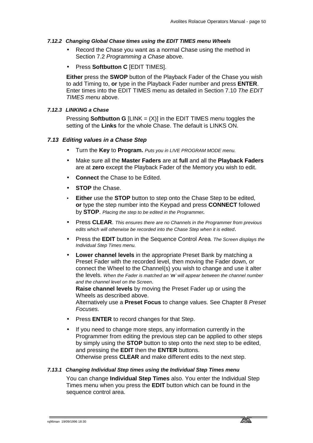# *7.12.2 Changing Global Chase times using the EDIT TIMES menu Wheels*

- Record the Chase you want as a normal Chase using the method in Section 7.2 *Programming a Chase* above.
- Press **Softbutton C** [EDIT TIMES].

**Either** press the **SWOP** button of the Playback Fader of the Chase you wish to add Timing to, **or** type in the Playback Fader number and press **ENTER**. Enter times into the EDIT TIMES menu as detailed in Section 7.10 *The EDIT TIMES menu* above.

### *7.12.3 LINKING a Chase*

Pressing **Softbutton G** [LINK = (X)] in the EDIT TIMES menu toggles the setting of the **Links** for the whole Chase. The default is LINKS ON.

# *7.13 Editing values in a Chase Step*

- Turn the **Key** to **Program.** *Puts you in LIVE PROGRAM MODE menu.*
- Make sure all the **Master Faders** are at **full** and all the **Playback Faders** are at **zero** except the Playback Fader of the Memory you wish to edit.
- **Connect the Chase to be Edited.**
- **STOP** the Chase.
- **Either** use the **STOP** button to step onto the Chase Step to be edited, **or** type the step number into the Keypad and press **CONNECT** followed by **STOP**. *Placing the step to be edited in the Programmer.*
- Press **CLEAR**. *This ensures there are no Channels in the Programmer from previous edits which will otherwise be recorded into the Chase Step when it is edited*.
- Press the **EDIT** button in the Sequence Control Area*. The Screen displays the Individual Step Times menu.*
- **Lower channel levels** in the appropriate Preset Bank by matching a Preset Fader with the recorded level, then moving the Fader down, or connect the Wheel to the Channel(s) you wish to change and use it alter the levels. *When the Fader is matched an 'm' will appear between the channel number and the channel level on the Screen*.

**Raise channel levels** by moving the Preset Fader up or using the Wheels as described above.

Alternatively use a **Preset Focus** to change values. See Chapter 8 *Preset Focuses.*

- Press **ENTER** to record changes for that Step.
- If you need to change more steps, any information currently in the Programmer from editing the previous step can be applied to other steps by simply using the **STOP** button to step onto the next step to be edited, and pressing the **EDIT** then the **ENTER** buttons. Otherwise press **CLEAR** and make different edits to the next step.

### *7.13.1 Changing Individual Step times using the Individual Step Times menu*

You can change **Individual Step Times** also. You enter the Individual Step Times menu when you press the **EDIT** button which can be found in the sequence control area.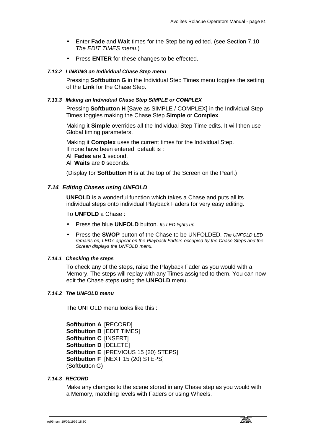- Enter **Fade** and **Wait** times for the Step being edited. (see Section 7.10 *The EDIT TIMES menu*.)
- Press **ENTER** for these changes to be effected.

#### *7.13.2 LINKING an Individual Chase Step menu*

Pressing **Softbutton G** in the Individual Step Times menu toggles the setting of the **Link** for the Chase Step.

#### *7.13.3 Making an Individual Chase Step SIMPLE or COMPLEX*

Pressing **Softbutton H** [Save as SIMPLE / COMPLEX] in the Individual Step Times toggles making the Chase Step **Simple** or **Complex**.

Making it **Simple** overrides all the Individual Step Time edits. It will then use Global timing parameters.

Making it **Complex** uses the current times for the Individual Step. If none have been entered, default is : All **Fades** are **1** second. All **Waits** are **0** seconds.

(Display for **Softbutton H** is at the top of the Screen on the Pearl.)

#### *7.14 Editing Chases using UNFOLD*

**UNFOLD** is a wonderful function which takes a Chase and puts all its individual steps onto individual Playback Faders for very easy editing.

To **UNFOLD** a Chase :

- Press the blue **UNFOLD** button. *Its LED lights up.*
- Press the **SWOP** button of the Chase to be UNFOLDED. *The UNFOLD LED remains on, LED's appear on the Playback Faders occupied by the Chase Steps and the Screen displays the UNFOLD menu.*

#### *7.14.1 Checking the steps*

To check any of the steps, raise the Playback Fader as you would with a Memory. The steps will replay with any Times assigned to them. You can now edit the Chase steps using the **UNFOLD** menu.

#### *7.14.2 The UNFOLD menu*

The UNFOLD menu looks like this :

**Softbutton A** [RECORD] **Softbutton B** [EDIT TIMES] **Softbutton C** [INSERT] **Softbutton D** [DELETE] **Softbutton E** [PREVIOUS 15 (20) STEPS] **Softbutton F** [NEXT 15 (20) STEPS] (Softbutton G)

### *7.14.3 RECORD*

Make any changes to the scene stored in any Chase step as you would with a Memory, matching levels with Faders or using Wheels.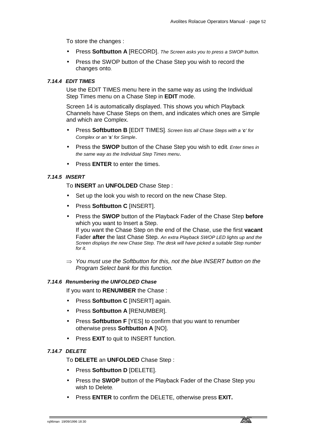To store the changes :

- Press **Softbutton A** [RECORD]. *The Screen asks you to press a SWOP button.*
- Press the SWOP button of the Chase Step you wish to record the changes onto*.*

# *7.14.4 EDIT TIMES*

Use the EDIT TIMES menu here in the same way as using the Individual Step Times menu on a Chase Step in **EDIT** mode.

Screen 14 is automatically displayed. This shows you which Playback Channels have Chase Steps on them, and indicates which ones are Simple and which are Complex.

- Press **Softbutton B** [EDIT TIMES]*. Screen lists all Chase Steps with a 'c' for Complex or an 's' for Simple*.
- Press the **SWOP** button of the Chase Step you wish to edit*. Enter times in the same way as the Individual Step Times menu*.
- Press **ENTER** to enter the times.

# *7.14.5 INSERT*

To **INSERT** an **UNFOLDED** Chase Step :

- Set up the look you wish to record on the new Chase Step.
- Press **Softbutton C** [INSERT].
- Press the **SWOP** button of the Playback Fader of the Chase Step **before** which you want to Insert a Step. If you want the Chase Step on the end of the Chase, use the first **vacant** Fader **after** the last Chase Step. *An extra Playback SWOP LED lights up and the Screen displays the new Chase Step. The desk will have picked a suitable Step number for it.*
- ⇒ *You must use the Softbutton for this, not the blue INSERT button on the Program Select bank for this function.*

### *7.14.6 Renumbering the UNFOLDED Chase*

If you want to **RENUMBER** the Chase :

- Press **Softbutton C** [INSERT] again.
- Press **Softbutton A** [RENUMBER].
- Press **Softbutton F** [YES] to confirm that you want to renumber otherwise press **Softbutton A** [NO].
- Press **EXIT** to quit to INSERT function.

### *7.14.7 DELETE*

To **DELETE** an **UNFOLDED** Chase Step :

- Press **Softbutton D** [DELETE].
- Press the **SWOP** button of the Playback Fader of the Chase Step you wish to Delete*.*
- Press **ENTER** to confirm the DELETE, otherwise press **EXIT.**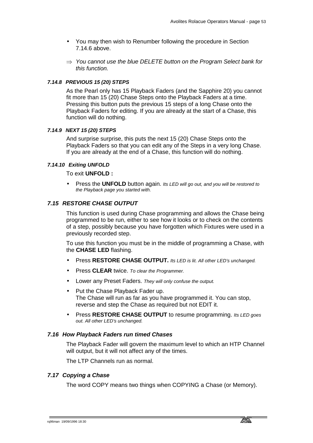- You may then wish to Renumber following the procedure in Section 7.14.6 above.
- ⇒ *You cannot use the blue DELETE button on the Program Select bank for this function.*

# *7.14.8 PREVIOUS 15 (20) STEPS*

As the Pearl only has 15 Playback Faders (and the Sapphire 20) you cannot fit more than 15 (20) Chase Steps onto the Playback Faders at a time. Pressing this button puts the previous 15 steps of a long Chase onto the Playback Faders for editing. If you are already at the start of a Chase, this function will do nothing.

### *7.14.9 NEXT 15 (20) STEPS*

And surprise surprise, this puts the next 15 (20) Chase Steps onto the Playback Faders so that you can edit any of the Steps in a very long Chase. If you are already at the end of a Chase, this function will do nothing.

# *7.14.10 Exiting UNFOLD*

To exit **UNFOLD :** 

• Press the **UNFOLD** button again. *Its LED will go out, and you will be restored to the Playback page you started with.*

# *7.15 RESTORE CHASE OUTPUT*

This function is used during Chase programming and allows the Chase being programmed to be run, either to see how it looks or to check on the contents of a step, possibly because you have forgotten which Fixtures were used in a previously recorded step.

To use this function you must be in the middle of programming a Chase, with the **CHASE LED** flashing.

- Press **RESTORE CHASE OUTPUT.** *Its LED is lit. All other LED's unchanged.*
- Press **CLEAR** twice. *To clear the Programmer.*
- Lower any Preset Faders. *They will only confuse the output.*
- Put the Chase Playback Fader up. The Chase will run as far as you have programmed it. You can stop, reverse and step the Chase as required but not EDIT it.
- Press **RESTORE CHASE OUTPUT** to resume programming. *Its LED goes out. All other LED's unchanged.*

### *7.16 How Playback Faders run timed Chases*

The Playback Fader will govern the maximum level to which an HTP Channel will output, but it will not affect any of the times.

The LTP Channels run as normal.

### *7.17 Copying a Chase*

The word COPY means two things when COPYING a Chase (or Memory).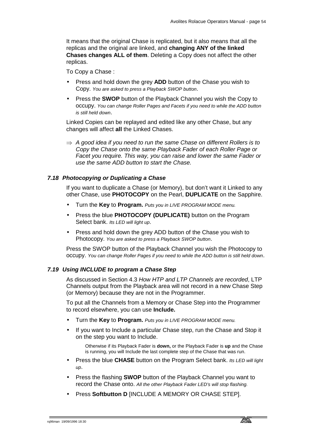It means that the original Chase is replicated, but it also means that all the replicas and the original are linked, and **changing ANY of the linked Chases changes ALL of them**. Deleting a Copy does not affect the other replicas.

To Copy a Chase :

- Press and hold down the grey **ADD** button of the Chase you wish to Copy. *You are asked to press a Playback SWOP button*.
- Press the **SWOP** button of the Playback Channel you wish the Copy to occupy. *You can change Roller Pages and Facets if you need to while the ADD button is still held down*.

Linked Copies can be replayed and edited like any other Chase, but any changes will affect **all** the Linked Chases.

⇒ *A good idea if you need to run the same Chase on different Rollers is to Copy the Chase onto the same Playback Fader of each Roller Page or Facet you require. This way, you can raise and lower the same Fader or use the same ADD button to start the Chase.* 

# *7.18 Photocopying or Duplicating a Chase*

If you want to duplicate a Chase (or Memory), but don't want it Linked to any other Chase, use **PHOTOCOPY** on the Pearl, **DUPLICATE** on the Sapphire.

- Turn the **Key** to **Program.** *Puts you in LIVE PROGRAM MODE menu.*
- Press the blue **PHOTOCOPY (DUPLICATE)** button on the Program Select bank. *Its LED will light up*.
- Press and hold down the grey ADD button of the Chase you wish to Photocopy. *You are asked to press a Playback SWOP button*.

Press the SWOP button of the Playback Channel you wish the Photocopy to occupy. *You can change Roller Pages if you need to while the ADD button is still held down*.

## *7.19 Using INCLUDE to program a Chase Step*

As discussed in Section 4.3 *How HTP and LTP Channels are recorded*, LTP Channels output from the Playback area will not record in a new Chase Step (or Memory) because they are not in the Programmer.

To put all the Channels from a Memory or Chase Step into the Programmer to record elsewhere, you can use **Include.** 

- Turn the **Key** to **Program.** *Puts you in LIVE PROGRAM MODE menu.*
- If you want to Include a particular Chase step, run the Chase and Stop it on the step you want to Include.

Otherwise if its Playback Fader is **down,** or the Playback Fader is **up** and the Chase is running, you will Include the last complete step of the Chase that was run.

- Press the blue **CHASE** button on the Program Select bank. *Its LED will light up*.
- Press the flashing **SWOP** button of the Playback Channel you want to record the Chase onto. *All the other Playback Fader LED's will stop flashing.*
- Press **Softbutton D** [INCLUDE A MEMORY OR CHASE STEP].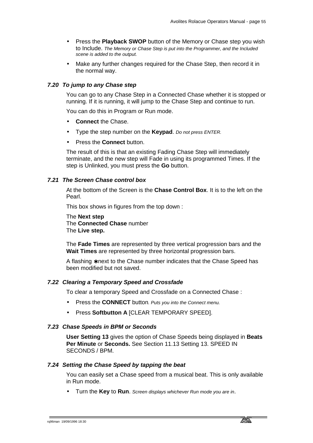- Press the **Playback SWOP** button of the Memory or Chase step you wish to Include. *The Memory or Chase Step is put into the Programmer, and the Included scene is added to the output.*
- Make any further changes required for the Chase Step, then record it in the normal way.

# *7.20 To jump to any Chase step*

You can go to any Chase Step in a Connected Chase whether it is stopped or running. If it is running, it will jump to the Chase Step and continue to run.

You can do this in Program or Run mode.

- **Connect** the Chase.
- Type the step number on the **Keypad**. *Do not press ENTER.*
- Press the **Connect** button.

The result of this is that an existing Fading Chase Step will immediately terminate, and the new step will Fade in using its programmed Times. If the step is Unlinked, you must press the **Go** button.

# *7.21 The Screen Chase control box*

At the bottom of the Screen is the **Chase Control Box**. It is to the left on the Pearl.

This box shows in figures from the top down :

The **Next step** The **Connected Chase** number The **Live step.**

The **Fade Times** are represented by three vertical progression bars and the **Wait Times** are represented by three horizontal progression bars.

A flashing ∗ next to the Chase number indicates that the Chase Speed has been modified but not saved.

### *7.22 Clearing a Temporary Speed and Crossfade*

To clear a temporary Speed and Crossfade on a Connected Chase :

- Press the **CONNECT** button*. Puts you into the Connect menu.*
- Press **Softbutton A** [CLEAR TEMPORARY SPEED].

# *7.23 Chase Speeds in BPM or Seconds*

**User Setting 13** gives the option of Chase Speeds being displayed in **Beats Per Minute** or **Seconds.** See Section 11.13 Setting 13. SPEED IN SECONDS / BPM.

### *7.24 Setting the Chase Speed by tapping the beat*

You can easily set a Chase speed from a musical beat. This is only available in Run mode.

• Turn the **Key** to **Run**. *Screen displays whichever Run mode you are in*.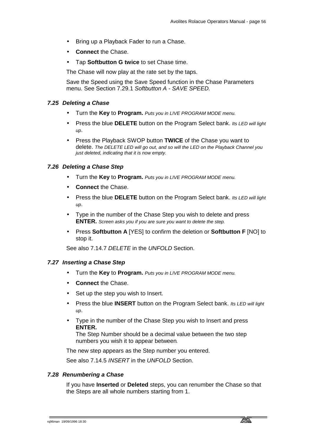- Bring up a Playback Fader to run a Chase.
- **Connect** the Chase.
- Tap **Softbutton G twice** to set Chase time.

The Chase will now play at the rate set by the taps.

Save the Speed using the Save Speed function in the Chase Parameters menu. See Section 7.29.1 *Softbutton A - SAVE SPEED.*

### *7.25 Deleting a Chase*

- Turn the **Key** to **Program.** *Puts you in LIVE PROGRAM MODE menu.*
- Press the blue **DELETE** button on the Program Select bank. *Its LED will light up*.
- Press the Playback SWOP button **TWICE** of the Chase you want to delete. *The DELETE LED will go out, and so will the LED on the Playback Channel you just deleted, indicating that it is now empty.*

# *7.26 Deleting a Chase Step*

- Turn the **Key** to **Program.** *Puts you in LIVE PROGRAM MODE menu.*
- **Connect the Chase.**
- Press the blue **DELETE** button on the Program Select bank. *Its LED will light up*.
- Type in the number of the Chase Step you wish to delete and press **ENTER.** *Screen asks you if you are sure you want to delete the step.*
- Press **Softbutton A** [YES] to confirm the deletion or **Softbutton F** [NO] to stop it.

See also 7.14.7 *DELETE* in the *UNFOLD* Section.

### *7.27 Inserting a Chase Step*

- Turn the **Key** to **Program.** *Puts you in LIVE PROGRAM MODE menu.*
- **Connect** the Chase.
- Set up the step you wish to Insert.
- Press the blue **INSERT** button on the Program Select bank. *Its LED will light up*.
- Type in the number of the Chase Step you wish to Insert and press **ENTER.**

The Step Number should be a decimal value between the two step numbers you wish it to appear between*.*

The new step appears as the Step number you entered.

See also 7.14.5 *INSERT* in the *UNFOLD* Section.

# *7.28 Renumbering a Chase*

If you have **Inserted** or **Deleted** steps, you can renumber the Chase so that the Steps are all whole numbers starting from 1.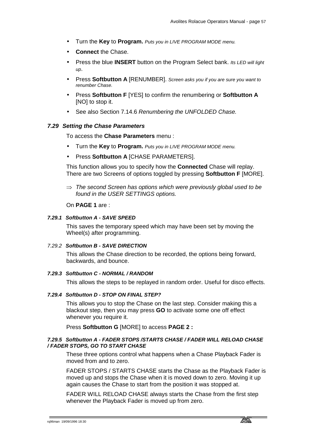- Turn the **Key** to **Program.** *Puts you in LIVE PROGRAM MODE menu.*
- **Connect** the Chase.
- Press the blue **INSERT** button on the Program Select bank. *Its LED will light up*.
- Press **Softbutton A** [RENUMBER]. *Screen asks you if you are sure you want to renumber Chase.*
- Press **Softbutton F** [YES] to confirm the renumbering or **Softbutton A**  [NO] to stop it.
- See also Section 7.14.6 *Renumbering the UNFOLDED Chase.*

### *7.29 Setting the Chase Parameters*

To access the **Chase Parameters** menu :

- Turn the **Key** to **Program.** *Puts you in LIVE PROGRAM MODE menu.*
- Press **Softbutton A** [CHASE PARAMETERS].

This function allows you to specify how the **Connected** Chase will replay. There are two Screens of options toggled by pressing **Softbutton F** [MORE].

⇒ *The second Screen has options which were previously global used to be found in the USER SETTINGS options.* 

On **PAGE 1** are :

# *7.29.1 Softbutton A - SAVE SPEED*

This saves the temporary speed which may have been set by moving the Wheel(s) after programming.

## *7.29.2 Softbutton B - SAVE DIRECTION*

This allows the Chase direction to be recorded, the options being forward, backwards, and bounce.

### *7.29.3 Softbutton C - NORMAL / RANDOM*

This allows the steps to be replayed in random order. Useful for disco effects.

### *7.29.4 Softbutton D - STOP ON FINAL STEP?*

This allows you to stop the Chase on the last step. Consider making this a blackout step, then you may press **GO** to activate some one off effect whenever you require it.

Press **Softbutton G** [MORE] to access **PAGE 2 :**

### *7.29.5 Softbutton A - FADER STOPS /STARTS CHASE / FADER WILL RELOAD CHASE / FADER STOPS, GO TO START CHASE*

These three options control what happens when a Chase Playback Fader is moved from and to zero.

FADER STOPS / STARTS CHASE starts the Chase as the Playback Fader is moved up and stops the Chase when it is moved down to zero. Moving it up again causes the Chase to start from the position it was stopped at.

FADER WILL RELOAD CHASE always starts the Chase from the first step whenever the Playback Fader is moved up from zero.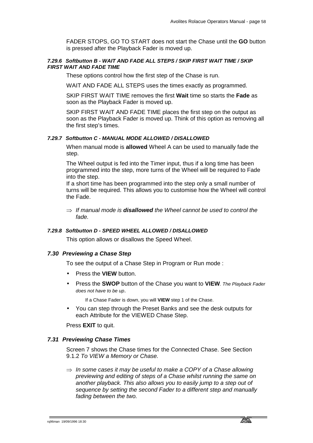FADER STOPS, GO TO START does not start the Chase until the **GO** button is pressed after the Playback Fader is moved up.

# *7.29.6 Softbutton B - WAIT AND FADE ALL STEPS / SKIP FIRST WAIT TIME / SKIP FIRST WAIT AND FADE TIME*

These options control how the first step of the Chase is run.

WAIT AND FADE ALL STEPS uses the times exactly as programmed.

SKIP FIRST WAIT TIME removes the first **Wait** time so starts the **Fade** as soon as the Playback Fader is moved up.

SKIP FIRST WAIT AND FADE TIME places the first step on the output as soon as the Playback Fader is moved up. Think of this option as removing all the first step's times.

## *7.29.7 Softbutton C - MANUAL MODE ALLOWED / DISALLOWED*

When manual mode is **allowed** Wheel A can be used to manually fade the step.

The Wheel output is fed into the Timer input, thus if a long time has been programmed into the step, more turns of the Wheel will be required to Fade into the step.

If a short time has been programmed into the step only a small number of turns will be required. This allows you to customise how the Wheel will control the Fade.

⇒ *If manual mode is disallowed the Wheel cannot be used to control the fade.* 

# *7.29.8 Softbutton D - SPEED WHEEL ALLOWED / DISALLOWED*

This option allows or disallows the Speed Wheel.

#### *7.30 Previewing a Chase Step*

To see the output of a Chase Step in Program or Run mode :

- Press the **VIEW** button.
- Press the **SWOP** button of the Chase you want to **VIEW***. The Playback Fader does not have to be up*.

If a Chase Fader is down, you will **VIEW** step 1 of the Chase.

• You can step through the Preset Banks and see the desk outputs for each Attribute for the VIEWED Chase Step.

Press **EXIT** to quit.

#### *7.31 Previewing Chase Times*

Screen 7 shows the Chase times for the Connected Chase. See Section 9.1.2 *To VIEW a Memory or Chase.*

⇒ *In some cases it may be useful to make a COPY of a Chase allowing previewing and editing of steps of a Chase whilst running the same on another playback. This also allows you to easily jump to a step out of sequence by setting the second Fader to a different step and manually fading between the two.*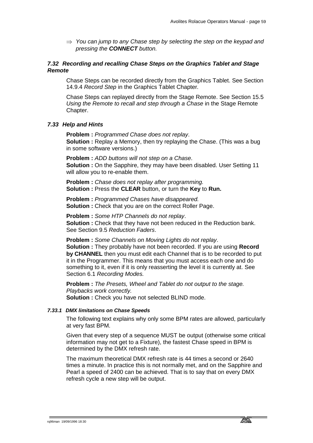⇒ *You can jump to any Chase step by selecting the step on the keypad and pressing the CONNECT button.* 

## *7.32 Recording and recalling Chase Steps on the Graphics Tablet and Stage Remote*

Chase Steps can be recorded directly from the Graphics Tablet. See Section 14.9.4 *Record Step* in the Graphics Tablet Chapter*.* 

Chase Steps can replayed directly from the Stage Remote. See Section 15.5 *Using the Remote to recall and step through a Chase* in the Stage Remote Chapter.

# *7.33 Help and Hints*

**Problem :** *Programmed Chase does not replay*. **Solution :** Replay a Memory, then try replaying the Chase. (This was a bug in some software versions.)

**Problem :** *ADD buttons will not step on a Chase*. **Solution :** On the Sapphire, they may have been disabled. User Setting 11 will allow you to re-enable them.

**Problem :** *Chase does not replay after programming.* **Solution :** Press the **CLEAR** button, or turn the **Key** to **Run.** 

**Problem :** *Programmed Chases have disappeared.* **Solution :** Check that you are on the correct Roller Page.

**Problem :** *Some HTP Channels do not replay*. **Solution :** Check that they have not been reduced in the Reduction bank. See Section 9.5 *Reduction Faders*.

**Problem :** *Some Channels on Moving Lights do not replay*. **Solution :** They probably have not been recorded. If you are using **Record by CHANNEL** then you must edit each Channel that is to be recorded to put it in the Programmer. This means that you must access each one and do something to it, even if it is only reasserting the level it is currently at. See Section 6.1 *Recording Modes.*

**Problem :** *The Presets, Wheel and Tablet do not output to the stage. Playbacks work correctly.* **Solution :** Check you have not selected BLIND mode.

#### *7.33.1 DMX limitations on Chase Speeds*

The following text explains why only some BPM rates are allowed, particularly at very fast BPM.

Given that every step of a sequence MUST be output (otherwise some critical information may not get to a Fixture), the fastest Chase speed in BPM is determined by the DMX refresh rate.

The maximum theoretical DMX refresh rate is 44 times a second or 2640 times a minute. In practice this is not normally met, and on the Sapphire and Pearl a speed of 2400 can be achieved. That is to say that on every DMX refresh cycle a new step will be output.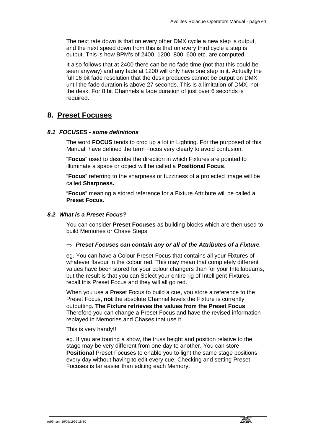The next rate down is that on every other DMX cycle a new step is output, and the next speed down from this is that on every third cycle a step is output. This is how BPM's of 2400, 1200, 800, 600 etc. are computed.

It also follows that at 2400 there can be no fade time (not that this could be seen anyway) and any fade at 1200 will only have one step in it. Actually the full 16 bit fade resolution that the desk produces cannot be output on DMX until the fade duration is above 27 seconds. This is a limitation of DMX, not the desk. For 8 bit Channels a fade duration of just over 6 seconds is required.

# **8. Preset Focuses**

# *8.1 FOCUSES - some definitions*

The word **FOCUS** tends to crop up a lot in Lighting. For the purposed of this Manual, have defined the term Focus very clearly to avoid confusion.

"**Focus**" used to describe the direction in which Fixtures are pointed to illuminate a space or object will be called a **Positional Focus**.

"**Focus**" referring to the sharpness or fuzziness of a projected image will be called **Sharpness.** 

"**Focus**" meaning a stored reference for a Fixture Attribute will be called a **Preset Focus.** 

# *8.2 What is a Preset Focus?*

You can consider **Preset Focuses** as building blocks which are then used to build Memories or Chase Steps.

# ⇒ *Preset Focuses can contain any or all of the Attributes of a Fixture.*

eg. You can have a Colour Preset Focus that contains all your Fixtures of whatever flavour in the colour red. This may mean that completely different values have been stored for your colour changers than for your Intellabeams, but the result is that you can Select your entire rig of Intelligent Fixtures, recall this Preset Focus and they will all go red.

When you use a Preset Focus to build a cue, you store a reference to the Preset Focus, **not** the absolute Channel levels the Fixture is currently outputting**. The Fixture retrieves the values from the Preset Focus**. Therefore you can change a Preset Focus and have the revised information replayed in Memories and Chases that use it.

### This is very handy!!

eg. If you are touring a show, the truss height and position relative to the stage may be very different from one day to another. You can store **Positional** Preset Focuses to enable you to light the same stage positions every day without having to edit every cue. Checking and setting Preset Focuses is far easier than editing each Memory.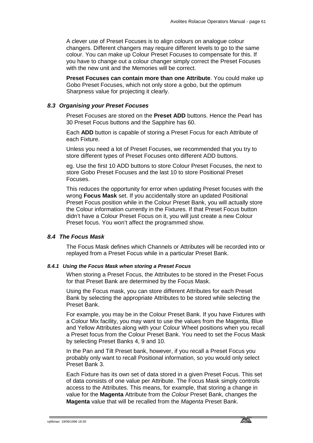A clever use of Preset Focuses is to align colours on analogue colour changers. Different changers may require different levels to go to the same colour. You can make up Colour Preset Focuses to compensate for this. If you have to change out a colour changer simply correct the Preset Focuses with the new unit and the Memories will be correct.

**Preset Focuses can contain more than one Attribute**. You could make up Gobo Preset Focuses, which not only store a gobo, but the optimum Sharpness value for projecting it clearly.

#### *8.3 Organising your Preset Focuses*

Preset Focuses are stored on the **Preset ADD** buttons. Hence the Pearl has 30 Preset Focus buttons and the Sapphire has 60.

Each **ADD** button is capable of storing a Preset Focus for each Attribute of each Fixture.

Unless you need a lot of Preset Focuses, we recommended that you try to store different types of Preset Focuses onto different ADD buttons.

eg. Use the first 10 ADD buttons to store Colour Preset Focuses, the next to store Gobo Preset Focuses and the last 10 to store Positional Preset Focuses.

This reduces the opportunity for error when updating Preset focuses with the wrong **Focus Mask** set. If you accidentally store an updated Positional Preset Focus position while in the Colour Preset Bank, you will actually store the Colour information currently in the Fixtures. If that Preset Focus button didn't have a Colour Preset Focus on it, you will just create a new Colour Preset focus. You won't affect the programmed show.

# *8.4 The Focus Mask*

The Focus Mask defines which Channels or Attributes will be recorded into or replayed from a Preset Focus while in a particular Preset Bank.

#### *8.4.1 Using the Focus Mask when storing a Preset Focus*

When storing a Preset Focus, the Attributes to be stored in the Preset Focus for that Preset Bank are determined by the Focus Mask.

Using the Focus mask, you can store different Attributes for each Preset Bank by selecting the appropriate Attributes to be stored while selecting the Preset Bank.

For example, you may be in the Colour Preset Bank. If you have Fixtures with a Colour Mix facility, you may want to use the values from the Magenta, Blue and Yellow Attributes along with your Colour Wheel positions when you recall a Preset focus from the Colour Preset Bank. You need to set the Focus Mask by selecting Preset Banks 4, 9 and 10.

In the Pan and Tilt Preset bank, however, if you recall a Preset Focus you probably only want to recall Positional information, so you would only select Preset Bank 3.

Each Fixture has its own set of data stored in a given Preset Focus. This set of data consists of one value per Attribute. The Focus Mask simply controls access to the Attributes. This means, for example, that storing a change in value for the **Magenta** Attribute from the *Colour* Preset Bank, changes the **Magenta** value that will be recalled from the *Magenta* Preset Bank.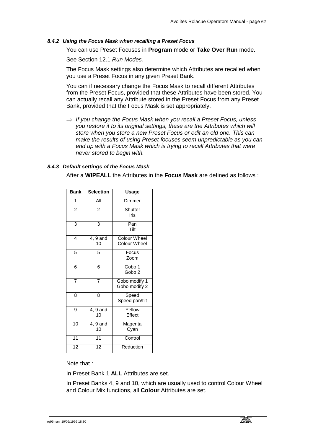# *8.4.2 Using the Focus Mask when recalling a Preset Focus*

You can use Preset Focuses in **Program** mode or **Take Over Run** mode.

See Section 12.1 *Run Modes.*

The Focus Mask settings also determine which Attributes are recalled when you use a Preset Focus in any given Preset Bank.

You can if necessary change the Focus Mask to recall different Attributes from the Preset Focus, provided that these Attributes have been stored. You can actually recall any Attribute stored in the Preset Focus from any Preset Bank, provided that the Focus Mask is set appropriately.

⇒ *If you change the Focus Mask when you recall a Preset Focus, unless you restore it to its original settings, these are the Attributes which will store when you store a new Preset Focus or edit an old one. This can make the results of using Preset focuses seem unpredictable as you can end up with a Focus Mask which is trying to recall Attributes that were never stored to begin with.* 

# *8.4.3 Default settings of the Focus Mask*

After a **WIPEALL** the Attributes in the **Focus Mask** are defined as follows :

| Bank            | <b>Selection</b> | <b>Usage</b>                               |  |
|-----------------|------------------|--------------------------------------------|--|
| 1               | All              | Dimmer                                     |  |
| $\overline{2}$  | 2                | Shutter<br>Iris                            |  |
| 3               | 3                | Pan<br>Tilt                                |  |
| 4               | 4, 9 and<br>10   | <b>Colour Wheel</b><br><b>Colour Wheel</b> |  |
| 5               | 5                | Focus<br>Zoom                              |  |
| 6               | 6                | Gobo 1<br>Gobo <sub>2</sub>                |  |
| $\overline{7}$  | $\overline{7}$   | Gobo modify 1<br>Gobo modify 2             |  |
| 8               | 8                | Speed<br>Speed pan/tilt                    |  |
| 9               | 4, 9 and<br>10   | Yellow<br>Effect                           |  |
| 10              | 4, 9 and<br>10   | Magenta<br>Cyan                            |  |
| $\overline{11}$ | 11               | Control                                    |  |
| 12              | 12               | Reduction                                  |  |

Note that :

In Preset Bank 1 **ALL** Attributes are set.

In Preset Banks 4, 9 and 10, which are usually used to control Colour Wheel and Colour Mix functions, all **Colour** Attributes are set.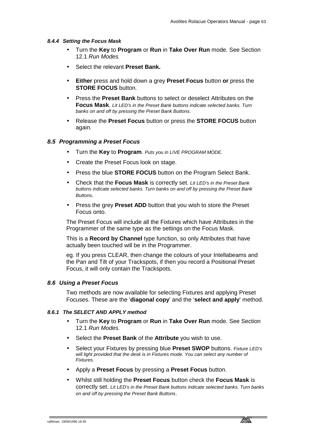#### *8.4.4 Setting the Focus Mask*

- Turn the **Key** to **Program** or **Run** in **Take Over Run** mode*.* See Section 12.1 *Run Modes.*
- Select the relevant **Preset Bank.**
- **Either** press and hold down a grey **Preset Focus** button **or** press the **STORE FOCUS** button.
- Press the **Preset Bank** buttons to select or deselect Attributes on the **Focus Mask**. *Lit LED's in the Preset Bank buttons indicate selected banks. Turn banks on and off by pressing the Preset Bank Buttons.*
- Release the **Preset Focus** button or press the **STORE FOCUS** button again.

### *8.5 Programming a Preset Focus*

- Turn the **Key** to **Program***. Puts you in LIVE PROGRAM MODE.*
- Create the Preset Focus look on stage.
- Press the blue **STORE FOCUS** button on the Program Select Bank.
- Check that the **Focus Mask** is correctly set. *Lit LED's in the Preset Bank buttons indicate selected banks. Turn banks on and off by pressing the Preset Bank Buttons.*
- Press the grey **Preset ADD** button that you wish to store the Preset Focus onto.

The Preset Focus will include all the Fixtures which have Attributes in the Programmer of the same type as the settings on the Focus Mask.

This is a **Record by Channel** type function, so only Attributes that have actually been touched will be in the Programmer.

eg. If you press CLEAR, then change the colours of your Intellabeams and the Pan and Tilt of your Trackspots, if then you record a Positional Preset Focus, it will only contain the Trackspots.

### *8.6 Using a Preset Focus*

Two methods are now available for selecting Fixtures and applying Preset Focuses. These are the '**diagonal copy**' and the '**select and apply**' method.

### *8.6.1 The SELECT AND APPLY method*

- Turn the **Key** to **Program** or **Run** in **Take Over Run** mode*.* See Section 12.1 *Run Modes.*
- Select the **Preset Bank** of the **Attribute** you wish to use.
- Select your Fixtures by pressing blue **Preset SWOP** buttons. *Fixture LED's*  will light provided that the desk is in Fixtures mode. You can select any number of *Fixtures.*
- Apply a **Preset Focus** by pressing a **Preset Focus** button.
- Whilst still holding the **Preset Focus** button check the **Focus Mask** is correctly set. *Lit LED's in the Preset Bank buttons indicate selected banks. Turn banks on and off by pressing the Preset Bank Buttons*.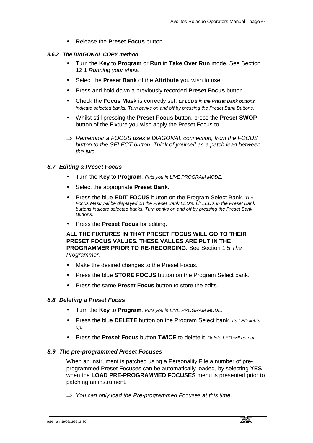• Release the **Preset Focus** button.

# *8.6.2 The DIAGONAL COPY method*

- Turn the **Key** to **Program** or **Run** in **Take Over Run** mode*.* See Section 12.1 *Running your show.*
- Select the **Preset Bank** of the **Attribute** you wish to use.
- Press and hold down a previously recorded **Preset Focus** button.
- Check the **Focus Mas**k is correctly set. *Lit LED's in the Preset Bank buttons indicate selected banks. Turn banks on and off by pressing the Preset Bank Buttons*.
- Whilst still pressing the **Preset Focus** button, press the **Preset SWOP**  button of the Fixture you wish apply the Preset Focus to.
- ⇒ *Remember a FOCUS uses a DIAGONAL connection, from the FOCUS button to the SELECT button. Think of yourself as a patch lead between the two.*

# *8.7 Editing a Preset Focus*

- Turn the **Key** to **Program***. Puts you in LIVE PROGRAM MODE.*
- Select the appropriate **Preset Bank.**
- Press the blue **EDIT FOCUS** button on the Program Select Bank. *The Focus Mask will be displayed on the Preset Bank LED's. Lit LED's in the Preset Bank buttons indicate selected banks. Turn banks on and off by pressing the Preset Bank Buttons.*
- Press the **Preset Focus** for editing.

**ALL THE FIXTURES IN THAT PRESET FOCUS WILL GO TO THEIR PRESET FOCUS VALUES. THESE VALUES ARE PUT IN THE PROGRAMMER PRIOR TO RE-RECORDING.** See Section 1.5 *The Programmer.*

- Make the desired changes to the Preset Focus.
- Press the blue **STORE FOCUS** button on the Program Select bank.
- Press the same **Preset Focus** button to store the edits.

# *8.8 Deleting a Preset Focus*

- Turn the **Key** to **Program***. Puts you in LIVE PROGRAM MODE.*
- Press the blue **DELETE** button on the Program Select bank. *Its LED lights up*.
- Press the **Preset Focus** button **TWICE** to delete it*. Delete LED will go out.*

### *8.9 The pre-programmed Preset Focuses*

When an instrument is patched using a Personality File a number of preprogrammed Preset Focuses can be automatically loaded, by selecting **YES** when the **LOAD PRE-PROGRAMMED FOCUSES** menu is presented prior to patching an instrument.

⇒ *You can only load the Pre-programmed Focuses at this time.*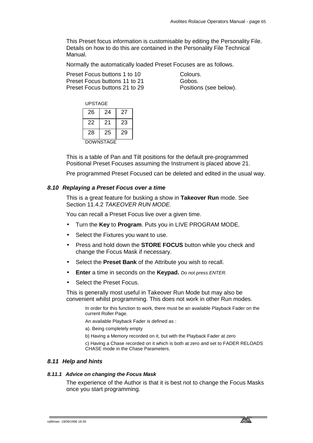This Preset focus information is customisable by editing the Personality File. Details on how to do this are contained in the Personality File Technical Manual.

Normally the automatically loaded Preset Focuses are as follows.

Preset Focus buttons 1 to 10 Colours. Preset Focus buttons 11 to 21 Gobos. Preset Focus buttons 21 to 29 Positions (see below).

| UPSTAGE          |    |    |  |
|------------------|----|----|--|
| 26               | 24 | 27 |  |
| 22               | 21 | 23 |  |
| 28               | 25 | 29 |  |
| <b>DOWNSTAGE</b> |    |    |  |

This is a table of Pan and Tilt positions for the default pre-programmed Positional Preset Focuses assuming the Instrument is placed above 21.

Pre programmed Preset Focused can be deleted and edited in the usual way.

# *8.10 Replaying a Preset Focus over a time*

This is a great feature for busking a show in **Takeover Run** mode. See Section 11.4.2 *TAKEOVER RUN MODE.*

You can recall a Preset Focus live over a given time.

- Turn the **Key** to **Program**. Puts you in LIVE PROGRAM MODE.
- Select the Fixtures you want to use.
- Press and hold down the **STORE FOCUS** button while you check and change the Focus Mask if necessary.
- Select the **Preset Bank** of the Attribute you wish to recall.
- **Enter** a time in seconds on the **Keypad.** *Do not press ENTER.*
- Select the Preset Focus.

This is generally most useful in Takeover Run Mode but may also be convenient whilst programming. This does not work in other Run modes.

> In order for this function to work, there must be an available Playback Fader on the current Roller Page.

An available Playback Fader is defined as :

- a). Being completely empty
- b) Having a Memory recorded on it, but with the Playback Fader at zero

c) Having a Chase recorded on it which is both at zero and set to FADER RELOADS CHASE mode in the Chase Parameters.

# *8.11 Help and hints*

#### *8.11.1 Advice on changing the Focus Mask*

The experience of the Author is that it is best not to change the Focus Masks once you start programming.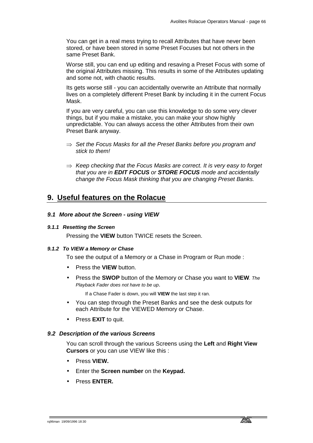You can get in a real mess trying to recall Attributes that have never been stored, or have been stored in some Preset Focuses but not others in the same Preset Bank.

Worse still, you can end up editing and resaving a Preset Focus with some of the original Attributes missing. This results in some of the Attributes updating and some not, with chaotic results.

Its gets worse still - you can accidentally overwrite an Attribute that normally lives on a completely different Preset Bank by including it in the current Focus Mask.

If you are very careful, you can use this knowledge to do some very clever things, but if you make a mistake, you can make your show highly unpredictable. You can always access the other Attributes from their own Preset Bank anyway.

- ⇒ *Set the Focus Masks for all the Preset Banks before you program and stick to them!*
- ⇒ *Keep checking that the Focus Masks are correct. It is very easy to forget that you are in EDIT FOCUS or STORE FOCUS mode and accidentally change the Focus Mask thinking that you are changing Preset Banks.*

# **9. Useful features on the Rolacue**

# *9.1 More about the Screen - using VIEW*

### *9.1.1 Resetting the Screen*

Pressing the **VIEW** button TWICE resets the Screen.

### *9.1.2 To VIEW a Memory or Chase*

To see the output of a Memory or a Chase in Program or Run mode :

- Press the **VIEW** button.
- Press the **SWOP** button of the Memory or Chase you want to **VIEW***. The Playback Fader does not have to be up*.

If a Chase Fader is down, you will **VIEW** the last step it ran.

- You can step through the Preset Banks and see the desk outputs for each Attribute for the VIEWED Memory or Chase.
- Press **EXIT** to quit.

### *9.2 Description of the various Screens*

You can scroll through the various Screens using the **Left** and **Right View Cursors** or you can use VIEW like this :

- Press **VIEW.**
- Enter the **Screen number** on the **Keypad.**
- Press **ENTER.**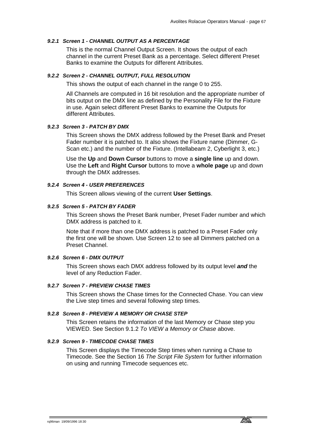# *9.2.1 Screen 1 - CHANNEL OUTPUT AS A PERCENTAGE*

This is the normal Channel Output Screen. It shows the output of each channel in the current Preset Bank as a percentage. Select different Preset Banks to examine the Outputs for different Attributes.

#### *9.2.2 Screen 2 - CHANNEL OUTPUT, FULL RESOLUTION*

This shows the output of each channel in the range 0 to 255.

All Channels are computed in 16 bit resolution and the appropriate number of bits output on the DMX line as defined by the Personality File for the Fixture in use. Again select different Preset Banks to examine the Outputs for different Attributes.

#### *9.2.3 Screen 3 - PATCH BY DMX*

This Screen shows the DMX address followed by the Preset Bank and Preset Fader number it is patched to. It also shows the Fixture name (Dimmer, G-Scan etc.) and the number of the Fixture. (Intellabeam 2, Cyberlight 3, etc.)

Use the **Up** and **Down Cursor** buttons to move a **single line** up and down. Use the **Left** and **Right Cursor** buttons to move a **whole page** up and down through the DMX addresses.

#### *9.2.4 Screen 4 - USER PREFERENCES*

This Screen allows viewing of the current **User Settings**.

#### *9.2.5 Screen 5 - PATCH BY FADER*

This Screen shows the Preset Bank number, Preset Fader number and which DMX address is patched to it.

Note that if more than one DMX address is patched to a Preset Fader only the first one will be shown. Use Screen 12 to see all Dimmers patched on a Preset Channel.

#### *9.2.6 Screen 6 - DMX OUTPUT*

This Screen shows each DMX address followed by its output level *and* the level of any Reduction Fader.

#### *9.2.7 Screen 7 - PREVIEW CHASE TIMES*

This Screen shows the Chase times for the Connected Chase. You can view the Live step times and several following step times.

#### *9.2.8 Screen 8 - PREVIEW A MEMORY OR CHASE STEP*

This Screen retains the information of the last Memory or Chase step you VIEWED. See Section 9.1.2 *To VIEW a Memory or Chase* above.

#### *9.2.9 Screen 9 - TIMECODE CHASE TIMES*

This Screen displays the Timecode Step times when running a Chase to Timecode. See the Section 16 *The Script File System* for further information on using and running Timecode sequences etc.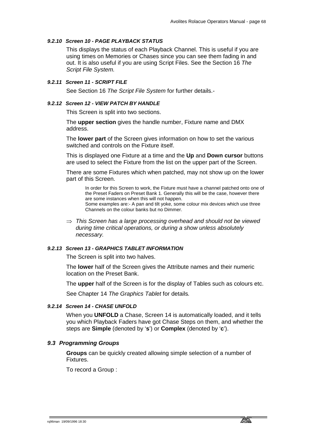# *9.2.10 Screen 10 - PAGE PLAYBACK STATUS*

This displays the status of each Playback Channel. This is useful if you are using times on Memories or Chases since you can see them fading in and out. It is also useful if you are using Script Files. See the Section 16 *The Script File System.*

# *9.2.11 Screen 11 - SCRIPT FILE*

See Section 16 *The Script File System* for further details.-

# *9.2.12 Screen 12 - VIEW PATCH BY HANDLE*

This Screen is split into two sections.

The **upper section** gives the handle number, Fixture name and DMX address.

The **lower part** of the Screen gives information on how to set the various switched and controls on the Fixture itself.

This is displayed one Fixture at a time and the **Up** and **Down cursor** buttons are used to select the Fixture from the list on the upper part of the Screen.

There are some Fixtures which when patched, may not show up on the lower part of this Screen.

In order for this Screen to work, the Fixture must have a channel patched onto one of the Preset Faders on Preset Bank 1. Generally this will be the case, however there are some instances when this will not happen. Some examples are:- A pan and tilt yoke, some colour mix devices which use three Channels on the colour banks but no Dimmer.

⇒ *This Screen has a large processing overhead and should not be viewed during time critical operations, or during a show unless absolutely necessary.* 

# *9.2.13 Screen 13 - GRAPHICS TABLET INFORMATION*

The Screen is split into two halves.

The **lower** half of the Screen gives the Attribute names and their numeric location on the Preset Bank.

The **upper** half of the Screen is for the display of Tables such as colours etc.

See Chapter 14 *The Graphics Tablet* for details*.*

### *9.2.14 Screen 14 - CHASE UNFOLD*

When you **UNFOLD** a Chase, Screen 14 is automatically loaded, and it tells you which Playback Faders have got Chase Steps on them, and whether the steps are **Simple** (denoted by '**s**') or **Complex** (denoted by '**c**').

# *9.3 Programming Groups*

**Groups** can be quickly created allowing simple selection of a number of Fixtures.

To record a Group :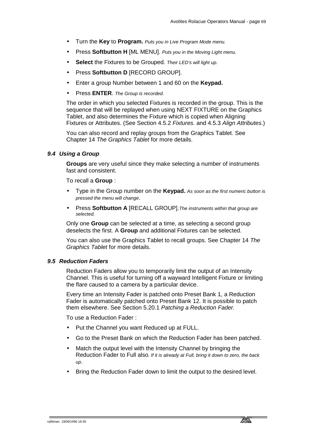- Turn the **Key** to **Program.** *Puts you in Live Program Mode menu.*
- Press **Softbutton H** [ML MENU]. *Puts you in the Moving Light menu.*
- **Select** the Fixtures to be Grouped. *Their LED's will light up.*
- Press **Softbutton D** [RECORD GROUP].
- Enter a group Number between 1 and 60 on the **Keypad.**
- Press **ENTER**. *The Group is recorded.*

The order in which you selected Fixtures is recorded in the group. This is the sequence that will be replayed when using NEXT FIXTURE on the Graphics Tablet, and also determines the Fixture which is copied when Aligning Fixtures or Attributes. (See Section 4.5.2 *Fixtures.* and 4.5.3 *Align Attributes*.)

You can also record and replay groups from the Graphics Tablet. See Chapter 14 *The Graphics Tablet* for more details.

# *9.4 Using a Group*

**Groups** are very useful since they make selecting a number of instruments fast and consistent.

To recall a **Group** :

- Type in the Group number on the **Keypad.** *As soon as the first numeric button is pressed the menu will change*.
- Press **Softbutton A** [RECALL GROUP].*The instruments within that group are selected.*

Only one **Group** can be selected at a time, as selecting a second group deselects the first. A **Group** and additional Fixtures can be selected.

You can also use the Graphics Tablet to recall groups. See Chapter 14 *The Graphics Tablet* for more details.

### *9.5 Reduction Faders*

Reduction Faders allow you to temporarily limit the output of an Intensity Channel. This is useful for turning off a wayward Intelligent Fixture or limiting the flare caused to a camera by a particular device.

Every time an Intensity Fader is patched onto Preset Bank 1, a Reduction Fader is automatically patched onto Preset Bank 12. It is possible to patch them elsewhere. See Section 5.20.1 *Patching a Reduction Fader.*

To use a Reduction Fader :

- Put the Channel you want Reduced up at FULL.
- Go to the Preset Bank on which the Reduction Fader has been patched.
- Match the output level with the Intensity Channel by bringing the Reduction Fader to Full also*. If it is already at Full, bring it down to zero, the back up*.
- Bring the Reduction Fader down to limit the output to the desired level.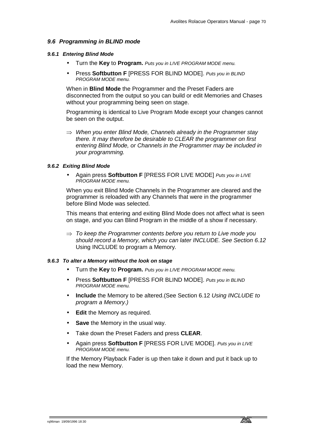# *9.6 Programming in BLIND mode*

#### *9.6.1 Entering Blind Mode*

- Turn the **Key** to **Program.** *Puts you in LIVE PROGRAM MODE menu.*
- Press **Softbutton F** [PRESS FOR BLIND MODE]. *Puts you in BLIND PROGRAM MODE menu.*

When in **Blind Mode** the Programmer and the Preset Faders are disconnected from the output so you can build or edit Memories and Chases without your programming being seen on stage.

Programming is identical to Live Program Mode except your changes cannot be seen on the output.

⇒ *When you enter Blind Mode, Channels already in the Programmer stay there. It may therefore be desirable to CLEAR the programmer on first entering Blind Mode, or Channels in the Programmer may be included in your programming.* 

#### *9.6.2 Exiting Blind Mode*

• Again press **Softbutton F** [PRESS FOR LIVE MODE] *Puts you in LIVE PROGRAM MODE menu.*

When you exit Blind Mode Channels in the Programmer are cleared and the programmer is reloaded with any Channels that were in the programmer before Blind Mode was selected.

This means that entering and exiting Blind Mode does not affect what is seen on stage, and you can Blind Program in the middle of a show if necessary.

⇒ *To keep the Programmer contents before you return to Live mode you should record a Memory, which you can later INCLUDE. See Section 6.12*  Using INCLUDE to program a Memory*.* 

### *9.6.3 To alter a Memory without the look on stage*

- Turn the **Key** to **Program.** *Puts you in LIVE PROGRAM MODE menu.*
- Press **Softbutton F** [PRESS FOR BLIND MODE]. *Puts you in BLIND PROGRAM MODE menu.*
- **Include** the Memory to be altered.(See Section 6.12 *Using INCLUDE to program a Memory.)*
- **Edit** the Memory as required.
- **Save** the Memory in the usual way.
- Take down the Preset Faders and press **CLEAR**.
- Again press **Softbutton F** [PRESS FOR LIVE MODE]. *Puts you in LIVE PROGRAM MODE menu.*

If the Memory Playback Fader is up then take it down and put it back up to load the new Memory.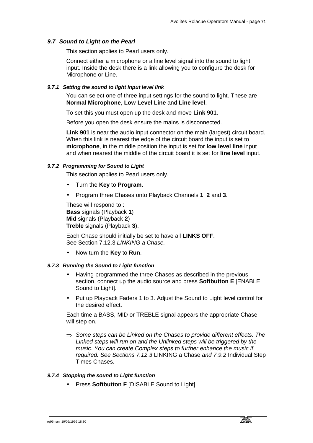#### *9.7 Sound to Light on the Pearl*

This section applies to Pearl users only.

Connect either a microphone or a line level signal into the sound to light input. Inside the desk there is a link allowing you to configure the desk for Microphone or Line.

#### *9.7.1 Setting the sound to light input level link*

You can select one of three input settings for the sound to light. These are **Normal Microphone**, **Low Level Line** and **Line level**.

To set this you must open up the desk and move **Link 901**.

Before you open the desk ensure the mains is disconnected.

**Link 901** is near the audio input connector on the main (largest) circuit board. When this link is nearest the edge of the circuit board the input is set to **microphone**, in the middle position the input is set for **low level line** input and when nearest the middle of the circuit board it is set for **line level** input.

### *9.7.2 Programming for Sound to Light*

This section applies to Pearl users only.

- Turn the **Key** to **Program.**
- Program three Chases onto Playback Channels **1**, **2** and **3**.

These will respond to : **Bass** signals (Playback **1**) **Mid** signals (Playback **2**) **Treble** signals (Playback **3**).

Each Chase should initially be set to have all **LINKS OFF**. See Section 7.12.3 *LINKING a Chase.*

• Now turn the **Key** to **Run**.

#### *9.7.3 Running the Sound to Light function*

- Having programmed the three Chases as described in the previous section, connect up the audio source and press **Softbutton E** [ENABLE Sound to Light].
- Put up Playback Faders 1 to 3. Adjust the Sound to Light level control for the desired effect.

Each time a BASS, MID or TREBLE signal appears the appropriate Chase will step on.

⇒ *Some steps can be Linked on the Chases to provide different effects. The Linked steps will run on and the Unlinked steps will be triggered by the music. You can create Complex steps to further enhance the music if required. See Sections 7.12.3* LINKING a Chase *and 7.9.2* Individual Step Times Chases.

#### *9.7.4 Stopping the sound to Light function*

• Press **Softbutton F** [DISABLE Sound to Light].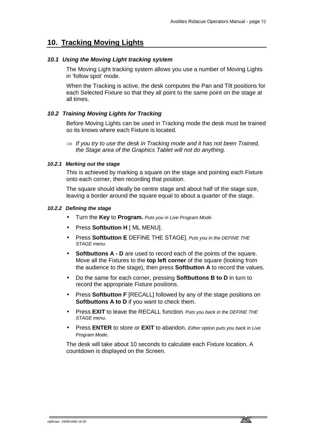## **10. Tracking Moving Lights**

## *10.1 Using the Moving Light tracking system*

The Moving Light tracking system allows you use a number of Moving Lights in 'follow spot' mode.

When the Tracking is active, the desk computes the Pan and Tilt positions for each Selected Fixture so that they all point to the same point on the stage at all times.

## *10.2 Training Moving Lights for Tracking*

Before Moving Lights can be used in Tracking mode the desk must be trained so its knows where each Fixture is located.

⇒ *If you try to use the desk in Tracking mode and it has not been Trained, the Stage area of the Graphics Tablet will not do anything.* 

#### *10.2.1 Marking out the stage*

This is achieved by marking a square on the stage and pointing each Fixture onto each corner, then recording that position.

The square should ideally be centre stage and about half of the stage size, leaving a border around the square equal to about a quarter of the stage.

## *10.2.2 Defining the stage*

- Turn the **Key** to **Program.** *Puts you in Live Program Mode.*
- Press **Softbutton H** [ ML MENU].
- Press **Softbutton E** DEFINE THE STAGE]*. Puts you in the DEFINE THE STAGE menu.*
- **Softbuttons A D** are used to record each of the points of the square. Move all the Fixtures to the **top left corner** of the square (looking from the audience to the stage), then press **Softbutton A** to record the values.
- Do the same for each corner, pressing **Softbuttons B to D** in turn to record the appropriate Fixture positions.
- Press **Softbutton F** [RECALL] followed by any of the stage positions on **Softbuttons A to D** if you want to check them.
- Press **EXIT** to leave the RECALL function*. Puts you back in the DEFINE THE STAGE menu.*
- Press **ENTER** to store or **EXIT** to abandon. *Either option puts you back in Live Program Mode*.

The desk will take about 10 seconds to calculate each Fixture location. A countdown is displayed on the Screen.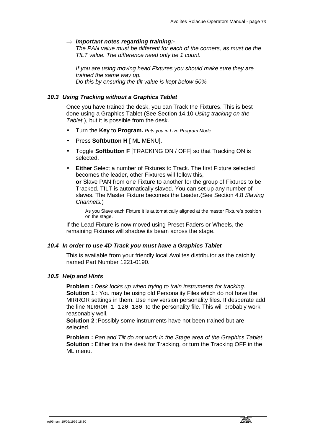## ⇒ *Important notes regarding training:-*

*The PAN value must be different for each of the corners, as must be the TILT value. The difference need only be 1 count.* 

*If you are using moving head Fixtures you should make sure they are trained the same way up. Do this by ensuring the tilt value is kept below 50%.* 

## *10.3 Using Tracking without a Graphics Tablet*

Once you have trained the desk, you can Track the Fixtures. This is best done using a Graphics Tablet (See Section 14.10 *Using tracking on the Tablet.*), but it is possible from the desk.

- Turn the **Key** to **Program.** *Puts you in Live Program Mode.*
- Press **Softbutton H** [ ML MENU].
- Toggle **Softbutton F** [TRACKING ON / OFF] so that Tracking ON is selected.
- **Either** Select a number of Fixtures to Track. The first Fixture selected becomes the leader, other Fixtures will follow this, **or** Slave PAN from one Fixture to another for the group of Fixtures to be Tracked. TILT is automatically slaved. You can set up any number of slaves. The Master Fixture becomes the Leader.(See Section 4.8 *Slaving Channels.*)

As you Slave each Fixture it is automatically aligned at the master Fixture's position on the stage.

If the Lead Fixture is now moved using Preset Faders or Wheels, the remaining Fixtures will shadow its beam across the stage.

#### *10.4 In order to use 4D Track you must have a Graphics Tablet*

This is available from your friendly local Avolites distributor as the catchily named Part Number 1221-0190.

#### *10.5 Help and Hints*

**Problem :** *Desk locks up when trying to train instruments for tracking*. **Solution 1** : You may be using old Personality Files which do not have the MIRROR settings in them. Use new version personality files. If desperate add the line MIRROR 1 120 180 to the personality file. This will probably work reasonably well.

**Solution 2** :Possibly some instruments have not been trained but are selected.

**Problem :** *Pan and Tilt do not work in the Stage area of the Graphics Tablet.* **Solution :** Either train the desk for Tracking, or turn the Tracking OFF in the ML menu.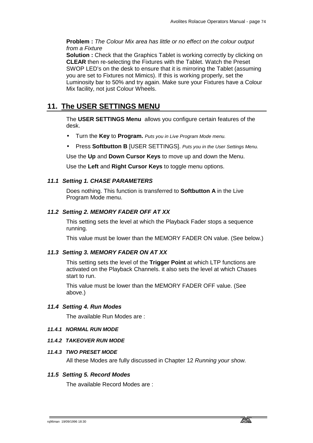**Problem :** *The Colour Mix area has little or no effect on the colour output from a Fixture* 

**Solution :** Check that the Graphics Tablet is working correctly by clicking on **CLEAR** then re-selecting the Fixtures with the Tablet. Watch the Preset SWOP LED's on the desk to ensure that it is mirroring the Tablet (assuming you are set to Fixtures not Mimics). If this is working properly, set the Luminosity bar to 50% and try again. Make sure your Fixtures have a Colour Mix facility, not just Colour Wheels.

## **11. The USER SETTINGS MENU**

The **USER SETTINGS Menu** allows you configure certain features of the desk.

- Turn the **Key** to **Program.** *Puts you in Live Program Mode menu.*
- Press **Softbutton B** [USER SETTINGS]. *Puts you in the User Settings Menu.*

Use the **Up** and **Down Cursor Keys** to move up and down the Menu.

Use the **Left** and **Right Cursor Keys** to toggle menu options.

## *11.1 Setting 1. CHASE PARAMETERS*

Does nothing. This function is transferred to **Softbutton A** in the Live Program Mode menu.

## *11.2 Setting 2. MEMORY FADER OFF AT XX*

This setting sets the level at which the Playback Fader stops a sequence running.

This value must be lower than the MEMORY FADER ON value. (See below.)

#### *11.3 Setting 3. MEMORY FADER ON AT XX*

This setting sets the level of the **Trigger Point** at which LTP functions are activated on the Playback Channels. it also sets the level at which Chases start to run.

This value must be lower than the MEMORY FADER OFF value. (See above.)

#### *11.4 Setting 4. Run Modes*

The available Run Modes are :

#### *11.4.1 NORMAL RUN MODE*

#### *11.4.2 TAKEOVER RUN MODE*

#### *11.4.3 TWO PRESET MODE*

All these Modes are fully discussed in Chapter 12 *Running your show.*

#### *11.5 Setting 5. Record Modes*

The available Record Modes are :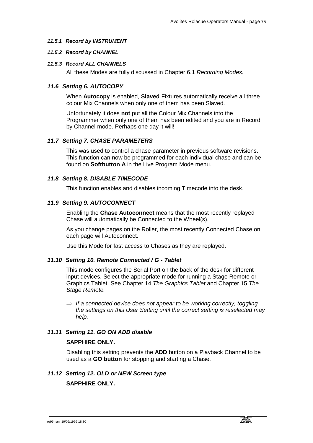## *11.5.1 Record by INSTRUMENT*

### *11.5.2 Record by CHANNEL*

## *11.5.3 Record ALL CHANNELS*

All these Modes are fully discussed in Chapter 6.1 *Recording Modes.*

## *11.6 Setting 6. AUTOCOPY*

When **Autocopy** is enabled, **Slaved** Fixtures automatically receive all three colour Mix Channels when only one of them has been Slaved.

Unfortunately it does **not** put all the Colour Mix Channels into the Programmer when only one of them has been edited and you are in Record by Channel mode. Perhaps one day it will!

## *11.7 Setting 7. CHASE PARAMETERS*

This was used to control a chase parameter in previous software revisions. This function can now be programmed for each individual chase and can be found on **Softbutton A** in the Live Program Mode menu.

## *11.8 Setting 8. DISABLE TIMECODE*

This function enables and disables incoming Timecode into the desk.

## *11.9 Setting 9. AUTOCONNECT*

Enabling the **Chase Autoconnect** means that the most recently replayed Chase will automatically be Connected to the Wheel(s).

As you change pages on the Roller, the most recently Connected Chase on each page will Autoconnect.

Use this Mode for fast access to Chases as they are replayed.

#### *11.10 Setting 10. Remote Connected / G - Tablet*

This mode configures the Serial Port on the back of the desk for different input devices. Select the appropriate mode for running a Stage Remote or Graphics Tablet. See Chapter 14 *The Graphics Tablet* and Chapter 15 *The Stage Remote.*

⇒ *If a connected device does not appear to be working correctly, toggling the settings on this User Setting until the correct setting is reselected may help.* 

## *11.11 Setting 11. GO ON ADD disable*

## **SAPPHIRE ONLY.**

Disabling this setting prevents the **ADD** button on a Playback Channel to be used as a **GO button** for stopping and starting a Chase.

# *11.12 Setting 12. OLD or NEW Screen type*

**SAPPHIRE ONLY.**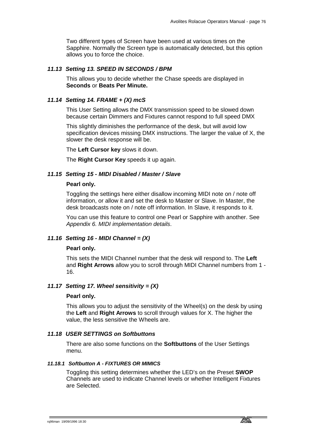Two different types of Screen have been used at various times on the Sapphire. Normally the Screen type is automatically detected, but this option allows you to force the choice.

## *11.13 Setting 13. SPEED IN SECONDS / BPM*

This allows you to decide whether the Chase speeds are displayed in **Seconds** or **Beats Per Minute.** 

## *11.14 Setting 14. FRAME + (X) mcS*

This User Setting allows the DMX transmission speed to be slowed down because certain Dimmers and Fixtures cannot respond to full speed DMX

This slightly diminishes the performance of the desk, but will avoid low specification devices missing DMX instructions. The larger the value of X, the slower the desk response will be.

The **Left Cursor key** slows it down.

The **Right Cursor Key** speeds it up again.

#### *11.15 Setting 15 - MIDI Disabled / Master / Slave*

#### **Pearl only.**

Toggling the settings here either disallow incoming MIDI note on / note off information, or allow it and set the desk to Master or Slave. In Master, the desk broadcasts note on / note off information. In Slave, it responds to it.

You can use this feature to control one Pearl or Sapphire with another. See *Appendix 6. MIDI implementation details*.

#### *11.16 Setting 16 - MIDI Channel = (X)*

#### **Pearl only.**

This sets the MIDI Channel number that the desk will respond to. The **Left**  and **Right Arrows** allow you to scroll through MIDI Channel numbers from 1 - 16.

## *11.17 Setting 17. Wheel sensitivity = (X)*

#### **Pearl only.**

This allows you to adjust the sensitivity of the Wheel(s) on the desk by using the **Left** and **Right Arrows** to scroll through values for X. The higher the value, the less sensitive the Wheels are.

#### *11.18 USER SETTINGS on Softbuttons*

There are also some functions on the **Softbuttons** of the User Settings menu.

#### *11.18.1 Softbutton A - FIXTURES OR MIMICS*

Toggling this setting determines whether the LED's on the Preset **SWOP** Channels are used to indicate Channel levels or whether Intelligent Fixtures are Selected.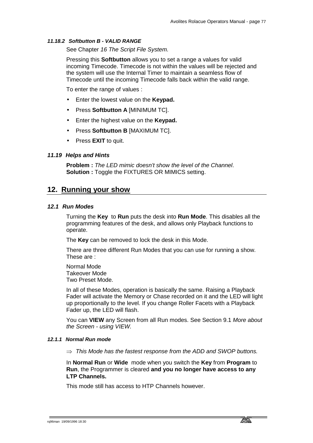## *11.18.2 Softbutton B - VALID RANGE*

See Chapter *16 The Script File System.* 

Pressing this **Softbutton** allows you to set a range a values for valid incoming Timecode. Timecode is not within the values will be rejected and the system will use the Internal Timer to maintain a seamless flow of Timecode until the incoming Timecode falls back within the valid range.

To enter the range of values :

- Enter the lowest value on the **Keypad.**
- Press **Softbutton A** [MINIMUM TC].
- Enter the highest value on the **Keypad.**
- Press **Softbutton B** [MAXIMUM TC].
- Press **EXIT** to quit.

## *11.19 Helps and Hints*

**Problem :** *The LED mimic doesn't show the level of the Channel*. **Solution :** Toggle the FIXTURES OR MIMICS setting.

## **12. Running your show**

## *12.1 Run Modes*

Turning the **Key** to **Run** puts the desk into **Run Mode**. This disables all the programming features of the desk, and allows only Playback functions to operate.

The **Key** can be removed to lock the desk in this Mode.

There are three different Run Modes that you can use for running a show. These are :

Normal Mode Takeover Mode Two Preset Mode.

In all of these Modes, operation is basically the same. Raising a Playback Fader will activate the Memory or Chase recorded on it and the LED will light up proportionally to the level. If you change Roller Facets with a Playback Fader up, the LED will flash.

You can **VIEW** any Screen from all Run modes. See Section 9.1 *More about the Screen - using VIEW.*

## *12.1.1 Normal Run mode*

⇒ *This Mode has the fastest response from the ADD and SWOP buttons.* 

In **Normal Run** or **Wide** mode when you switch the **Key** from **Program** to **Run**, the Programmer is cleared **and you no longer have access to any LTP Channels.**

This mode still has access to HTP Channels however.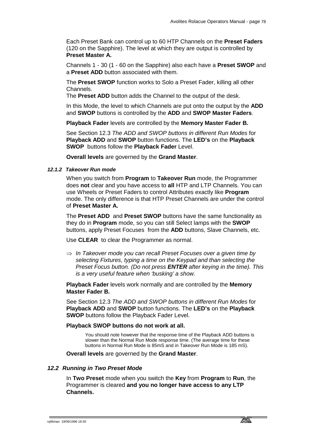Each Preset Bank can control up to 60 HTP Channels on the **Preset Faders** (120 on the Sapphire). The level at which they are output is controlled by **Preset Master A.**

Channels 1 - 30 (1 - 60 on the Sapphire) also each have a **Preset SWOP** and a **Preset ADD** button associated with them.

The **Preset SWOP** function works to Solo a Preset Fader, killing all other Channels.

The **Preset ADD** button adds the Channel to the output of the desk.

In this Mode, the level to which Channels are put onto the output by the **ADD** and **SWOP** buttons is controlled by the **ADD** and **SWOP Master Faders**.

**Playback Fader** levels are controlled by the **Memory Master Fader B.** 

See Section 12.3 *The ADD and SWOP buttons in different Run Modes* for **Playback ADD** and **SWOP** button functions. The **LED's** on the **Playback SWOP** buttons follow the **Playback Fader** Level.

**Overall levels** are governed by the **Grand Master**.

## *12.1.2 Takeover Run mode*

When you switch from **Program** to **Takeover Run** mode, the Programmer does **not** clear and you have access to **all** HTP and LTP Channels. You can use Wheels or Preset Faders to control Attributes exactly like **Program** mode. The only difference is that HTP Preset Channels are under the control of **Preset Master A.**

The **Preset ADD** and **Preset SWOP** buttons have the same functionality as they do in **Program** mode, so you can still Select lamps with the **SWOP** buttons, apply Preset Focuses from the **ADD** buttons, Slave Channels, etc.

Use **CLEAR** to clear the Programmer as normal.

⇒ *In Takeover mode you can recall Preset Focuses over a given time by selecting Fixtures, typing a time on the Keypad and than selecting the Preset Focus button. (Do not press ENTER after keying in the time). This is a very useful feature when 'busking' a show.* 

**Playback Fader** levels work normally and are controlled by the **Memory Master Fader B.**

See Section 12.3 *The ADD and SWOP buttons in different Run Modes* for **Playback ADD** and **SWOP** button functions. The **LED's** on the **Playback SWOP** buttons follow the Playback Fader Level.

## **Playback SWOP buttons do not work at all.**

You should note however that the response time of the Playback ADD buttons is slower than the Normal Run Mode response time. (The average time for these buttons in Normal Run Mode is 85mS and in Takeover Run Mode is 185 mS).

**Overall levels** are governed by the **Grand Master**.

#### *12.2 Running in Two Preset Mode*

In **Two Preset** mode when you switch the **Key** from **Program** to **Run**, the Programmer is cleared **and you no longer have access to any LTP Channels.**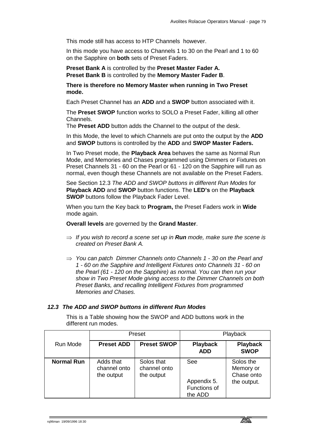This mode still has access to HTP Channels however.

In this mode you have access to Channels 1 to 30 on the Pearl and 1 to 60 on the Sapphire on **both** sets of Preset Faders.

**Preset Bank A** is controlled by the **Preset Master Fader A. Preset Bank B** is controlled by the **Memory Master Fader B**.

**There is therefore no Memory Master when running in Two Preset mode.** 

Each Preset Channel has an **ADD** and a **SWOP** button associated with it.

The **Preset SWOP** function works to SOLO a Preset Fader, killing all other Channels.

The **Preset ADD** button adds the Channel to the output of the desk.

In this Mode, the level to which Channels are put onto the output by the **ADD** and **SWOP** buttons is controlled by the **ADD** and **SWOP Master Faders.**

In Two Preset mode, the **Playback Area** behaves the same as Normal Run Mode, and Memories and Chases programmed using Dimmers or Fixtures on Preset Channels 31 - 60 on the Pearl or 61 - 120 on the Sapphire will run as normal, even though these Channels are not available on the Preset Faders.

See Section 12.3 *The ADD and SWOP buttons in different Run Modes* for **Playback ADD** and **SWOP** button functions. The **LED's** on the **Playback SWOP** buttons follow the Playback Fader Level.

When you turn the Key back to **Program,** the Preset Faders work in **Wide** mode again.

**Overall levels** are governed by the **Grand Master**.

- ⇒ *If you wish to record a scene set up in Run mode, make sure the scene is created on Preset Bank A.*
- ⇒ *You can patch Dimmer Channels onto Channels 1 30 on the Pearl and 1 - 60 on the Sapphire and Intelligent Fixtures onto Channels 31 - 60 on the Pearl (61 - 120 on the Sapphire) as normal. You can then run your show in Two Preset Mode giving access to the Dimmer Channels on both Preset Banks, and recalling Intelligent Fixtures from programmed Memories and Chases.*

#### *12.3 The ADD and SWOP buttons in different Run Modes*

This is a Table showing how the SWOP and ADD buttons work in the different run modes.

|                   | Preset                                  |                                          |                                               | Playback                                            |
|-------------------|-----------------------------------------|------------------------------------------|-----------------------------------------------|-----------------------------------------------------|
| Run Mode          | <b>Preset ADD</b>                       | <b>Preset SWOP</b>                       | <b>Playback</b><br><b>ADD</b>                 | <b>Playback</b><br><b>SWOP</b>                      |
| <b>Normal Run</b> | Adds that<br>channel onto<br>the output | Solos that<br>channel onto<br>the output | See<br>Appendix 5.<br>Functions of<br>the ADD | Solos the<br>Memory or<br>Chase onto<br>the output. |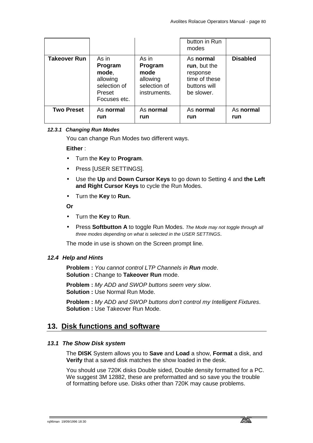|                     |                                                                                 |                                                                      | button in Run<br>modes                                                               |                  |
|---------------------|---------------------------------------------------------------------------------|----------------------------------------------------------------------|--------------------------------------------------------------------------------------|------------------|
| <b>Takeover Run</b> | As in<br>Program<br>mode,<br>allowing<br>selection of<br>Preset<br>Focuses etc. | As in<br>Program<br>mode<br>allowing<br>selection of<br>instruments. | As normal<br>run, but the<br>response<br>time of these<br>buttons will<br>be slower. | <b>Disabled</b>  |
| <b>Two Preset</b>   | As normal<br>run                                                                | As normal<br>run                                                     | As normal<br>run                                                                     | As normal<br>run |

## *12.3.1 Changing Run Modes*

You can change Run Modes two different ways.

**Either** :

- Turn the **Key** to **Program**.
- Press [USER SETTINGS].
- Use the **Up** and **Down Cursor Keys** to go down to Setting 4 and **the Left and Right Cursor Keys** to cycle the Run Modes.
- Turn the **Key** to **Run.**

#### **Or**

- Turn the **Key** to **Run**.
- Press **Softbutton A** to toggle Run Modes. *The Mode may not toggle through all three modes depending on what is selected in the USER SETTINGS*.

The mode in use is shown on the Screen prompt line.

#### *12.4 Help and Hints*

**Problem :** *You cannot control LTP Channels in Run mode*. **Solution :** Change to **Takeover Run** mode.

**Problem :** *My ADD and SWOP buttons seem very slow*. **Solution :** Use Normal Run Mode.

**Problem :** *My ADD and SWOP buttons don't control my Intelligent Fixtures*. **Solution :** Use Takeover Run Mode.

## **13. Disk functions and software**

#### *13.1 The Show Disk system*

The **DISK** System allows you to **Save** and **Load** a show, **Format** a disk, and **Verify** that a saved disk matches the show loaded in the desk.

You should use 720K disks Double sided, Double density formatted for a PC. We suggest 3M 12882, these are preformatted and so save you the trouble of formatting before use. Disks other than 720K may cause problems.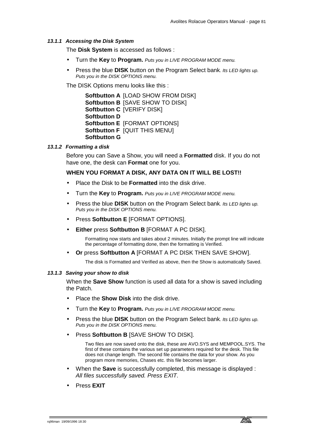#### *13.1.1 Accessing the Disk System*

The **Disk System** is accessed as follows :

- Turn the **Key** to **Program.** *Puts you in LIVE PROGRAM MODE menu.*
- Press the blue **DISK** button on the Program Select bank*. Its LED lights up. Puts you in the DISK OPTIONS menu.*

The DISK Options menu looks like this :

**Softbutton A** [LOAD SHOW FROM DISK] **Softbutton B** [SAVE SHOW TO DISK] **Softbutton C** [VERIFY DISK] **Softbutton D Softbutton E** [FORMAT OPTIONS] **Softbutton F** [QUIT THIS MENU] **Softbutton G**

#### *13.1.2 Formatting a disk*

Before you can Save a Show, you will need a **Formatted** disk. If you do not have one, the desk can **Format** one for you.

#### **WHEN YOU FORMAT A DISK, ANY DATA ON IT WILL BE LOST!!**

- Place the Disk to be **Formatted** into the disk drive.
- Turn the **Key** to **Program.** *Puts you in LIVE PROGRAM MODE menu.*
- Press the blue **DISK** button on the Program Select bank*. Its LED lights up. Puts you in the DISK OPTIONS menu.*
- Press **Softbutton E** [FORMAT OPTIONS].
- **Either** press **Softbutton B** [FORMAT A PC DISK].

Formatting now starts and takes about 2 minutes. Initially the prompt line will indicate the percentage of formatting done, then the formatting is Verified.

• **Or** press **Softbutton A** [FORMAT A PC DISK THEN SAVE SHOW].

The disk is Formatted and Verified as above, then the Show is automatically Saved.

#### *13.1.3 Saving your show to disk*

When the **Save Show** function is used all data for a show is saved including the Patch.

- Place the **Show Disk** into the disk drive.
- Turn the **Key** to **Program.** *Puts you in LIVE PROGRAM MODE menu.*
- Press the blue **DISK** button on the Program Select bank*. Its LED lights up. Puts you in the DISK OPTIONS menu.*
- Press **Softbutton B** [SAVE SHOW TO DISK].

Two files are now saved onto the disk, these are AVO.SYS and MEMPOOL.SYS. The first of these contains the various set up parameters required for the desk. This file does not change length. The second file contains the data for your show. As you program more memories, Chases etc. this file becomes larger.

- When the **Save** is successfully completed, this message is displayed : *All files successfully saved. Press EXIT*.
- Press **EXIT**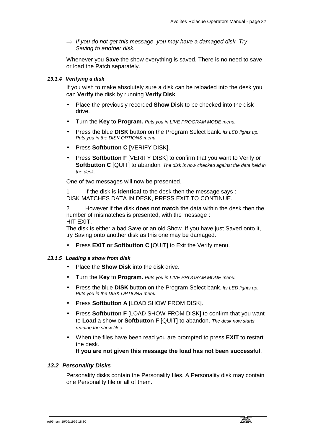⇒ *If you do not get this message, you may have a damaged disk. Try Saving to another disk.* 

Whenever you **Save** the show everything is saved. There is no need to save or load the Patch separately.

## *13.1.4 Verifying a disk*

If you wish to make absolutely sure a disk can be reloaded into the desk you can **Verify** the disk by running **Verify Disk**.

- Place the previously recorded **Show Disk** to be checked into the disk drive.
- Turn the **Key** to **Program.** *Puts you in LIVE PROGRAM MODE menu.*
- Press the blue **DISK** button on the Program Select bank*. Its LED lights up. Puts you in the DISK OPTIONS menu.*
- Press **Softbutton C** [VERIFY DISK].
- Press **Softbutton F** [VERIFY DISK] to confirm that you want to Verify or **Softbutton C** [QUIT] to abandon*. The disk is now checked against the data held in the desk*.

One of two messages will now be presented.

1 If the disk is **identical** to the desk then the message says : DISK MATCHES DATA IN DESK, PRESS EXIT TO CONTINUE.

2 However if the disk **does not match** the data within the desk then the number of mismatches is presented, with the message : HIT EXIT.

The disk is either a bad Save or an old Show. If you have just Saved onto it, try Saving onto another disk as this one may be damaged.

• Press **EXIT or Softbutton C** [QUIT] to Exit the Verify menu.

#### *13.1.5 Loading a show from disk*

- Place the **Show Disk** into the disk drive.
- Turn the **Key** to **Program.** *Puts you in LIVE PROGRAM MODE menu.*
- Press the blue **DISK** button on the Program Select bank*. Its LED lights up. Puts you in the DISK OPTIONS menu.*
- Press **Softbutton A** [LOAD SHOW FROM DISK].
- Press **Softbutton F** [LOAD SHOW FROM DISK] to confirm that you want to **Load** a show or **Softbutton F** [QUIT] to abandon. *The desk now starts reading the show files*.
- When the files have been read you are prompted to press **EXIT** to restart the desk.

**If you are not given this message the load has not been successful**.

## *13.2 Personality Disks*

Personality disks contain the Personality files. A Personality disk may contain one Personality file or all of them.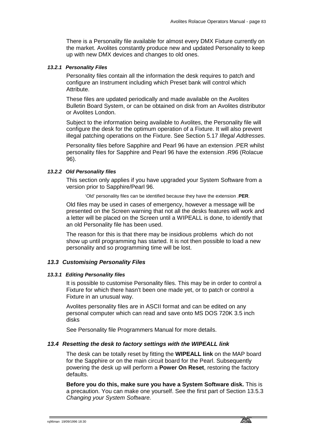There is a Personality file available for almost every DMX Fixture currently on the market. Avolites constantly produce new and updated Personality to keep up with new DMX devices and changes to old ones.

#### *13.2.1 Personality Files*

Personality files contain all the information the desk requires to patch and configure an Instrument including which Preset bank will control which Attribute.

These files are updated periodically and made available on the Avolites Bulletin Board System, or can be obtained on disk from an Avolites distributor or Avolites London.

Subject to the information being available to Avolites, the Personality file will configure the desk for the optimum operation of a Fixture. It will also prevent illegal patching operations on the Fixture. See Section 5.17 *Illegal Addresses.*

Personality files before Sapphire and Pearl 96 have an extension .PER whilst personality files for Sapphire and Pearl 96 have the extension .R96 (Rolacue 96).

### *13.2.2 Old Personality files*

This section only applies if you have upgraded your System Software from a version prior to Sapphire/Pearl 96.

'Old' personality files can be identified because they have the extension .**PER**.

Old files may be used in cases of emergency, however a message will be presented on the Screen warning that not all the desks features will work and a letter will be placed on the Screen until a WIPEALL is done, to identify that an old Personality file has been used.

The reason for this is that there may be insidious problems which do not show up until programming has started. It is not then possible to load a new personality and so programming time will be lost.

#### *13.3 Customising Personality Files*

#### *13.3.1 Editing Personality files*

It is possible to customise Personality files. This may be in order to control a Fixture for which there hasn't been one made yet, or to patch or control a Fixture in an unusual way.

Avolites personality files are in ASCII format and can be edited on any personal computer which can read and save onto MS DOS 720K 3.5 inch disks

See Personality file Programmers Manual for more details.

### *13.4 Resetting the desk to factory settings with the WIPEALL link*

The desk can be totally reset by fitting the **WIPEALL link** on the MAP board for the Sapphire or on the main circuit board for the Pearl. Subsequently powering the desk up will perform a **Power On Reset**, restoring the factory defaults.

**Before you do this, make sure you have a System Software disk.** This is a precaution. You can make one yourself. See the first part of Section 13.5.3 *Changing your System Software.*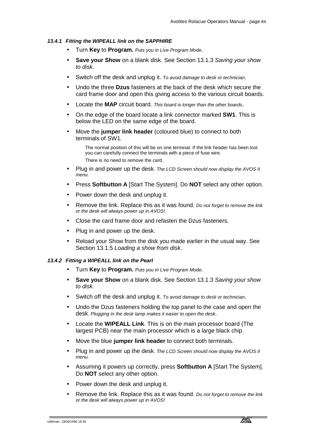## *13.4.1 Fitting the WIPEALL link on the SAPPHIRE*

- Turn **Key** to **Program.** *Puts you in Live Program Mode*.
- **Save your Show** on a blank disk. See Section 13.1.3 *Saving your show to disk.*
- Switch off the desk and unplug it. *To avoid damage to desk or technician*.
- Undo the three **Dzus** fasteners at the back of the desk which secure the card frame door and open this giving access to the various circuit boards.
- Locate the **MAP** circuit board. *This board is longer than the other boards*.
- On the edge of the board locate a link connector marked **SW1**. This is below the LED on the same edge of the board.
- Move the **jumper link header** (coloured blue) to connect to both terminals of SW1.

The normal position of this will be on one terminal. If the link header has been lost you can carefully connect the terminals with a piece of fuse wire. There is no need to remove the card.

- Plug in and power up the desk*. The LCD Screen should now display the AVOS II menu.*
- Press **Softbutton A** [Start The System]. Do **NOT** select any other option.
- Power down the desk and unplug it.
- Remove the link. Replace this as it was found. *Do not forget to remove the link or the desk will always power up in AVOS!*
- Close the card frame door and refasten the Dzus fasteners.
- Plug in and power up the desk.
- Reload your Show from the disk you made earlier in the usual way. See Section 13.1.5 *Loading a show from disk.*

#### *13.4.2 Fitting a WIPEALL link on the Pearl*

- Turn **Key** to **Program.** *Puts you in Live Program Mode*.
- **Save your Show** on a blank disk. See Section 13.1.3 *Saving your show to disk.*
- Switch off the desk and unplug it. *To avoid damage to desk or technician*.
- Undo the Dzus fasteners holding the top panel to the case and open the desk*. Plugging in the desk lamp makes it easier to open the desk*.
- Locate the **WIPEALL Link**. This is on the main processor board (The largest PCB) near the main processor which is a large black chip.
- Move the blue **jumper link header** to connect both terminals.
- Plug in and power up the desk*. The LCD Screen should now display the AVOS II menu.*
- Assuming it powers up correctly, press **Softbutton A** [Start The System]. Do **NOT** select any other option.
- Power down the desk and unplug it.
- Remove the link. Replace this as it was found. *Do not forget to remove the link or the desk will always power up in AVOS!*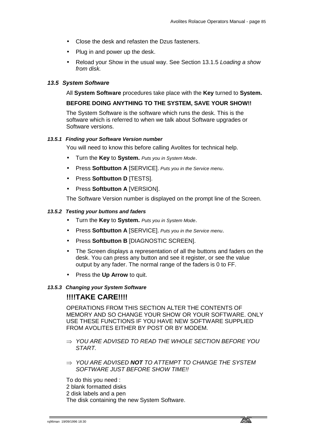- Close the desk and refasten the Dzus fasteners.
- Plug in and power up the desk.
- Reload your Show in the usual way. See Section 13.1.5 *Loading a show from disk.*

#### *13.5 System Software*

#### All **System Software** procedures take place with the **Key** turned to **System.**

## **BEFORE DOING ANYTHING TO THE SYSTEM, SAVE YOUR SHOW!!**

The System Software is the software which runs the desk. This is the software which is referred to when we talk about Software upgrades or Software versions.

#### *13.5.1 Finding your Software Version number*

You will need to know this before calling Avolites for technical help.

- Turn the **Key** to **System.** *Puts you in System Mode*.
- Press **Softbutton A** [SERVICE]. *Puts you in the Service menu*.
- Press **Softbutton D** [TESTS].
- Press **Softbutton A** [VERSION].

The Software Version number is displayed on the prompt line of the Screen.

#### *13.5.2 Testing your buttons and faders*

- Turn the **Key** to **System.** *Puts you in System Mode*.
- Press **Softbutton A** [SERVICE]. *Puts you in the Service menu*.
- Press **Softbutton B** [DIAGNOSTIC SCREEN].
- The Screen displays a representation of all the buttons and faders on the desk. You can press any button and see it register, or see the value output by any fader. The normal range of the faders is 0 to FF.
- Press the **Up Arrow** to quit.

#### *13.5.3 Changing your System Software*

## **!!!!TAKE CARE!!!!**

OPERATIONS FROM THIS SECTION ALTER THE CONTENTS OF MEMORY AND SO CHANGE YOUR SHOW OR YOUR SOFTWARE. ONLY USE THESE FUNCTIONS IF YOU HAVE NEW SOFTWARE SUPPLIED FROM AVOLITES EITHER BY POST OR BY MODEM.

- ⇒ *YOU ARE ADVISED TO READ THE WHOLE SECTION BEFORE YOU START.*
- ⇒ *YOU ARE ADVISED NOT TO ATTEMPT TO CHANGE THE SYSTEM SOFTWARE JUST BEFORE SHOW TIME!!*

To do this you need :

- 2 blank formatted disks
- 2 disk labels and a pen

The disk containing the new System Software.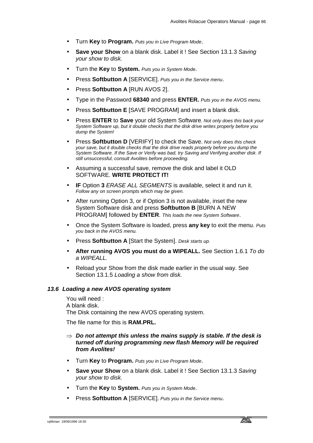- Turn **Key** to **Program.** *Puts you in Live Program Mode*.
- **Save your Show** on a blank disk. Label it ! See Section 13.1.3 *Saving your show to disk.*
- Turn the **Key** to **System.** *Puts you in System Mode*.
- Press **Softbutton A** [SERVICE]. *Puts you in the Service menu*.
- Press **Softbutton A** [RUN AVOS 2].
- Type in the Password **68340** and press **ENTER.** *Puts you in the AVOS menu.*
- Press **Softbutton E** [SAVE PROGRAM] and insert a blank disk.
- Press **ENTER** to **Save** your old System Software*. Not only does this back your System Software up, but it double checks that the disk drive writes properly before you dump the System!*
- Press **Softbutton D** [VERIFY] to check the Save. *Not only does this check your save, but it double checks that the disk drive reads properly before you dump the System Software. If the Save or Verify was bad, try Saving and Verifying another disk. If still unsuccessful, consult Avolites before proceeding.*
- Assuming a successful save, remove the disk and label it OLD SOFTWARE. **WRITE PROTECT IT!**
- **IF** Option **3** *ERASE ALL SEGMENTS* is available, select it and run it. *Follow any on screen prompts which may be given.*
- After running Option 3, or if Option 3 is not available, inset the new System Software disk and press **Softbutton B** [BURN A NEW PROGRAM] followed by **ENTER**. *This loads the new System Software*.
- Once the System Software is loaded, press **any key** to exit the menu. *Puts you back in the AVOS menu.*
- Press **Softbutton A** [Start the System]. *Desk starts up.*
- **After running AVOS you must do a WIPEALL.** See Section 1.6.1 *To do a WIPEALL.*
- Reload your Show from the disk made earlier in the usual way. See Section 13.1.5 *Loading a show from disk.*

## *13.6 Loading a new AVOS operating system*

You will need : A blank disk. The Disk containing the new AVOS operating system.

The file name for this is **RAM.PRL.**

## ⇒ *Do not attempt this unless the mains supply is stable. If the desk is turned off during programming new flash Memory will be required from Avolites!*

- Turn **Key** to **Program.** *Puts you in Live Program Mode*.
- **Save your Show** on a blank disk. Label it ! See Section 13.1.3 *Saving your show to disk.*
- Turn the **Key** to **System.** *Puts you in System Mode*.
- Press **Softbutton A** [SERVICE]. *Puts you in the Service menu*.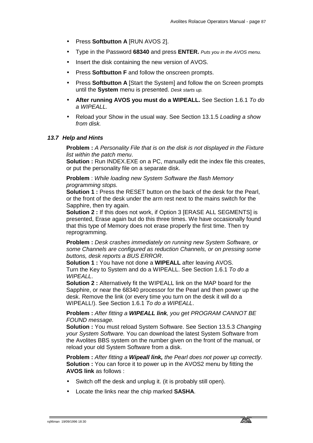- Press **Softbutton A** [RUN AVOS 2].
- Type in the Password **68340** and press **ENTER.** *Puts you in the AVOS menu.*
- Insert the disk containing the new version of AVOS.
- Press **Softbutton F** and follow the onscreen prompts.
- Press **Softbutton A** [Start the System] and follow the on Screen prompts until the **System** menu is presented. *Desk starts up.*
- **After running AVOS you must do a WIPEALL.** See Section 1.6.1 *To do a WIPEALL.*
- Reload your Show in the usual way. See Section 13.1.5 *Loading a show from disk.*

#### *13.7 Help and Hints*

**Problem :** *A Personality File that is on the disk is not displayed in the Fixture list within the patch menu*.

**Solution :** Run INDEX.EXE on a PC, manually edit the index file this creates, or put the personality file on a separate disk.

**Problem** : *While loading new System Software the flash Memory programming stops.*

**Solution 1 :** Press the RESET button on the back of the desk for the Pearl, or the front of the desk under the arm rest next to the mains switch for the Sapphire, then try again.

**Solution 2 : If this does not work, if Option 3 IERASE ALL SEGMENTSI is** presented, Erase again but do this three times. We have occasionally found that this type of Memory does not erase properly the first time. Then try reprogramming.

**Problem :** *Desk crashes immediately on running new System Software, or some Channels are configured as reduction Channels, or on pressing some buttons, desk reports a BUS ERROR*.

**Solution 1 :** You have not done a **WIPEALL** after leaving AVOS. Turn the Key to System and do a WIPEALL. See Section 1.6.1 *To do a WIPEALL*.

**Solution 2 :** Alternatively fit the WIPEALL link on the MAP board for the Sapphire, or near the 68340 processor for the Pearl and then power up the desk. Remove the link (or every time you turn on the desk it will do a WIPEALL!). See Section 1.6.1 *To do a WIPEALL*.

## **Problem :** *After fitting a WIPEALL link, you get PROGRAM CANNOT BE FOUND message.*

**Solution :** You must reload System Software. See Section 13.5.3 *Changing your System Software.* You can download the latest System Software from the Avolites BBS system on the number given on the front of the manual, or reload your old System Software from a disk.

**Problem :** *After fitting a Wipeall link, the Pearl does not power up correctly*. **Solution :** You can force it to power up in the AVOS2 menu by fitting the **AVOS link** as follows :

- Switch off the desk and unplug it. (it is probably still open).
- Locate the links near the chip marked **SASHA**.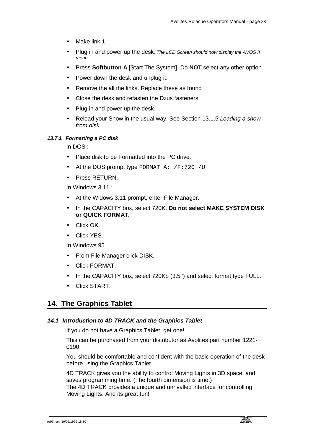- Make link 1.
- Plug in and power up the desk*. The LCD Screen should now display the AVOS II menu.*
- Press **Softbutton A** [Start The System]. Do **NOT** select any other option.
- Power down the desk and unplug it.
- Remove the all the links. Replace these as found*.*
- Close the desk and refasten the Dzus fasteners.
- Plug in and power up the desk.
- Reload your Show in the usual way. See Section 13.1.5 *Loading a show from disk.*

## *13.7.1 Formatting a PC disk*

In DOS :

- Place disk to be Formatted into the PC drive.
- At the DOS prompt type FORMAT A: /F:720 /U
- Press RETURN.

In Windows 3.11 :

- At the Widows 3.11 prompt, enter File Manager.
- In the CAPACITY box, select 720K. **Do not select MAKE SYSTEM DISK or QUICK FORMAT.**
- Click OK.
- Click YES.

In Windows 95 :

- From File Manager click DISK.
- Click FORMAT.
- In the CAPACITY box, select 720Kb (3.5'') and select format type FULL.
- Click START.

## **14. The Graphics Tablet**

## *14.1 Introduction to 4D TRACK and the Graphics Tablet*

If you do not have a Graphics Tablet, get one!

This can be purchased from your distributor as Avolites part number 1221- 0190.

You should be comfortable and confident with the basic operation of the desk before using the Graphics Tablet.

4D TRACK gives you the ability to control Moving Lights in 3D space, and saves programming time. (The fourth dimension is time!) The 4D TRACK provides a unique and unrivalled interface for controlling Moving Lights. And its great fun!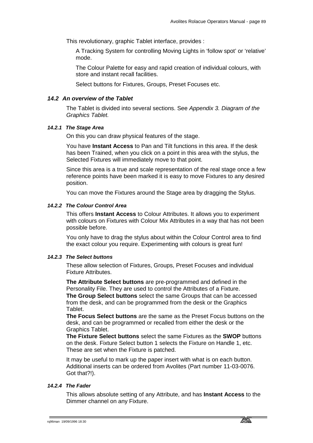This revolutionary, graphic Tablet interface, provides :

A Tracking System for controlling Moving Lights in 'follow spot' or 'relative' mode.

The Colour Palette for easy and rapid creation of individual colours, with store and instant recall facilities.

Select buttons for Fixtures, Groups, Preset Focuses etc.

## *14.2 An overview of the Tablet*

The Tablet is divided into several sections. See *Appendix 3. Diagram of the Graphics Tablet.*

## *14.2.1 The Stage Area*

On this you can draw physical features of the stage.

You have **Instant Access** to Pan and Tilt functions in this area. If the desk has been Trained, when you click on a point in this area with the stylus, the Selected Fixtures will immediately move to that point.

Since this area is a true and scale representation of the real stage once a few reference points have been marked it is easy to move Fixtures to any desired position.

You can move the Fixtures around the Stage area by dragging the Stylus.

## *14.2.2 The Colour Control Area*

This offers **Instant Access** to Colour Attributes. It allows you to experiment with colours on Fixtures with Colour Mix Attributes in a way that has not been possible before.

You only have to drag the stylus about within the Colour Control area to find the exact colour you require. Experimenting with colours is great fun!

## *14.2.3 The Select buttons*

These allow selection of Fixtures, Groups, Preset Focuses and individual Fixture Attributes.

**The Attribute Select buttons** are pre-programmed and defined in the Personality File. They are used to control the Attributes of a Fixture. **The Group Select buttons** select the same Groups that can be accessed from the desk, and can be programmed from the desk or the Graphics Tablet.

**The Focus Select buttons** are the same as the Preset Focus buttons on the desk, and can be programmed or recalled from either the desk or the Graphics Tablet.

**The Fixture Select buttons** select the same Fixtures as the **SWOP** buttons on the desk. Fixture Select button 1 selects the Fixture on Handle 1, etc. These are set when the Fixture is patched.

It may be useful to mark up the paper insert with what is on each button. Additional inserts can be ordered from Avolites (Part number 11-03-0076. Got that?!).

#### *14.2.4 The Fader*

This allows absolute setting of any Attribute, and has **Instant Access** to the Dimmer channel on any Fixture.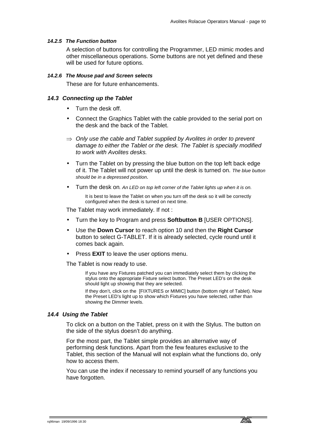#### *14.2.5 The Function button*

A selection of buttons for controlling the Programmer, LED mimic modes and other miscellaneous operations. Some buttons are not yet defined and these will be used for future options.

#### *14.2.6 The Mouse pad and Screen selects*

These are for future enhancements.

#### *14.3 Connecting up the Tablet*

- Turn the desk off.
- Connect the Graphics Tablet with the cable provided to the serial port on the desk and the back of the Tablet.
- ⇒ *Only use the cable and Tablet supplied by Avolites in order to prevent damage to either the Tablet or the desk. The Tablet is specially modified to work with Avolites desks.*
- Turn the Tablet on by pressing the blue button on the top left back edge of it. The Tablet will not power up until the desk is turned on. *The blue button should be in a depressed position.*
- Turn the desk on*. An LED on top left corner of the Tablet lights up when it is on.* It is best to leave the Tablet on when you turn off the desk so it will be correctly configured when the desk is turned on next time.

The Tablet may work immediately. If not :

- Turn the key to Program and press **Softbutton B** [USER OPTIONS].
- Use the **Down Cursor** to reach option 10 and then the **Right Cursor** button to select G-TABLET. If it is already selected, cycle round until it comes back again.
- **Press EXIT** to leave the user options menu.

The Tablet is now ready to use.

If you have any Fixtures patched you can immediately select them by clicking the stylus onto the appropriate Fixture select button. The Preset LED's on the desk should light up showing that they are selected.

If they don't, click on the IFIXTURES or MIMICI button (bottom right of Tablet). Now the Preset LED's light up to show which Fixtures you have selected, rather than showing the Dimmer levels.

#### *14.4 Using the Tablet*

To click on a button on the Tablet, press on it with the Stylus. The button on the side of the stylus doesn't do anything.

For the most part, the Tablet simple provides an alternative way of performing desk functions. Apart from the few features exclusive to the Tablet, this section of the Manual will not explain what the functions do, only how to access them.

You can use the index if necessary to remind yourself of any functions you have forgotten.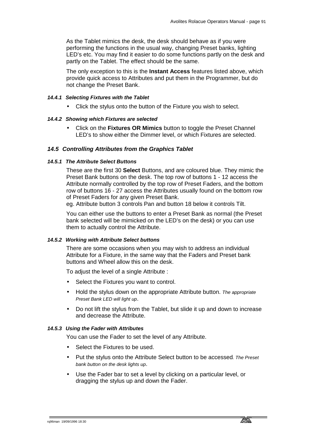As the Tablet mimics the desk, the desk should behave as if you were performing the functions in the usual way, changing Preset banks, lighting LED's etc. You may find it easier to do some functions partly on the desk and partly on the Tablet. The effect should be the same.

The only exception to this is the **Instant Access** features listed above, which provide quick access to Attributes and put them in the Programmer, but do not change the Preset Bank.

#### *14.4.1 Selecting Fixtures with the Tablet*

• Click the stylus onto the button of the Fixture you wish to select.

#### *14.4.2 Showing which Fixtures are selected*

• Click on the **Fixtures OR Mimics** button to toggle the Preset Channel LED's to show either the Dimmer level, or which Fixtures are selected.

#### *14.5 Controlling Attributes from the Graphics Tablet*

#### *14.5.1 The Attribute Select Buttons*

These are the first 30 **Select** Buttons, and are coloured blue. They mimic the Preset Bank buttons on the desk. The top row of buttons 1 - 12 access the Attribute normally controlled by the top row of Preset Faders, and the bottom row of buttons 16 - 27 access the Attributes usually found on the bottom row of Preset Faders for any given Preset Bank.

eg. Attribute button 3 controls Pan and button 18 below it controls Tilt.

You can either use the buttons to enter a Preset Bank as normal (the Preset bank selected will be mimicked on the LED's on the desk) or you can use them to actually control the Attribute.

#### *14.5.2 Working with Attribute Select buttons*

There are some occasions when you may wish to address an individual Attribute for a Fixture, in the same way that the Faders and Preset bank buttons and Wheel allow this on the desk.

To adjust the level of a single Attribute :

- Select the Fixtures you want to control.
- Hold the stylus down on the appropriate Attribute button. *The appropriate Preset Bank LED will light up*.
- Do not lift the stylus from the Tablet, but slide it up and down to increase and decrease the Attribute.

## *14.5.3 Using the Fader with Attributes*

You can use the Fader to set the level of any Attribute.

- Select the Fixtures to be used.
- Put the stylus onto the Attribute Select button to be accessed*. The Preset bank button on the desk lights up*.
- Use the Fader bar to set a level by clicking on a particular level, or dragging the stylus up and down the Fader.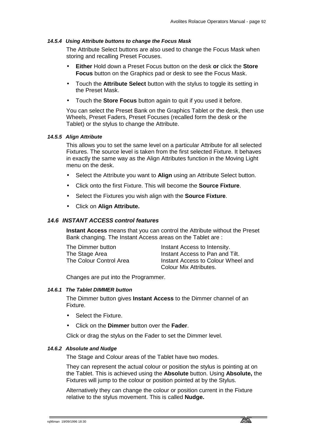#### *14.5.4 Using Attribute buttons to change the Focus Mask*

The Attribute Select buttons are also used to change the Focus Mask when storing and recalling Preset Focuses.

- **Either** Hold down a Preset Focus button on the desk **or** click the **Store Focus** button on the Graphics pad or desk to see the Focus Mask.
- Touch the **Attribute Select** button with the stylus to toggle its setting in the Preset Mask.
- Touch the **Store Focus** button again to quit if you used it before.

You can select the Preset Bank on the Graphics Tablet or the desk, then use Wheels, Preset Faders, Preset Focuses (recalled form the desk or the Tablet) or the stylus to change the Attribute.

#### *14.5.5 Align Attribute*

This allows you to set the same level on a particular Attribute for all selected Fixtures. The source level is taken from the first selected Fixture. It behaves in exactly the same way as the Align Attributes function in the Moving Light menu on the desk.

- Select the Attribute you want to **Align** using an Attribute Select button.
- Click onto the first Fixture. This will become the **Source Fixture**.
- Select the Fixtures you wish align with the **Source Fixture**.
- Click on **Align Attribute.**

#### *14.6 INSTANT ACCESS control features*

**Instant Access** means that you can control the Attribute without the Preset Bank changing. The Instant Access areas on the Tablet are :

The Dimmer button **Instant Access to Intensity.** The Stage Area **Instant Access to Pan and Tilt.** The Colour Control Area **Instant Access to Colour Wheel and** Colour Mix Attributes.

Changes are put into the Programmer.

#### *14.6.1 The Tablet DIMMER button*

The Dimmer button gives **Instant Access** to the Dimmer channel of an Fixture.

- Select the Fixture.
- Click on the **Dimmer** button over the **Fader**.

Click or drag the stylus on the Fader to set the Dimmer level.

#### *14.6.2 Absolute and Nudge*

The Stage and Colour areas of the Tablet have two modes.

They can represent the actual colour or position the stylus is pointing at on the Tablet. This is achieved using the **Absolute** button. Using **Absolute,** the Fixtures will jump to the colour or position pointed at by the Stylus.

Alternatively they can change the colour or position current in the Fixture relative to the stylus movement. This is called **Nudge.**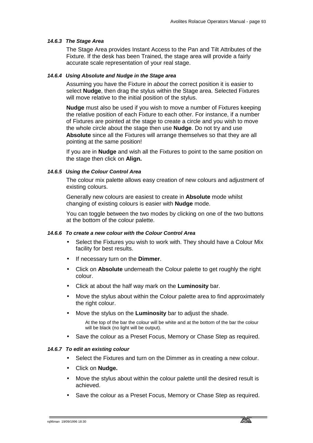#### *14.6.3 The Stage Area*

The Stage Area provides Instant Access to the Pan and Tilt Attributes of the Fixture. If the desk has been Trained, the stage area will provide a fairly accurate scale representation of your real stage.

#### *14.6.4 Using Absolute and Nudge in the Stage area*

Assuming you have the Fixture in *about* the correct position it is easier to select **Nudge**, then drag the stylus within the Stage area. Selected Fixtures will move relative to the initial position of the stylus.

**Nudge** must also be used if you wish to move a number of Fixtures keeping the relative position of each Fixture to each other. For instance, if a number of Fixtures are pointed at the stage to create a circle and you wish to move the whole circle about the stage then use **Nudge**. Do not try and use **Absolute** since all the Fixtures will arrange themselves so that they are all pointing at the same position!

If you are in **Nudge** and wish all the Fixtures to point to the same position on the stage then click on **Align.** 

## *14.6.5 Using the Colour Control Area*

The colour mix palette allows easy creation of new colours and adjustment of existing colours.

Generally new colours are easiest to create in **Absolute** mode whilst changing of existing colours is easier with **Nudge** mode.

You can toggle between the two modes by clicking on one of the two buttons at the bottom of the colour palette.

#### *14.6.6 To create a new colour with the Colour Control Area*

- Select the Fixtures you wish to work with. They should have a Colour Mix facility for best results.
- If necessary turn on the **Dimmer**.
- Click on **Absolute** underneath the Colour palette to get roughly the right colour.
- Click at about the half way mark on the **Luminosity** bar.
- Move the stylus about within the Colour palette area to find approximately the right colour.
- Move the stylus on the **Luminosity** bar to adjust the shade.

At the top of the bar the colour will be white and at the bottom of the bar the colour will be black (no light will be output).

• Save the colour as a Preset Focus, Memory or Chase Step as required.

## *14.6.7 To edit an existing colour*

- Select the Fixtures and turn on the Dimmer as in creating a new colour.
- Click on **Nudge.**
- Move the stylus about within the colour palette until the desired result is achieved.
- Save the colour as a Preset Focus, Memory or Chase Step as required.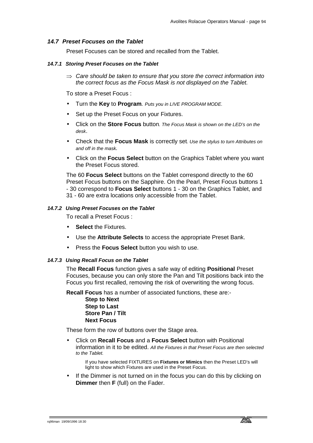#### *14.7 Preset Focuses on the Tablet*

Preset Focuses can be stored and recalled from the Tablet.

#### *14.7.1 Storing Preset Focuses on the Tablet*

⇒ *Care should be taken to ensure that you store the correct information into the correct focus as the Focus Mask is not displayed on the Tablet.* 

To store a Preset Focus :

- Turn the **Key** to **Program***. Puts you in LIVE PROGRAM MODE.*
- Set up the Preset Focus on your Fixtures.
- Click on the **Store Focus** button*. The Focus Mask is shown on the LED's on the desk*.
- Check that the **Focus Mask** is correctly set*. Use the stylus to turn Attributes on and off in the mask.*
- Click on the **Focus Select** button on the Graphics Tablet where you want the Preset Focus stored.

The 60 **Focus Select** buttons on the Tablet correspond directly to the 60 Preset Focus buttons on the Sapphire. On the Pearl, Preset Focus buttons 1 - 30 correspond to **Focus Select** buttons 1 - 30 on the Graphics Tablet, and 31 - 60 are extra locations only accessible from the Tablet.

#### *14.7.2 Using Preset Focuses on the Tablet*

To recall a Preset Focus :

- **Select the Fixtures.**
- Use the **Attribute Selects** to access the appropriate Preset Bank.
- Press the **Focus Select** button you wish to use.

#### *14.7.3 Using Recall Focus on the Tablet*

The **Recall Focus** function gives a safe way of editing **Positional** Preset Focuses, because you can only store the Pan and Tilt positions back into the Focus you first recalled, removing the risk of overwriting the wrong focus.

**Recall Focus** has a number of associated functions, these are:-

**Step to Next Step to Last Store Pan / Tilt Next Focus**

These form the row of buttons over the Stage area.

• Click on **Recall Focus** and a **Focus Select** button with Positional information in it to be edited. *All the Fixtures in that Preset Focus are then selected to the Tablet.*

If you have selected FIXTURES on **Fixtures or Mimics** then the Preset LED's will light to show which Fixtures are used in the Preset Focus.

If the Dimmer is not turned on in the focus you can do this by clicking on **Dimmer** then **F** (full) on the Fader.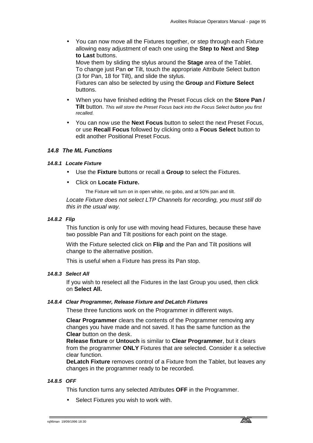• You can now move all the Fixtures together, or step through each Fixture allowing easy adjustment of each one using the **Step to Next** and **Step to Last** buttons.

Move them by sliding the stylus around the **Stage** area of the Tablet. To change just Pan **or** Tilt, touch the appropriate Attribute Select button (3 for Pan, 18 for Tilt), and slide the stylus.

Fixtures can also be selected by using the **Group** and **Fixture Select** buttons.

- When you have finished editing the Preset Focus click on the **Store Pan / Tilt** button. *This will store the Preset Focus back into the Focus Select button you first recalled.*
- You can now use the **Next Focus** button to select the next Preset Focus, or use **Recall Focus** followed by clicking onto a **Focus Select** button to edit another Positional Preset Focus.

## *14.8 The ML Functions*

#### *14.8.1 Locate Fixture*

- Use the **Fixture** buttons or recall a **Group** to select the Fixtures.
- Click on **Locate Fixture.**

The Fixture will turn on in open white, no gobo, and at 50% pan and tilt.

*Locate Fixture does not select LTP Channels for recording, you must still do this in the usual way.* 

#### *14.8.2 Flip*

This function is only for use with moving head Fixtures, because these have two possible Pan and Tilt positions for each point on the stage.

With the Fixture selected click on **Flip** and the Pan and Tilt positions will change to the alternative position.

This is useful when a Fixture has press its Pan stop.

## *14.8.3 Select All*

If you wish to reselect all the Fixtures in the last Group you used, then click on **Select All.** 

#### *14.8.4 Clear Programmer, Release Fixture and DeLatch Fixtures*

These three functions work on the Programmer in different ways.

**Clear Programmer** clears the contents of the Programmer removing any changes you have made and not saved. It has the same function as the **Clear** button on the desk.

**Release fixture** or **Untouch** is similar to **Clear Programmer**, but it clears from the programmer **ONLY** Fixtures that are selected. Consider it a selective clear function.

**DeLatch Fixture** removes control of a Fixture from the Tablet, but leaves any changes in the programmer ready to be recorded.

## *14.8.5 OFF*

This function turns any selected Attributes **OFF** in the Programmer.

Select Fixtures you wish to work with.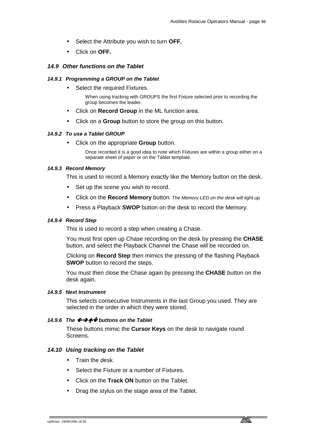- Select the Attribute you wish to turn **OFF.**
- Click on **OFF.**

## *14.9 Other functions on the Tablet*

#### *14.9.1 Programming a GROUP on the Tablet*

• Select the required Fixtures.

When using tracking with GROUPS the first Fixture selected prior to recording the group becomes the leader.

- Click on **Record Group** in the ML function area.
- Click on a **Group** button to store the group on this button.

#### *14.9.2 To use a Tablet GROUP*

• Click on the appropriate **Group** button.

Once recorded it is a good idea to note which Fixtures are within a group either on a separate sheet of paper or on the Tablet template.

#### *14.9.3 Record Memory*

This is used to record a Memory exactly like the Memory button on the desk.

- Set up the scene you wish to record.
- Click on the **Record Memory** button*. The Memory LED on the desk will light up.*
- Press a Playback **SWOP** button on the desk to record the Memory.

#### *14.9.4 Record Step*

This is used to record a step when creating a Chase.

You must first open up Chase recording on the desk by pressing the **CHASE** button, and select the Playback Channel the Chase will be recorded on.

Clicking on **Record Step** then mimics the pressing of the flashing Playback **SWOP** button to record the steps.

You must then close the Chase again by pressing the **CHASE** button on the desk again.

#### *14.9.5 Next Instrument*

This selects consecutive Instruments in the last Group you used. They are selected in the order in which they were stored.

#### *14.9.6 The ←→↑↓ buttons on the Tablet*

These buttons mimic the **Cursor Keys** on the desk to navigate round Screens.

## *14.10 Using tracking on the Tablet*

- Train the desk.
- Select the Fixture or a number of Fixtures.
- Click on the **Track ON** button on the Tablet.
- Drag the stylus on the stage area of the Tablet.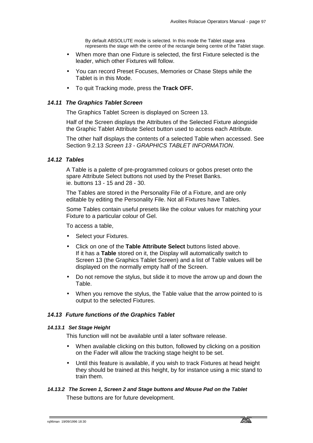By default ABSOLUTE mode is selected. In this mode the Tablet stage area represents the stage with the centre of the rectangle being centre of the Tablet stage.

- When more than one Fixture is selected, the first Fixture selected is the leader, which other Fixtures will follow.
- You can record Preset Focuses, Memories or Chase Steps while the Tablet is in this Mode.
- To quit Tracking mode, press the **Track OFF.**

#### *14.11 The Graphics Tablet Screen*

The Graphics Tablet Screen is displayed on Screen 13.

Half of the Screen displays the Attributes of the Selected Fixture alongside the Graphic Tablet Attribute Select button used to access each Attribute.

The other half displays the contents of a selected Table when accessed. See Section 9.2.13 *Screen 13 - GRAPHICS TABLET INFORMATION*.

## *14.12 Tables*

A Table is a palette of pre-programmed colours or gobos preset onto the spare Attribute Select buttons not used by the Preset Banks. ie. buttons 13 - 15 and 28 - 30.

The Tables are stored in the Personality File of a Fixture, and are only editable by editing the Personality File. Not all Fixtures have Tables.

Some Tables contain useful presets like the colour values for matching your Fixture to a particular colour of Gel.

To access a table,

- Select your Fixtures.
- Click on one of the **Table Attribute Select** buttons listed above. If it has a **Table** stored on it, the Display will automatically switch to Screen 13 (the Graphics Tablet Screen) and a list of Table values will be displayed on the normally empty half of the Screen.
- Do not remove the stylus, but slide it to move the arrow up and down the Table.
- When you remove the stylus, the Table value that the arrow pointed to is output to the selected Fixtures.

#### *14.13 Future functions of the Graphics Tablet*

#### *14.13.1 Set Stage Height*

This function will not be available until a later software release.

- When available clicking on this button, followed by clicking on a position on the Fader will allow the tracking stage height to be set.
- Until this feature is available, if you wish to track Fixtures at head height they should be trained at this height, by for instance using a mic stand to train them.

## *14.13.2 The Screen 1, Screen 2 and Stage buttons and Mouse Pad on the Tablet*  These buttons are for future development.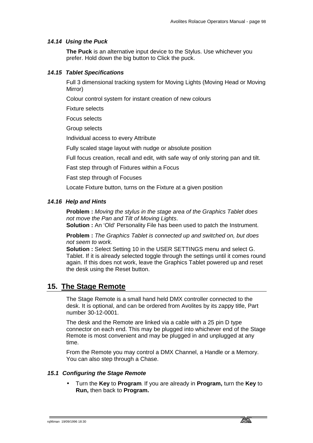### *14.14 Using the Puck*

**The Puck** is an alternative input device to the Stylus. Use whichever you prefer. Hold down the big button to Click the puck.

## *14.15 Tablet Specifications*

Full 3 dimensional tracking system for Moving Lights (Moving Head or Moving Mirror)

Colour control system for instant creation of new colours

Fixture selects

Focus selects

Group selects

Individual access to every Attribute

Fully scaled stage layout with nudge or absolute position

Full focus creation, recall and edit, with safe way of only storing pan and tilt.

Fast step through of Fixtures within a Focus

Fast step through of Focuses

Locate Fixture button, turns on the Fixture at a given position

#### *14.16 Help and Hints*

**Problem :** *Moving the stylus in the stage area of the Graphics Tablet does not move the Pan and Tilt of Moving Lights*.

**Solution :** An 'Old' Personality File has been used to patch the Instrument.

**Problem :** *The Graphics Tablet is connected up and switched on, but does not seem to work.* 

**Solution :** Select Setting 10 in the USER SETTINGS menu and select G. Tablet. If it is already selected toggle through the settings until it comes round again. If this does not work, leave the Graphics Tablet powered up and reset the desk using the Reset button.

## **15. The Stage Remote**

The Stage Remote is a small hand held DMX controller connected to the desk. It is optional, and can be ordered from Avolites by its zappy title, Part number 30-12-0001.

The desk and the Remote are linked via a cable with a 25 pin D type connector on each end. This may be plugged into whichever end of the Stage Remote is most convenient and may be plugged in and unplugged at any time.

From the Remote you may control a DMX Channel, a Handle or a Memory. You can also step through a Chase.

#### *15.1 Configuring the Stage Remote*

• Turn the **Key** to **Program***.* If you are already in **Program,** turn the **Key** to **Run,** then back to **Program.**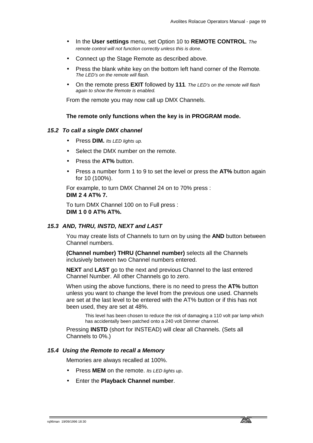- In the **User settings** menu, set Option 10 to **REMOTE CONTROL***. The remote control will not function correctly unless this is done*.
- Connect up the Stage Remote as described above.
- Press the blank white key on the bottom left hand corner of the Remote*. The LED's on the remote will flash.*
- On the remote press **EXIT** followed by **111***. The LED's on the remote will flash again to show the Remote is enabled.*

From the remote you may now call up DMX Channels.

#### **The remote only functions when the key is in PROGRAM mode.**

#### *15.2 To call a single DMX channel*

- Press **DIM.** *Its LED lights up.*
- Select the DMX number on the remote.
- Press the **AT%** button.
- Press a number form 1 to 9 to set the level or press the **AT%** button again for 10 (100%).

For example, to turn DMX Channel 24 on to 70% press : **DIM 2 4 AT% 7.** 

To turn DMX Channel 100 on to Full press : **DIM 1 0 0 AT% AT%.**

#### *15.3 AND, THRU, INSTD, NEXT and LAST*

You may create lists of Channels to turn on by using the **AND** button between Channel numbers.

**(Channel number) THRU (Channel number)** selects all the Channels inclusively between two Channel numbers entered.

**NEXT** and **LAST** go to the next and previous Channel to the last entered Channel Number. All other Channels go to zero.

When using the above functions, there is no need to press the **AT%** button unless you want to change the level from the previous one used. Channels are set at the last level to be entered with the AT% button or if this has not been used, they are set at 48%.

This level has been chosen to reduce the risk of damaging a 110 volt par lamp which has accidentally been patched onto a 240 volt Dimmer channel.

Pressing **INSTD** (short for INSTEAD) will clear all Channels. (Sets all Channels to 0%.)

#### *15.4 Using the Remote to recall a Memory*

Memories are always recalled at 100%.

- Press **MEM** on the remote. *Its LED lights up*.
- Enter the **Playback Channel number**.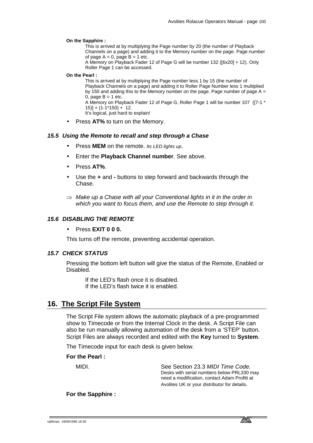#### **On the Sapphire :**

This is arrived at by multiplying the Page number by 20 (the number of Playback Channels on a page) and adding it to the Memory number on the page. Page number of page  $A = 0$ , page  $B = 1$  etc.

A Memory on Playback Fader 12 of Page G will be number 132 ([6x20] + 12). Only Roller Page 1 can be accessed.

#### **On the Pearl :**

This is arrived at by multiplying the Page number less 1 by 15 (the number of Playback Channels on a page) and adding it to Roller Page Number less 1 multiplied by 150 and adding this to the Memory number on the page. Page number of page  $A =$ 0, page  $B = 1$  etc. A Memory on Playback Fader 12 of Page G, Roller Page 1 will be number 107 ([7-1 \* 15)] + (1-1\*150) + 12.

It's logical, just hard to explain!

Press AT% to turn on the Memory.

#### *15.5 Using the Remote to recall and step through a Chase*

- Press **MEM** on the remote. *Its LED lights up*.
- Enter the **Playback Channel number**. See above.
- Press **AT%**.
- Use the **+** and **-** buttons to step forward and backwards through the Chase.
- ⇒ *Make up a Chase with all your Conventional lights in it in the order in which you want to focus them, and use the Remote to step through it.*

#### *15.6 DISABLING THE REMOTE*

#### • Press **EXIT 0 0 0.**

This turns off the remote, preventing accidental operation.

## *15.7 CHECK STATUS*

Pressing the bottom left button will give the status of the Remote, Enabled or Disabled.

 If the LED's flash once it is disabled. If the LED's flash twice it is enabled.

## **16. The Script File System**

The Script File system allows the automatic playback of a pre-programmed show to Timecode or from the Internal Clock in the desk. A Script File can also be run manually allowing automation of the desk from a 'STEP' button. Script Files are always recorded and edited with the **Key** turned to **System**.

The Timecode input for each desk is given below.

#### **For the Pearl :**

| MIDI. | See Section 23.3 MIDI Time Code.             |
|-------|----------------------------------------------|
|       | Desks with serial numbers below PRL330 may   |
|       | need a modification, contact Adam Profitt at |
|       | Avolites UK or your distributor for details. |

**For the Sapphire :**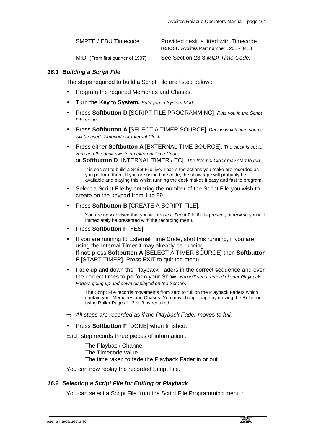| SMPTE / EBU Timecode               | Provided desk is fitted with Timecode<br>reader. Avolites Part number 1201 - 0413 |
|------------------------------------|-----------------------------------------------------------------------------------|
| MIDI (From first quarter of 1997). | See Section 23.3 MIDI Time Code.                                                  |

#### *16.1 Building a Script File*

The steps required to build a Script File are listed below :

- Program the required Memories and Chases.
- Turn the **Key** to **System.** *Puts you in System Mode*.
- Press **Softbutton D** [SCRIPT FILE PROGRAMMING]. *Puts you in the Script File menu*.
- Press **Softbutton A** [SELECT A TIMER SOURCE]*. Decide which time source will be used, Timecode or Internal Clock*.
- Press either **Softbutton A** [EXTERNAL TIME SOURCE]. *The clock is set to zero and the desk awaits an external Time Code*, or **Softbutton D** [INTERNAL TIMER / TC]. *The Internal Clock may start to run.*

It is easiest to build a Script File live. That is the actions you make are recorded as you perform them. If you are using time code, the show tape will probably be available and playing this whilst running the desk makes it easy and fast to program.

- Select a Script File by entering the number of the Script File you wish to create on the keypad from 1 to 99.
- Press **Softbutton B** [CREATE A SCRIPT FILE].

You are now advised that you will erase a Script File if it is present, otherwise you will immediately be presented with the recording menu.

- Press **Softbutton F** [YES].
- If you are running to External Time Code, start this running, if you are using the Internal Timer it may already be running. If not, press **Softbutton A** [SELECT A TIMER SOURCE] then **Softbutton F** [START TIMER]. Press **EXIT** to quit the menu.
- Fade up and down the Playback Faders in the correct sequence and over the correct times to perform your Show. *You will see a record of your Playback Faders going up and down displayed on the Screen*.

The Script File records movements from zero to full on the Playback Faders which contain your Memories and Chases. You may change page by moving the Roller or using Roller Pages 1, 2 or 3 as required.

- ⇒ *All steps are recorded as if the Playback Fader moves to full.*
- Press **Softbutton F** [DONE] when finished.

Each step records three pieces of information :

 The Playback Channel The Timecode value The time taken to fade the Playback Fader in or out.

You can now replay the recorded Script File.

#### *16.2 Selecting a Script File for Editing or Playback*

You can select a Script File from the Script File Programming menu :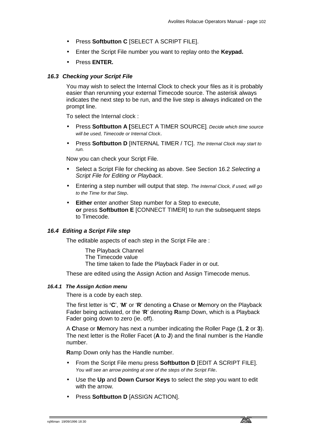- Press **Softbutton C** [SELECT A SCRIPT FILE].
- Enter the Script File number you want to replay onto the **Keypad.**
- Press **ENTER.**

## *16.3 Checking your Script File*

You may wish to select the Internal Clock to check your files as it is probably easier than rerunning your external Timecode source. The asterisk always indicates the next step to be run, and the live step is always indicated on the prompt line.

To select the Internal clock :

- Press **Softbutton A [**SELECT A TIMER SOURCE]*. Decide which time source will be used, Timecode or Internal Clock*.
- Press **Softbutton D** [INTERNAL TIMER / TC]. *The Internal Clock may start to run.*

Now you can check your Script File.

- Select a Script File for checking as above. See Section 16.2 *Selecting a Script File for Editing or Playback*.
- Entering a step number will output that step. *The Internal Clock, if used, will go to the Time for that Step*.
- **Either** enter another Step number for a Step to execute, **or** press **Softbutton E** [CONNECT TIMER] to run the subsequent steps to Timecode.

## *16.4 Editing a Script File step*

The editable aspects of each step in the Script File are :

 The Playback Channel The Timecode value The time taken to fade the Playback Fader in or out.

These are edited using the Assign Action and Assign Timecode menus.

#### *16.4.1 The Assign Action menu*

There is a code by each step.

The first letter is **'C**', '**M**' or '**R**' denoting a **C**hase or **M**emory on the Playback Fader being activated, or the '**R**' denoting **R**amp Down, which is a Playback Fader going down to zero (ie. off).

A **C**hase or **M**emory has next a number indicating the Roller Page (**1**, **2** or **3**). The next letter is the Roller Facet (**A** to **J**) and the final number is the Handle number.

**R**amp Down only has the Handle number.

- From the Script File menu press **Softbutton D** [EDIT A SCRIPT FILE]. *You will see an arrow pointing at one of the steps of the Script File*.
- Use the **Up** and **Down Cursor Keys** to select the step you want to edit with the arrow.
- Press **Softbutton D** [ASSIGN ACTION].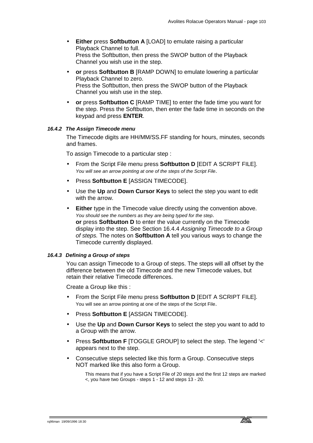- **Either** press **Softbutton A** [LOAD] to emulate raising a particular Playback Channel to full. Press the Softbutton, then press the SWOP button of the Playback Channel you wish use in the step.
- **or** press **Softbutton B** [RAMP DOWN] to emulate lowering a particular Playback Channel to zero. Press the Softbutton, then press the SWOP button of the Playback Channel you wish use in the step.
- **or** press **Softbutton C** [RAMP TIME] to enter the fade time you want for the step. Press the Softbutton, then enter the fade time in seconds on the keypad and press **ENTER**.

#### *16.4.2 The Assign Timecode menu*

The Timecode digits are HH/MM/SS.FF standing for hours, minutes, seconds and frames.

To assign Timecode to a particular step :

- From the Script File menu press **Softbutton D** [EDIT A SCRIPT FILE]. *You will see an arrow pointing at one of the steps of the Script File*.
- Press **Softbutton E** [ASSIGN TIMECODE].
- Use the **Up** and **Down Cursor Keys** to select the step you want to edit with the arrow.
- **Either** type in the Timecode value directly using the convention above. *You should see the numbers as they are being typed for the step*. **or** press **Softbutton D** to enter the value currently on the Timecode display into the step. See Section 16.4.4 *Assigning Timecode to a Group of steps.* The notes on **Softbutton A** tell you various ways to change the Timecode currently displayed.

#### *16.4.3 Defining a Group of steps*

You can assign Timecode to a Group of steps. The steps will all offset by the difference between the old Timecode and the new Timecode values, but retain their relative Timecode differences.

Create a Group like this :

- From the Script File menu press **Softbutton D** [EDIT A SCRIPT FILE]. You will see an arrow pointing at one of the steps of the Script File.
- Press **Softbutton E** [ASSIGN TIMECODE].
- Use the **Up** and **Down Cursor Keys** to select the step you want to add to a Group with the arrow.
- Press **Softbutton F** [TOGGLE GROUP] to select the step. The legend '<' appears next to the step.
- Consecutive steps selected like this form a Group. Consecutive steps NOT marked like this also form a Group.

This means that if you have a Script File of 20 steps and the first 12 steps are marked <, you have two Groups - steps 1 - 12 and steps 13 - 20.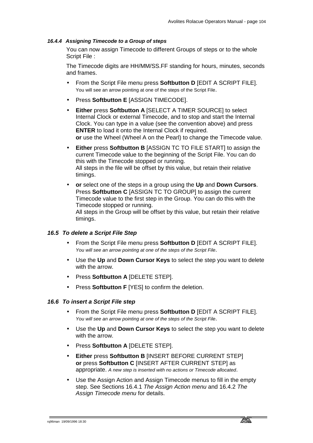#### *16.4.4 Assigning Timecode to a Group of steps*

You can now assign Timecode to different Groups of steps or to the whole Script File :

The Timecode digits are HH/MM/SS.FF standing for hours, minutes, seconds and frames.

- From the Script File menu press **Softbutton D** [EDIT A SCRIPT FILE]. You will see an arrow pointing at one of the steps of the Script File.
- Press **Softbutton E** [ASSIGN TIMECODE].
- **Either** press **Softbutton A** [SELECT A TIMER SOURCE] to select Internal Clock or external Timecode, and to stop and start the Internal Clock. You can type in a value (see the convention above) and press **ENTER** to load it onto the Internal Clock if required. **or** use the Wheel (Wheel A on the Pearl) to change the Timecode value.
- **Either** press **Softbutton B** [ASSIGN TC TO FILE START] to assign the current Timecode value to the beginning of the Script File. You can do this with the Timecode stopped or running. All steps in the file will be offset by this value, but retain their relative timings.
- **or** select one of the steps in a group using the **Up** and **Down Cursors**. Press **Softbutton C** [ASSIGN TC TO GROUP] to assign the current Timecode value to the first step in the Group. You can do this with the Timecode stopped or running.

All steps in the Group will be offset by this value, but retain their relative timings.

#### *16.5 To delete a Script File Step*

- From the Script File menu press **Softbutton D** [EDIT A SCRIPT FILE]. *You will see an arrow pointing at one of the steps of the Script File*.
- Use the **Up** and **Down Cursor Keys** to select the step you want to delete with the arrow.
- Press **Softbutton A** [DELETE STEP].
- Press **Softbutton F** [YES] to confirm the deletion.

#### *16.6 To insert a Script File step*

- From the Script File menu press **Softbutton D** [EDIT A SCRIPT FILE]. *You will see an arrow pointing at one of the steps of the Script File*.
- Use the **Up** and **Down Cursor Keys** to select the step you want to delete with the arrow.
- Press **Softbutton A** [DELETE STEP].
- **Either** press **Softbutton B** [INSERT BEFORE CURRENT STEP] **or** press **Softbutton C** [INSERT AFTER CURRENT STEP] as appropriate. *A new step is inserted with no actions or Timecode allocated*.
- Use the Assign Action and Assign Timecode menus to fill in the empty step. See Sections 16.4.1 *The Assign Action menu* and 16.4.2 *The Assign Timecode menu* for details.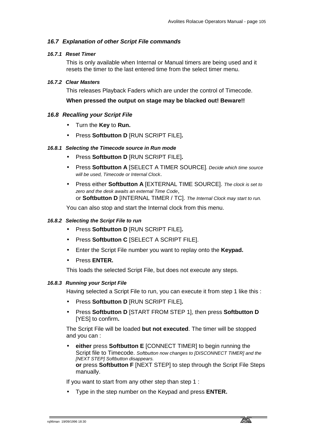## *16.7 Explanation of other Script File commands*

#### *16.7.1 Reset Timer*

This is only available when Internal or Manual timers are being used and it resets the timer to the last entered time from the select timer menu.

#### *16.7.2 Clear Masters*

This releases Playback Faders which are under the control of Timecode.

## **When pressed the output on stage may be blacked out! Beware!!**

#### *16.8 Recalling your Script File*

- Turn the **Key** to **Run.**
- Press **Softbutton D** [RUN SCRIPT FILE]**.**

## *16.8.1 Selecting the Timecode source in Run mode*

- Press **Softbutton D** [RUN SCRIPT FILE]**.**
- Press **Softbutton A** [SELECT A TIMER SOURCE]*. Decide which time source will be used, Timecode or Internal Clock*.
- Press either **Softbutton A** [EXTERNAL TIME SOURCE]. *The clock is set to zero and the desk awaits an external Time Code*, or **Softbutton D** [INTERNAL TIMER / TC]. *The Internal Clock may start to run.*

You can also stop and start the Internal clock from this menu.

#### *16.8.2 Selecting the Script File to run*

- Press **Softbutton D** [RUN SCRIPT FILE]**.**
- Press **Softbutton C** [SELECT A SCRIPT FILE].
- Enter the Script File number you want to replay onto the **Keypad.**
- Press **ENTER.**

This loads the selected Script File, but does not execute any steps.

#### *16.8.3 Running your Script File*

Having selected a Script File to run, you can execute it from step 1 like this :

- Press **Softbutton D** [RUN SCRIPT FILE]**.**
- Press **Softbutton D** [START FROM STEP 1], then press **Softbutton D**  [YES] to confirm**.**

The Script File will be loaded **but not executed**. The timer will be stopped and you can :

• **either** press **Softbutton E** [CONNECT TIMER] to begin running the Script file to Timecode. *Softbutton now changes to [DISCONNECT TIMER] and the [NEXT STEP] Softbutton disappears.* **or** press **Softbutton F** [NEXT STEP] to step through the Script File Steps manually.

If you want to start from any other step than step 1 :

• Type in the step number on the Keypad and press **ENTER.**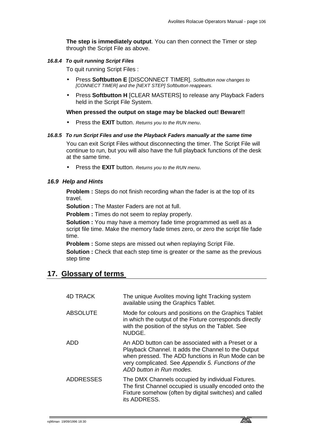**The step is immediately output**. You can then connect the Timer or step through the Script File as above.

## *16.8.4 To quit running Script Files*

To quit running Script Files :

- Press **Softbutton E** [DISCONNECT TIMER]. *Softbutton now changes to [CONNECT TIMER] and the [NEXT STEP] Softbutton reappears.*
- Press **Softbutton H** [CLEAR MASTERS] to release any Playback Faders held in the Script File System.

#### **When pressed the output on stage may be blacked out! Beware!!**

• Press the **EXIT** button. *Returns you to the RUN menu*.

#### *16.8.5 To run Script Files and use the Playback Faders manually at the same time*

You can exit Script Files without disconnecting the timer. The Script File will continue to run, but you will also have the full playback functions of the desk at the same time.

• Press the **EXIT** button. *Returns you to the RUN menu*.

#### *16.9 Help and Hints*

**Problem :** Steps do not finish recording whan the fader is at the top of its travel.

**Solution :** The Master Faders are not at full.

**Problem :** Times do not seem to replay properly.

**Solution :** You may have a memory fade time programmed as well as a script file time. Make the memory fade times zero, or zero the script file fade time.

**Problem :** Some steps are missed out when replaying Script File.

**Solution :** Check that each step time is greater or the same as the previous step time

## **17. Glossary of terms**

| <b>4D TRACK</b>  | The unique Avolites moving light Tracking system<br>available using the Graphics Tablet.                                                                                                                                                          |
|------------------|---------------------------------------------------------------------------------------------------------------------------------------------------------------------------------------------------------------------------------------------------|
| <b>ABSOLUTE</b>  | Mode for colours and positions on the Graphics Tablet<br>in which the output of the Fixture corresponds directly<br>with the position of the stylus on the Tablet. See<br>NUDGE.                                                                  |
| ADD              | An ADD button can be associated with a Preset or a<br>Playback Channel. It adds the Channel to the Output<br>when pressed. The ADD functions in Run Mode can be<br>very complicated. See Appendix 5. Functions of the<br>ADD button in Run modes. |
| <b>ADDRESSES</b> | The DMX Channels occupied by individual Fixtures.<br>The first Channel occupied is usually encoded onto the<br>Fixture somehow (often by digital switches) and called<br>its ADDRESS.                                                             |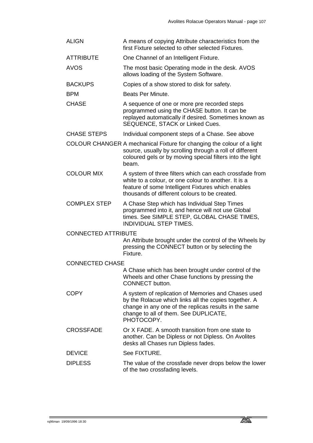- ALIGN A means of copying Attribute characteristics from the first Fixture selected to other selected Fixtures.
- ATTRIBUTE One Channel of an Intelligent Fixture.
- AVOS The most basic Operating mode in the desk. AVOS allows loading of the System Software.
- BACKUPS Copies of a show stored to disk for safety.
- BPM Beats Per Minute.
- CHASE A sequence of one or more pre recorded steps programmed using the CHASE button. It can be replayed automatically if desired. Sometimes known as SEQUENCE, STACK or Linked Cues.
- CHASE STEPS Individual component steps of a Chase. See above
- COLOUR CHANGER A mechanical Fixture for changing the colour of a light source, usually by scrolling through a roll of different coloured gels or by moving special filters into the light beam.
- COLOUR MIX A system of three filters which can each crossfade from white to a colour, or one colour to another. It is a feature of some Intelligent Fixtures which enables thousands of different colours to be created.
- COMPLEX STEP A Chase Step which has Individual Step Times programmed into it, and hence will not use Global times. See SIMPLE STEP, GLOBAL CHASE TIMES, INDIVIDUAL STEP TIMES.

CONNECTED ATTRIBUTE

An Attribute brought under the control of the Wheels by pressing the CONNECT button or by selecting the Fixture.

#### CONNECTED CHASE

A Chase which has been brought under control of the Wheels and other Chase functions by pressing the CONNECT button.

- COPY A system of replication of Memories and Chases used by the Rolacue which links all the copies together. A change in any one of the replicas results in the same change to all of them. See DUPLICATE, PHOTOCOPY.
- CROSSFADE Or X FADE. A smooth transition from one state to another. Can be Dipless or not Dipless. On Avolites desks all Chases run Dipless fades.
- DEVICE See FIXTURE.

#### DIPLESS The value of the crossfade never drops below the lower of the two crossfading levels.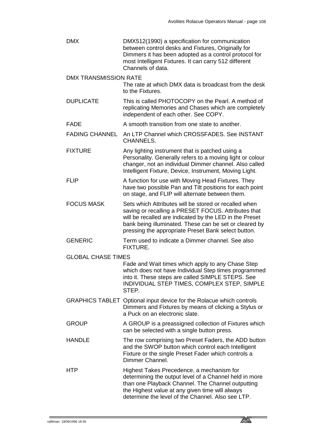DMX DMX512(1990) a specification for communication between control desks and Fixtures, Originally for Dimmers it has been adopted as a control protocol for most Intelligent Fixtures. It can carry 512 different Channels of data.

#### DMX TRANSMISSION RATE

The rate at which DMX data is broadcast from the desk to the Fixtures.

- DUPLICATE This is called PHOTOCOPY on the Pearl. A method of replicating Memories and Chases which are completely independent of each other. See COPY.
- FADE A smooth transition from one state to another.
- FADING CHANNEL An LTP Channel which CROSSFADES. See INSTANT CHANNELS.
- FIXTURE Any lighting instrument that is patched using a Personality. Generally refers to a moving light or colour changer, not an individual Dimmer channel. Also called Intelligent Fixture, Device, Instrument, Moving Light.
- FLIP A function for use with Moving Head Fixtures. They have two possible Pan and Tilt positions for each point on stage, and FLIP will alternate between them.
- FOCUS MASK Sets which Attributes will be stored or recalled when saving or recalling a PRESET FOCUS. Attributes that will be recalled are indicated by the LED in the Preset bank being illuminated. These can be set or cleared by pressing the appropriate Preset Bank select button.
- GENERIC Term used to indicate a Dimmer channel. See also FIXTURE.
- GLOBAL CHASE TIMES

Fade and Wait times which apply to any Chase Step which does not have Individual Step times programmed into it. These steps are called SIMPLE STEPS. See INDIVIDUAL STEP TIMES, COMPLEX STEP, SIMPLE STEP.

- GRAPHICS TABLET Optional input device for the Rolacue which controls Dimmers and Fixtures by means of clicking a Stylus or a Puck on an electronic slate.
- GROUP A GROUP is a preassigned collection of Fixtures which can be selected with a single button press.
- HANDLE The row comprising two Preset Faders, the ADD button and the SWOP button which control each Intelligent Fixture or the single Preset Fader which controls a Dimmer Channel.
- HTP Highest Takes Precedence, a mechanism for determining the output level of a Channel held in more than one Playback Channel. The Channel outputting the Highest value at any given time will always determine the level of the Channel. Also see LTP.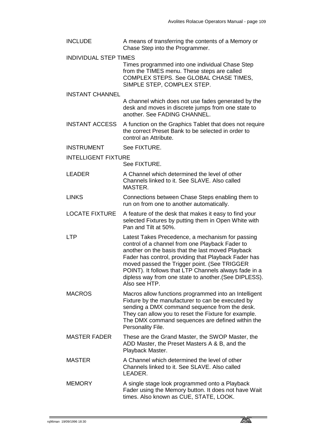- INCLUDE A means of transferring the contents of a Memory or Chase Step into the Programmer.
- INDIVIDUAL STEP TIMES

Times programmed into one individual Chase Step from the TIMES menu. These steps are called COMPLEX STEPS. See GLOBAL CHASE TIMES, SIMPLE STEP, COMPLEX STEP.

INSTANT CHANNEL

A channel which does not use fades generated by the desk and moves in discrete jumps from one state to another. See FADING CHANNEL.

- INSTANT ACCESS A function on the Graphics Tablet that does not require the correct Preset Bank to be selected in order to control an Attribute.
- INSTRUMENT See FIXTURE.
- INTELLIGENT FIXTURE

See FIXTURE.

- LEADER A Channel which determined the level of other Channels linked to it. See SLAVE. Also called MASTER.
- LINKS Connections between Chase Steps enabling them to run on from one to another automatically.
- LOCATE FIXTURE A feature of the desk that makes it easy to find your selected Fixtures by putting them in Open White with Pan and Tilt at 50%.
- LTP Latest Takes Precedence, a mechanism for passing control of a channel from one Playback Fader to another on the basis that the last moved Playback Fader has control, providing that Playback Fader has moved passed the Trigger point. (See TRIGGER POINT). It follows that LTP Channels always fade in a dipless way from one state to another.(See DIPLESS). Also see HTP.
- MACROS Macros allow functions programmed into an Intelligent Fixture by the manufacturer to can be executed by sending a DMX command sequence from the desk. They can allow you to reset the Fixture for example. The DMX command sequences are defined within the Personality File.
- MASTER FADER These are the Grand Master, the SWOP Master, the ADD Master, the Preset Masters A & B, and the Playback Master.
- MASTER A Channel which determined the level of other Channels linked to it. See SLAVE. Also called LEADER.
- MEMORY A single stage look programmed onto a Playback Fader using the Memory button. It does not have Wait times. Also known as CUE, STATE, LOOK.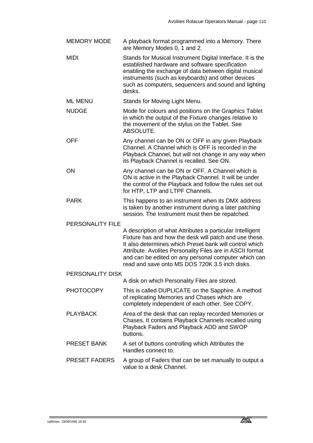- MEMORY MODE A playback format programmed into a Memory. There are Memory Modes 0, 1 and 2.
- MIDI Stands for Musical Instrument Digital Interface. It is the established hardware and software specification enabling the exchange of data between digital musical instruments (such as keyboards) and other devices such as computers, sequencers and sound and lighting desks.
- ML MENU Stands for Moving Light Menu.
- NUDGE Mode for colours and positions on the Graphics Tablet in which the output of the Fixture changes relative to the movement of the stylus on the Tablet. See ABSOLUTE.
- OFF Any channel can be ON or OFF in any given Playback Channel. A Channel which is OFF is recorded in the Playback Channel, but will not change in any way when its Playback Channel is recalled. See ON.
- ON Any channel can be ON or OFF. A Channel which is ON is active in the Playback Channel. It will be under the control of the Playback and follow the rules set out for HTP, LTP and LTPF Channels.
- PARK This happens to an instrument when its DMX address is taken by another instrument during a later patching session. The Instrument must then be repatched.

PERSONALITY FILE

A description of what Attributes a particular Intelligent Fixture has and how the desk will patch and use these. It also determines which Preset bank will control which Attribute. Avolites Personality Files are in ASCII format and can be edited on any personal computer which can read and save onto MS DOS 720K 3.5 inch disks.

PERSONALITY DISK

A disk on which Personality Files are stored.

- PHOTOCOPY This is called DUPLICATE on the Sapphire. A method of replicating Memories and Chases which are completely independent of each other. See COPY.
- PLAYBACK Area of the desk that can replay recorded Memories or Chases. It contains Playback Channels recalled using Playback Faders and Playback ADD and SWOP buttons.
- PRESET BANK A set of buttons controlling which Attributes the Handles connect to.
- PRESET FADERS A group of Faders that can be set manually to output a value to a desk Channel.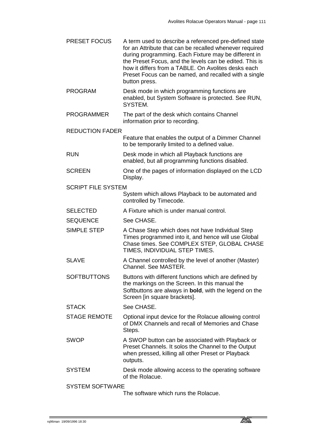- PRESET FOCUS A term used to describe a referenced pre-defined state for an Attribute that can be recalled whenever required during programming. Each Fixture may be different in the Preset Focus, and the levels can be edited. This is how it differs from a TABLE. On Avolites desks each Preset Focus can be named, and recalled with a single button press. PROGRAM Desk mode in which programming functions are
- enabled, but System Software is protected. See RUN, SYSTEM.
- PROGRAMMER The part of the desk which contains Channel information prior to recording.
- REDUCTION FADER
	- Feature that enables the output of a Dimmer Channel to be temporarily limited to a defined value.
- RUN Desk mode in which all Playback functions are enabled, but all programming functions disabled.
- SCREEN One of the pages of information displayed on the LCD Display.
- SCRIPT FILE SYSTEM
	- System which allows Playback to be automated and controlled by Timecode.
- SELECTED A Fixture which is under manual control.
- SEQUENCE See CHASE.
- SIMPLE STEP A Chase Step which does not have Individual Step Times programmed into it, and hence will use Global Chase times. See COMPLEX STEP, GLOBAL CHASE TIMES, INDIVIDUAL STEP TIMES.
- SLAVE A Channel controlled by the level of another (Master) Channel. See MASTER.
- SOFTBUTTONS Buttons with different functions which are defined by the markings on the Screen. In this manual the Softbuttons are always in **bold**, with the legend on the Screen [in square brackets].
- STACK See CHASE.
- STAGE REMOTE Optional input device for the Rolacue allowing control of DMX Channels and recall of Memories and Chase Steps.
- SWOP A SWOP button can be associated with Playback or Preset Channels. It solos the Channel to the Output when pressed, killing all other Preset or Playback outputs.
- SYSTEM Desk mode allowing access to the operating software of the Rolacue.

SYSTEM SOFTWARE

The software which runs the Rolacue.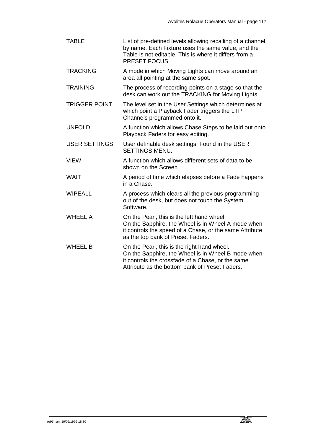TABLE List of pre-defined levels allowing recalling of a channel by name. Each Fixture uses the same value, and the Table is not editable. This is where it differs from a PRESET FOCUS. TRACKING A mode in which Moving Lights can move around an area all pointing at the same spot. TRAINING The process of recording points on a stage so that the desk can work out the TRACKING for Moving Lights. TRIGGER POINT The level set in the User Settings which determines at which point a Playback Fader triggers the LTP Channels programmed onto it. UNFOLD A function which allows Chase Steps to be laid out onto Playback Faders for easy editing. USER SETTINGS User definable desk settings. Found in the USER SETTINGS MENU. VIEW A function which allows different sets of data to be shown on the Screen WAIT A period of time which elapses before a Fade happens in a Chase. WIPEALL A process which clears all the previous programming out of the desk, but does not touch the System Software. WHEEL A Cn the Pearl, this is the left hand wheel. On the Sapphire, the Wheel is in Wheel A mode when it controls the speed of a Chase, or the same Attribute as the top bank of Preset Faders. WHEEL B On the Pearl, this is the right hand wheel. On the Sapphire, the Wheel is in Wheel B mode when it controls the crossfade of a Chase, or the same Attribute as the bottom bank of Preset Faders.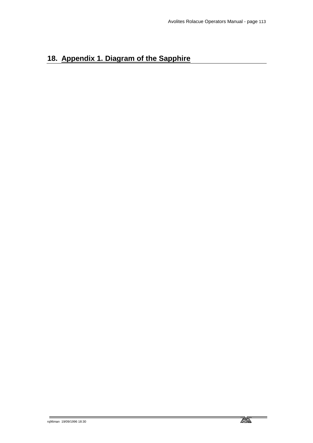# **18. Appendix 1. Diagram of the Sapphire**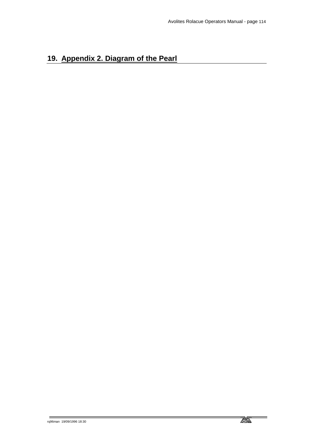# **19. Appendix 2. Diagram of the Pearl**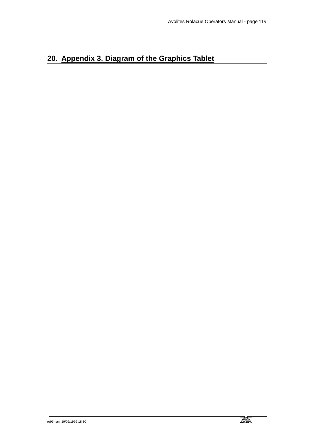# **20. Appendix 3. Diagram of the Graphics Tablet**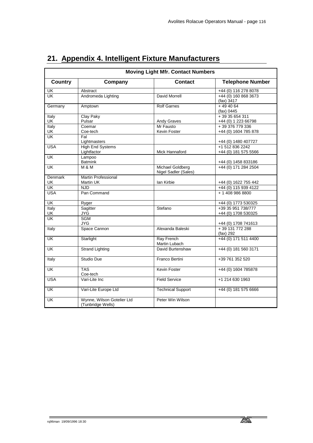| <b>Moving Light Mfr. Contact Numbers</b> |                                                 |                                          |                                           |  |  |  |
|------------------------------------------|-------------------------------------------------|------------------------------------------|-------------------------------------------|--|--|--|
| <b>Country</b>                           | Company                                         | <b>Contact</b>                           | <b>Telephone Number</b>                   |  |  |  |
| UK                                       | Abstract                                        |                                          | +44 (0) 116 278 8078                      |  |  |  |
| <b>UK</b>                                | Andromeda Lighting                              | David Morrell                            | +44 (0) 160 868 3673<br>$(fax)$ 3417      |  |  |  |
| Germany                                  | Amptown                                         | <b>Rolf Garnes</b>                       | $+494064$<br>$(fax)$ 0445                 |  |  |  |
| Italy<br>UK                              | Clay Paky<br>Pulsar                             | Andy Graves                              | $+3935654311$<br>+44 (0) 1 223 66798      |  |  |  |
| Italy<br>UK                              | Coemar<br>Coe-tech                              | Mr Fausto<br>Kevin Foster                | +39 376 779 336<br>+44 (0) 1604 785 878   |  |  |  |
| UK                                       | Fal<br>Lightmasters                             |                                          | +44 (0) 1480 407727                       |  |  |  |
| <b>USA</b>                               | <b>High End Systems</b><br>Lightfactor          | Mick Hannaford                           | +1 512 836 2242<br>+44 (0) 181 575 5566   |  |  |  |
| $\overline{\mathsf{U}\mathsf{K}}$        | Lampoo<br><b>Batmink</b>                        |                                          | +44 (0) 1458 833186                       |  |  |  |
| <b>UK</b>                                | <b>M &amp; M</b>                                | Michael Goldberg<br>Nigel Sadler (Sales) | +44 (0) 171 284 2504                      |  |  |  |
| Denmark<br>UK                            | <b>Martin Professional</b><br>Martin UK         | lan Kirbie                               | +44 (0) 1622 755 442                      |  |  |  |
| UK                                       | <b>NJD</b>                                      |                                          | +44 (0) 115 939 4122                      |  |  |  |
| <b>USA</b>                               | Pan Command                                     |                                          | + 1 408 986 8800                          |  |  |  |
| UK                                       | Ryger                                           |                                          | +44 (0) 1773 530325                       |  |  |  |
| Italy<br>UK                              | Sagitter<br><b>JYG</b>                          | Stefano                                  | +39 35 951 738/777<br>+44 (0) 1708 530325 |  |  |  |
| <b>UK</b>                                | <b>SGM</b><br><b>JYG</b>                        |                                          | +44 (0) 1708 741613                       |  |  |  |
| Italy                                    | Space Cannon                                    | Alexanda Baleski                         | +39 131 772 288<br>(fax) 292              |  |  |  |
| UK                                       | Starlight                                       | Ray French<br>Martin Lubach              | +44 (0) 171 511 4400                      |  |  |  |
| $\overline{\mathsf{U}\mathsf{K}}$        | <b>Strand Lighting</b>                          | David Burtenshaw                         | +44 (0) 181 560 3171                      |  |  |  |
| Italy                                    | <b>Studio Due</b>                               | Franco Bertini                           | +39 761 352 520                           |  |  |  |
| $\overline{\mathsf{U}}$ K                | <b>TAS</b><br>Coe-tech                          | Kevin Foster                             | +44 (0) 1604 785878                       |  |  |  |
| <b>USA</b>                               | Vari-Lite Inc                                   | <b>Field Service</b>                     | +1 214 630 1963                           |  |  |  |
| UK                                       | Vari-Lite Europe Ltd                            | <b>Technical Support</b>                 | +44 (0) 181 575 6666                      |  |  |  |
| <b>UK</b>                                | Wynne, Wilson Gotelier Ltd<br>(Tunbridge Wells) | Peter Win Wilson                         |                                           |  |  |  |

# **21. Appendix 4. Intelligent Fixture Manufacturers**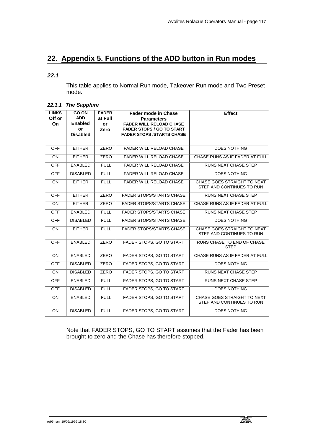# **22. Appendix 5. Functions of the ADD button in Run modes**

#### *22.1*

This table applies to Normal Run mode, Takeover Run mode and Two Preset mode.

#### *22.1.1 The Sapphire*

| <b>LINKS</b><br>Off or<br><b>On</b> | <b>GO ON</b><br><b>ADD</b><br><b>Enabled</b><br>or<br><b>Disabled</b> | <b>FADER</b><br>at Full<br>or<br>Zero | <b>Fader mode in Chase</b><br><b>Parameters</b><br><b>FADER WILL RELOAD CHASE</b><br><b>FADER STOPS / GO TO START</b><br><b>FADER STOPS /STARTS CHASE</b> | <b>Effect</b>                                            |
|-------------------------------------|-----------------------------------------------------------------------|---------------------------------------|-----------------------------------------------------------------------------------------------------------------------------------------------------------|----------------------------------------------------------|
| <b>OFF</b>                          | <b>EITHER</b>                                                         | <b>ZERO</b>                           | <b>FADER WILL RELOAD CHASE</b>                                                                                                                            | <b>DOES NOTHING</b>                                      |
| <b>ON</b>                           | <b>EITHER</b>                                                         | <b>ZERO</b>                           | <b>FADER WILL RELOAD CHASE</b>                                                                                                                            | CHASE RUNS AS IF FADER AT FULL                           |
| <b>OFF</b>                          | <b>ENABLED</b>                                                        | <b>FULL</b>                           | <b>FADER WILL RELOAD CHASE</b>                                                                                                                            | <b>RUNS NEXT CHASE STEP</b>                              |
| <b>OFF</b>                          | <b>DISABLED</b>                                                       | <b>FULL</b>                           | <b>FADER WILL RELOAD CHASE</b>                                                                                                                            | <b>DOES NOTHING</b>                                      |
| <b>ON</b>                           | <b>EITHER</b>                                                         | <b>FULL</b>                           | FADER WILL RELOAD CHASE                                                                                                                                   | CHASE GOES STRAIGHT TO NEXT<br>STEP AND CONTINUES TO RUN |
| <b>OFF</b>                          | <b>EITHER</b>                                                         | <b>ZERO</b>                           | <b>FADER STOPS/STARTS CHASE</b>                                                                                                                           | <b>RUNS NEXT CHASE STEP</b>                              |
| <b>ON</b>                           | <b>EITHER</b>                                                         | <b>ZERO</b>                           | <b>FADER STOPS/STARTS CHASE</b>                                                                                                                           | CHASE RUNS AS IF FADER AT FULL                           |
| <b>OFF</b>                          | <b>ENABLED</b>                                                        | <b>FULL</b>                           | <b>FADER STOPS/STARTS CHASE</b>                                                                                                                           | <b>RUNS NEXT CHASE STEP</b>                              |
| OFF                                 | <b>DISABLED</b>                                                       | <b>FULL</b>                           | <b>FADER STOPS/STARTS CHASE</b>                                                                                                                           | <b>DOES NOTHING</b>                                      |
| <b>ON</b>                           | <b>EITHER</b>                                                         | <b>FULL</b>                           | <b>FADER STOPS/STARTS CHASE</b>                                                                                                                           | CHASE GOES STRAIGHT TO NEXT<br>STEP AND CONTINUES TO RUN |
| <b>OFF</b>                          | <b>ENABLED</b>                                                        | <b>ZERO</b>                           | FADER STOPS, GO TO START                                                                                                                                  | RUNS CHASE TO END OF CHASE<br><b>STEP</b>                |
| <b>ON</b>                           | <b>ENABLED</b>                                                        | ZERO                                  | FADER STOPS, GO TO START                                                                                                                                  | CHASE RUNS AS IF FADER AT FULL                           |
| <b>OFF</b>                          | <b>DISABLED</b>                                                       | <b>ZERO</b>                           | FADER STOPS, GO TO START                                                                                                                                  | <b>DOES NOTHING</b>                                      |
| <b>ON</b>                           | <b>DISABLED</b>                                                       | ZERO                                  | FADER STOPS, GO TO START                                                                                                                                  | <b>RUNS NEXT CHASE STEP</b>                              |
| <b>OFF</b>                          | <b>ENABLED</b>                                                        | <b>FULL</b>                           | FADER STOPS, GO TO START                                                                                                                                  | <b>RUNS NEXT CHASE STEP</b>                              |
| <b>OFF</b>                          | <b>DISABLED</b>                                                       | <b>FULL</b>                           | FADER STOPS, GO TO START                                                                                                                                  | <b>DOES NOTHING</b>                                      |
| <b>ON</b>                           | <b>ENABLED</b>                                                        | <b>FULL</b>                           | FADER STOPS, GO TO START                                                                                                                                  | CHASE GOES STRAIGHT TO NEXT<br>STEP AND CONTINUES TO RUN |
| <b>ON</b>                           | <b>DISABLED</b>                                                       | <b>FULL</b>                           | FADER STOPS, GO TO START                                                                                                                                  | <b>DOES NOTHING</b>                                      |

Note that FADER STOPS, GO TO START assumes that the Fader has been brought to zero and the Chase has therefore stopped.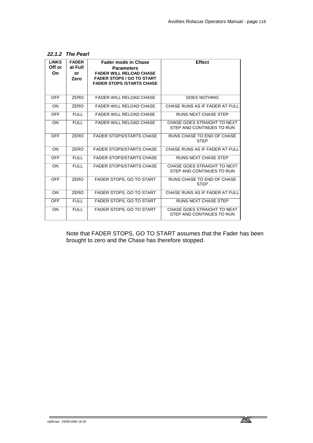| <b>LINKS</b><br>Off or<br>On. | <b>FADER</b><br>at Full<br>or<br>Zero | <b>Fader mode in Chase</b><br><b>Parameters</b><br><b>FADER WILL RELOAD CHASE</b><br><b>FADER STOPS / GO TO START</b><br><b>FADER STOPS /STARTS CHASE</b> | <b>Effect</b>                                            |
|-------------------------------|---------------------------------------|-----------------------------------------------------------------------------------------------------------------------------------------------------------|----------------------------------------------------------|
| <b>OFF</b>                    | ZERO                                  | <b>FADER WILL RELOAD CHASE</b>                                                                                                                            | <b>DOES NOTHING</b>                                      |
| ON                            | ZERO                                  | <b>FADER WILL RELOAD CHASE</b>                                                                                                                            | CHASE RUNS AS IF FADER AT FULL                           |
| <b>OFF</b>                    | <b>FULL</b>                           | <b>FADER WILL RELOAD CHASE</b>                                                                                                                            | <b>RUNS NEXT CHASE STEP</b>                              |
| ON                            | <b>FULL</b>                           | <b>FADER WILL RELOAD CHASE</b>                                                                                                                            | CHASE GOES STRAIGHT TO NEXT<br>STEP AND CONTINUES TO RUN |
| <b>OFF</b>                    | ZERO                                  | <b>FADER STOPS/STARTS CHASE</b>                                                                                                                           | RUNS CHASE TO END OF CHASE<br><b>STEP</b>                |
| ON                            | ZERO                                  | <b>FADER STOPS/STARTS CHASE</b>                                                                                                                           | CHASE RUNS AS IF FADER AT FULL                           |
| <b>OFF</b>                    | <b>FULL</b>                           | <b>FADER STOPS/STARTS CHASE</b>                                                                                                                           | <b>RUNS NEXT CHASE STEP</b>                              |
| ON                            | <b>FULL</b>                           | <b>FADER STOPS/STARTS CHASE</b>                                                                                                                           | CHASE GOES STRAIGHT TO NEXT<br>STEP AND CONTINUES TO RUN |
| <b>OFF</b>                    | ZERO                                  | FADER STOPS, GO TO START                                                                                                                                  | RUNS CHASE TO END OF CHASE<br><b>STEP</b>                |
| <b>ON</b>                     | ZERO                                  | <b>FADER STOPS, GO TO START</b>                                                                                                                           | CHASE RUNS AS IF FADER AT FULL                           |
| <b>OFF</b>                    | <b>FULL</b>                           | <b>FADER STOPS, GO TO START</b>                                                                                                                           | <b>RUNS NEXT CHASE STEP</b>                              |
| ON                            | <b>FULL</b>                           | <b>FADER STOPS, GO TO START</b>                                                                                                                           | CHASE GOES STRAIGHT TO NEXT<br>STEP AND CONTINUES TO RUN |

Note that FADER STOPS, GO TO START assumes that the Fader has been brought to zero and the Chase has therefore stopped.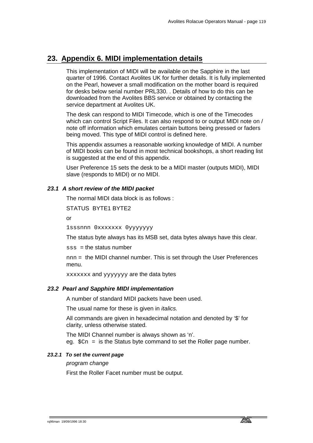# **23. Appendix 6. MIDI implementation details**

This implementation of MIDI will be available on the Sapphire in the last quarter of 1996. Contact Avolites UK for further details. It is fully implemented on the Pearl, however a small modification on the mother board is required for desks below serial number PRL330. . Details of how to do this can be downloaded from the Avolites BBS service or obtained by contacting the service department at Avolites UK.

The desk can respond to MIDI Timecode, which is one of the Timecodes which can control Script Files. It can also respond to or output MIDI note on / note off information which emulates certain buttons being pressed or faders being moved. This type of MIDI control is defined here.

This appendix assumes a reasonable working knowledge of MIDI. A number of MIDI books can be found in most technical bookshops, a short reading list is suggested at the end of this appendix.

User Preference 15 sets the desk to be a MIDI master (outputs MIDI), MIDI slave (responds to MIDI) or no MIDI.

### *23.1 A short review of the MIDI packet*

The normal MIDI data block is as follows :

STATUS BYTE1 BYTE2

or

1sssnnn 0xxxxxxx 0yyyyyyy

The status byte always has its MSB set, data bytes always have this clear.

 $sss =$  the status number

nnn = the MIDI channel number. This is set through the User Preferences menu.

xxxxxxx and yyyyyyy are the data bytes

### *23.2 Pearl and Sapphire MIDI implementation*

A number of standard MIDI packets have been used.

The usual name for these is given in *italics.* 

All commands are given in hexadecimal notation and denoted by '\$' for clarity, unless otherwise stated.

The MIDI Channel number is always shown as 'n'. eg.  $$cn = is the Status byte command to set the Roller page number.$ 

### *23.2.1 To set the current page*

*program change*

First the Roller Facet number must be output.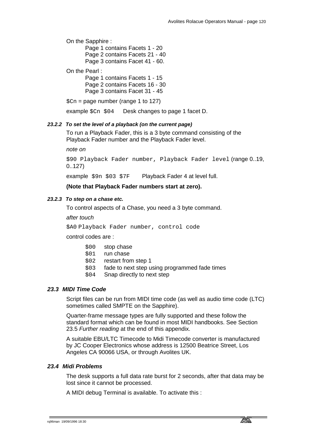On the Sapphire :

 Page 1 contains Facets 1 - 20 Page 2 contains Facets 21 - 40 Page 3 contains Facet 41 - 60.

On the Pearl :

 Page 1 contains Facets 1 - 15 Page 2 contains Facets 16 - 30 Page 3 contains Facet 31 - 45

 $\text{\$Cn = page number (range 1 to 127)}$ 

example  $\Scn = 94$  Desk changes to page 1 facet D.

#### *23.2.2 To set the level of a playback (on the current page)*

To run a Playback Fader, this is a 3 byte command consisting of the Playback Fader number and the Playback Fader level.

*note on*

\$90 Playback Fader number, Playback Fader level (range 0..19, 0..127)

example \$9n \$03 \$7F Playback Fader 4 at level full.

#### **(Note that Playback Fader numbers start at zero).**

#### *23.2.3 To step on a chase etc.*

To control aspects of a Chase, you need a 3 byte command.

*after touch* 

\$A0 Playback Fader number, control code

control codes are :

- \$00 stop chase
- \$01 run chase
- \$02 restart from step 1
- \$03 fade to next step using programmed fade times
- \$04 Snap directly to next step

#### *23.3 MIDI Time Code*

Script files can be run from MIDI time code (as well as audio time code (LTC) sometimes called SMPTE on the Sapphire).

Quarter-frame message types are fully supported and these follow the standard format which can be found in most MIDI handbooks. See Section 23.5 *Further reading* at the end of this appendix.

A suitable EBU/LTC Timecode to Midi Timecode converter is manufactured by JC Cooper Electronics whose address is 12500 Beatrice Street, Los Angeles CA 90066 USA, or through Avolites UK.

### *23.4 Midi Problems*

The desk supports a full data rate burst for 2 seconds, after that data may be lost since it cannot be processed.

A MIDI debug Terminal is available. To activate this :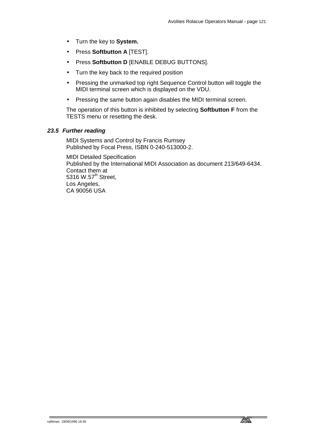- Turn the key to **System.**
- Press **Softbutton A** [TEST].
- Press **Softbutton D** [ENABLE DEBUG BUTTONS].
- Turn the key back to the required position
- Pressing the unmarked top right Sequence Control button will toggle the MIDI terminal screen which is displayed on the VDU.
- Pressing the same button again disables the MIDI terminal screen.

The operation of this button is inhibited by selecting **Softbutton F** from the TESTS menu or resetting the desk.

## *23.5 Further reading*

MIDI Systems and Control by Francis Rumsey Published by Focal Press, ISBN 0-240-513000-2.

MIDI Detailed Specification Published by the International MIDI Association as document 213/649-6434. Contact them at 5316 W.57<sup>th</sup> Street, Los Angeles, CA 90056 USA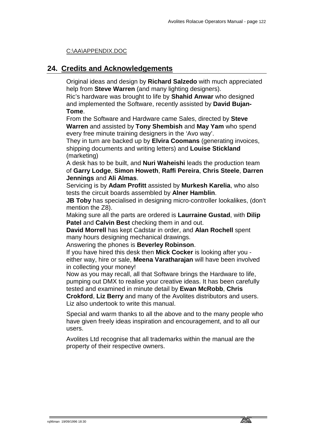## C:\AA\APPENDIX.DOC

# **24. Credits and Acknowledgements**

Original ideas and design by **Richard Salzedo** with much appreciated help from **Steve Warren** (and many lighting designers).

Ric's hardware was brought to life by **Shahid Anwar** who designed and implemented the Software, recently assisted by **David Bujan-Tome**.

From the Software and Hardware came Sales, directed by **Steve Warren** and assisted by **Tony Shembish** and **May Yam** who spend every free minute training designers in the 'Avo way'.

They in turn are backed up by **Elvira Coomans** (generating invoices, shipping documents and writing letters) and **Louise Stickland** (marketing)

A desk has to be built, and **Nuri Waheishi** leads the production team of **Garry Lodge**, **Simon Howeth**, **Raffi Pereira**, **Chris Steele**, **Darren Jennings** and **Ali Almas**.

Servicing is by **Adam Profitt** assisted by **Murkesh Karelia**, who also tests the circuit boards assembled by **Alner Hamblin**.

**JB Toby** has specialised in designing micro-controller lookalikes, (don't mention the Z8).

Making sure all the parts are ordered is **Laurraine Gustad**, with **Dilip Patel** and **Calvin Best** checking them in and out.

**David Morrell** has kept Cadstar in order, and **Alan Rochell** spent many hours designing mechanical drawings.

Answering the phones is **Beverley Robinson**.

If you have hired this desk then **Mick Cocker** is looking after you either way, hire or sale, **Meena Varatharajan** will have been involved in collecting your money!

Now as you may recall, all that Software brings the Hardware to life, pumping out DMX to realise your creative ideas. It has been carefully tested and examined in minute detail by **Ewan McRobb**, **Chris Crokford**, **Liz Berry** and many of the Avolites distributors and users.

Liz also undertook to write this manual.

Special and warm thanks to all the above and to the many people who have given freely ideas inspiration and encouragement, and to all our users.

Avolites Ltd recognise that all trademarks within the manual are the property of their respective owners.